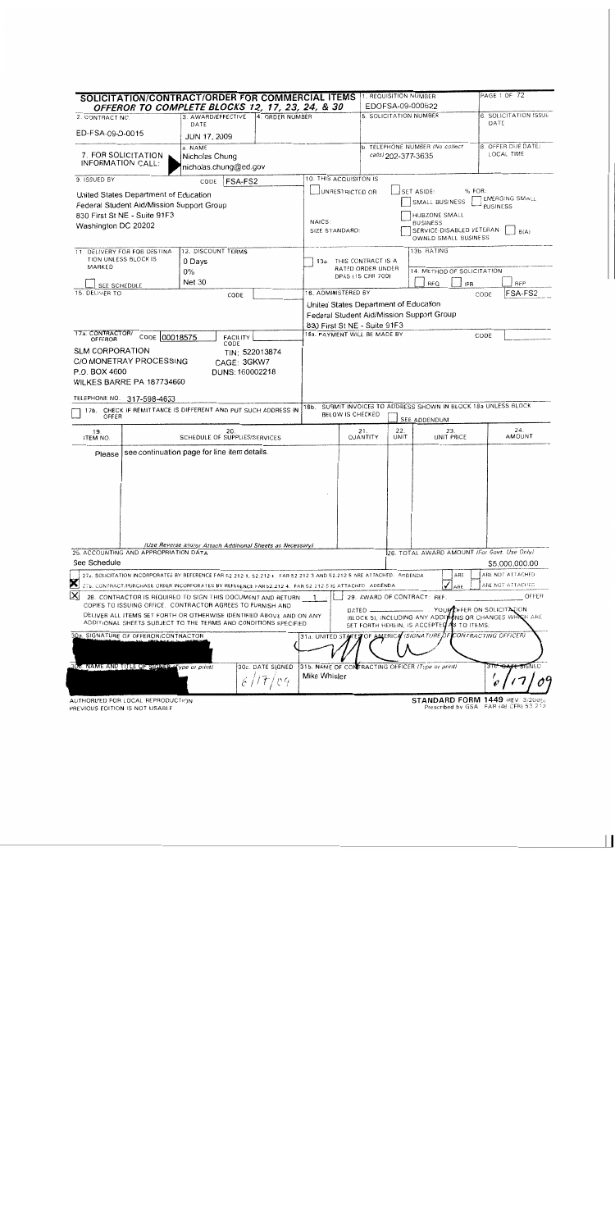| <b>SOLICITATION/CONTRACT/ORDER FOR COMMERCIAL ITEMS 13. REQUISITION NUMBER</b><br>OFFEROR TO COMPLETE BLOCKS 12, 17, 23, 24, & 30                                                                                  |                                                            |                             |                                       |                                        | EDOFSA-09-000622                                                           | PAGE 1 OF 72                                            |  |  |
|--------------------------------------------------------------------------------------------------------------------------------------------------------------------------------------------------------------------|------------------------------------------------------------|-----------------------------|---------------------------------------|----------------------------------------|----------------------------------------------------------------------------|---------------------------------------------------------|--|--|
| 2. CONTRACT NO.                                                                                                                                                                                                    | 3. AWARD/EFFECTIVE                                         | 4. ORDER NUMBER             |                                       |                                        | 5. SOLICITATION NUMBER                                                     | 6. SOLICITATION ISSUE                                   |  |  |
| ED-FSA-09-D-0015                                                                                                                                                                                                   | DATE<br><b>JUN 17, 2009</b>                                |                             |                                       |                                        |                                                                            | DATE                                                    |  |  |
| 7. FOR SOLICITATION<br>INFORMATION CALL:                                                                                                                                                                           | a. NAME<br>Nicholas Chung<br>nicholas.chung@ed.gov         |                             |                                       |                                        | b. TELEPHONE NUMBER (No collect<br>calls) 202-377-3635                     | 8. OFFER DUE DATE/<br>LOCAL TIME                        |  |  |
| 9. ISSUED BY                                                                                                                                                                                                       | <b>FSA-FS2</b><br>CODE                                     |                             | 10. THIS ACQUISITON IS                |                                        |                                                                            |                                                         |  |  |
| United States Department of Education                                                                                                                                                                              |                                                            |                             | UNRESTRICTED OR                       |                                        | SET ASIDE:                                                                 | % FOR:                                                  |  |  |
| Federal Student Aid/Mission Support Group                                                                                                                                                                          |                                                            |                             |                                       |                                        | SMALL BUSINESS                                                             | <b>EMERGING SMALL</b><br><b>BUSINESS</b>                |  |  |
| 830 First St NE - Suite 91F3                                                                                                                                                                                       |                                                            |                             | HUBZONE SMALL<br>NAICS:               |                                        |                                                                            |                                                         |  |  |
| Washington DC 20202                                                                                                                                                                                                |                                                            |                             | SIZE STANDARD:                        |                                        | <b>BUSINESS</b><br>SERVICE-DISABLED VETERAN-<br>OWNED SMALL BUSINESS       | B(A)                                                    |  |  |
| 11. DELIVERY FOR FOB DESTINA                                                                                                                                                                                       | 12. DISCOUNT TERMS                                         |                             |                                       |                                        | 13b. RATING                                                                |                                                         |  |  |
| TION UNLESS BLOCK IS<br>MARKED                                                                                                                                                                                     | 0 Days                                                     |                             |                                       | 13a. THIS CONTRACT IS A                |                                                                            |                                                         |  |  |
|                                                                                                                                                                                                                    | $0\%$                                                      |                             |                                       | RATED ORDER UNDER<br>DPAS (15 CFR 700) | 14. METHOD OF SOLICITATION                                                 |                                                         |  |  |
| SEE SCHEDULE                                                                                                                                                                                                       | <b>Net 30</b>                                              |                             | 16. ADMINISTERED BY                   |                                        | RFQ                                                                        | <b>RFP</b><br><b>IFB</b>                                |  |  |
| 15. DELIVER TO                                                                                                                                                                                                     | CODE                                                       |                             |                                       |                                        |                                                                            | FSA-FS2<br>CODE                                         |  |  |
|                                                                                                                                                                                                                    |                                                            |                             | United States Department of Education |                                        | Federal Student Aid/Mission Support Group                                  |                                                         |  |  |
|                                                                                                                                                                                                                    |                                                            |                             | 830 First St NE - Suite 91F3          |                                        |                                                                            |                                                         |  |  |
| 17a. CONTRACTOR/<br>CODE 00018575                                                                                                                                                                                  | <b>FACILITY</b>                                            |                             | 18a. PAYMENT WILL BE MADE BY          |                                        |                                                                            | CODE                                                    |  |  |
| OFFEROR<br><b>SLM CORPORATION</b><br>C/O MONETRAY PROCESSING                                                                                                                                                       | CODE<br>CAGE: 3GKW7                                        | TIN: 522013874              |                                       |                                        |                                                                            |                                                         |  |  |
| P.O. BOX 4600<br>WILKES BARRE PA 187734600                                                                                                                                                                         | DUNS: 160002218                                            |                             |                                       |                                        |                                                                            |                                                         |  |  |
| TELEPHONE NO. 317-598-4633                                                                                                                                                                                         |                                                            |                             |                                       |                                        |                                                                            |                                                         |  |  |
| 17b. CHECK IF REMITTANCE IS DIFFERENT AND PUT SUCH ADDRESS IN<br>OFFER                                                                                                                                             |                                                            |                             | 18b.<br>BELOW IS CHECKED              |                                        | SURMIT INVOICES TO ADDRESS SHOWN IN BLOCK 18a UNLESS BLOCK<br>SEE ADDENDUM |                                                         |  |  |
| 19.<br><b>ITEM NO.</b>                                                                                                                                                                                             | 20.<br>SCHEDULE OF SUPPLIES/SERVICES                       |                             |                                       | 21.<br>QUANTITY                        | 22.<br>23.<br>UNIT PRICE<br>UNIT                                           | 24.<br>AMOUNT                                           |  |  |
| Please                                                                                                                                                                                                             | see continuation page for line item details.               |                             |                                       |                                        |                                                                            |                                                         |  |  |
|                                                                                                                                                                                                                    |                                                            |                             |                                       |                                        |                                                                            |                                                         |  |  |
|                                                                                                                                                                                                                    |                                                            |                             |                                       |                                        |                                                                            |                                                         |  |  |
|                                                                                                                                                                                                                    |                                                            |                             |                                       |                                        |                                                                            |                                                         |  |  |
|                                                                                                                                                                                                                    |                                                            |                             |                                       |                                        |                                                                            |                                                         |  |  |
|                                                                                                                                                                                                                    |                                                            |                             |                                       |                                        |                                                                            |                                                         |  |  |
|                                                                                                                                                                                                                    |                                                            |                             |                                       |                                        |                                                                            |                                                         |  |  |
|                                                                                                                                                                                                                    |                                                            |                             |                                       |                                        |                                                                            |                                                         |  |  |
|                                                                                                                                                                                                                    | (Use Reverse and/or Attach Additional Sheets as Necessary) |                             |                                       |                                        |                                                                            |                                                         |  |  |
| 25. ACCOUNTING AND APPROPRIATION DATA                                                                                                                                                                              |                                                            |                             |                                       |                                        | 26. TOTAL AWARD AMOUNT (For Govt. Use Only)                                |                                                         |  |  |
| See Schedule                                                                                                                                                                                                       |                                                            |                             |                                       |                                        |                                                                            | \$5,000,000.00                                          |  |  |
| 27a. SOLICITATION INCORPORATES BY REFERENCE FAR 52 212-1, 52.212-4. FAR 52.212-3 AND 52.212-5 ARE ATTACHED. ADDENDA<br>×                                                                                           |                                                            |                             |                                       |                                        | ARE                                                                        | ARE NOT ATTACHED                                        |  |  |
| 27b. CONTRACT/PURCHASE ORDER INCORPORATES BY REFERENCE FAR 52.212-4. FAR 52.212-5 IS ATTACHED. ADDENDA                                                                                                             |                                                            |                             |                                       |                                        | ARE                                                                        | ARE NOT ATTACHED                                        |  |  |
| $\mathsf{X}% _{T}=\mathsf{X}_{T}\!\left( a,b\right) ,\ \mathsf{X}_{T}=\mathsf{X}_{T}$<br>28. CONTRACTOR IS REQUIRED TO SIGN THIS DOCUMENT AND RETURN<br>COPIES TO ISSUING OFFICE. CONTRACTOR AGREES TO FURNISH AND |                                                            |                             |                                       | $DATED$ —                              | 29. AWARD OF CONTRACT: REF.                                                | OFFER<br>YOUR OFFER ON SOLICITATION                     |  |  |
| DELIVER ALL ITEMS SET FORTH OR OTHERWISE IDENTIFIED ABOVE AND ON ANY<br>ADDITIONAL SHEETS SUBJECT TO THE TERMS AND CONDITIONS SPECIFIED                                                                            |                                                            |                             |                                       |                                        | SET FORTH HEREIN, IS ACCEPTED AS TO ITEMS.                                 | (BLOCK 5), INCLUDING ANY ADDITIONS OR CHANGES WHICH ARE |  |  |
| 30a. SIGNATURE OF OFFEROR/CONTRACTOR                                                                                                                                                                               |                                                            |                             |                                       |                                        | 31a. UNITED STATES OF AMERICA (SIGNATURE OF CONTRACTING OFFICER)           |                                                         |  |  |
| 300. NAME AND TITLE OF SIGNER-Type or print)                                                                                                                                                                       |                                                            | 30c. DATE SIGNED<br>6/17/04 | Mike Whisler                          |                                        | 31b. NAME OF CONTRACTING OFFICER (Type or print)                           | 3 T <del>C: DATE SIG</del> NED                          |  |  |
| AUTHORIZED FOR LOCAL REPRODUCTION                                                                                                                                                                                  |                                                            |                             |                                       |                                        |                                                                            | STANDARD FORM 1449 (REV. 3/2005)                        |  |  |

PREVIOUS EDITION IS NOT USABLE

STANDARD PORM TAND THEY. 3/2005/<br>Prescribed by GSA FAR (48 CFR) 53.212

 $\overline{1}$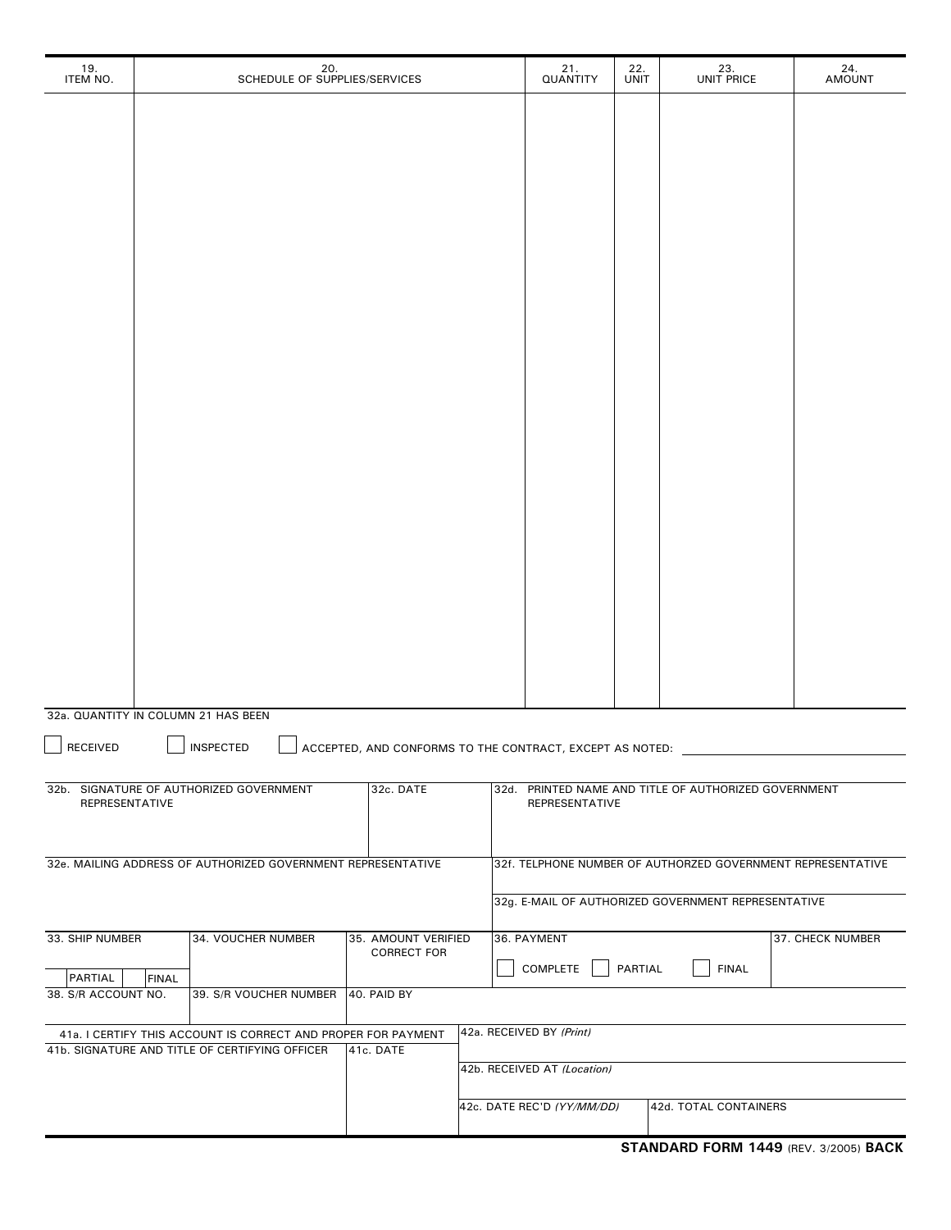| 19.<br>ITEM NO.                     |              | 20.<br>SCHEDULE OF SUPPLIES/SERVICES                                                                            |                                                          | 21.<br>QUANTITY             | 22.<br><b>UNIT</b> | 23.<br>UNIT PRICE                                           | 24.<br><b>AMOUNT</b> |
|-------------------------------------|--------------|-----------------------------------------------------------------------------------------------------------------|----------------------------------------------------------|-----------------------------|--------------------|-------------------------------------------------------------|----------------------|
|                                     |              |                                                                                                                 |                                                          |                             |                    |                                                             |                      |
|                                     |              |                                                                                                                 |                                                          |                             |                    |                                                             |                      |
|                                     |              |                                                                                                                 |                                                          |                             |                    |                                                             |                      |
|                                     |              |                                                                                                                 |                                                          |                             |                    |                                                             |                      |
|                                     |              |                                                                                                                 |                                                          |                             |                    |                                                             |                      |
|                                     |              |                                                                                                                 |                                                          |                             |                    |                                                             |                      |
|                                     |              |                                                                                                                 |                                                          |                             |                    |                                                             |                      |
|                                     |              |                                                                                                                 |                                                          |                             |                    |                                                             |                      |
|                                     |              |                                                                                                                 |                                                          |                             |                    |                                                             |                      |
|                                     |              |                                                                                                                 |                                                          |                             |                    |                                                             |                      |
|                                     |              |                                                                                                                 |                                                          |                             |                    |                                                             |                      |
|                                     |              |                                                                                                                 |                                                          |                             |                    |                                                             |                      |
|                                     |              |                                                                                                                 |                                                          |                             |                    |                                                             |                      |
|                                     |              |                                                                                                                 |                                                          |                             |                    |                                                             |                      |
|                                     |              |                                                                                                                 |                                                          |                             |                    |                                                             |                      |
|                                     |              |                                                                                                                 |                                                          |                             |                    |                                                             |                      |
|                                     |              |                                                                                                                 |                                                          |                             |                    |                                                             |                      |
|                                     |              |                                                                                                                 |                                                          |                             |                    |                                                             |                      |
|                                     |              |                                                                                                                 |                                                          |                             |                    |                                                             |                      |
| 32a. QUANTITY IN COLUMN 21 HAS BEEN |              |                                                                                                                 |                                                          |                             |                    |                                                             |                      |
| <b>RECEIVED</b>                     |              | <b>INSPECTED</b>                                                                                                | ACCEPTED, AND CONFORMS TO THE CONTRACT, EXCEPT AS NOTED: |                             |                    |                                                             |                      |
|                                     |              |                                                                                                                 |                                                          |                             |                    |                                                             |                      |
| REPRESENTATIVE                      |              | 32b. SIGNATURE OF AUTHORIZED GOVERNMENT                                                                         | 32c. DATE                                                | REPRESENTATIVE              |                    | 32d. PRINTED NAME AND TITLE OF AUTHORIZED GOVERNMENT        |                      |
|                                     |              |                                                                                                                 |                                                          |                             |                    |                                                             |                      |
|                                     |              | 32e. MAILING ADDRESS OF AUTHORIZED GOVERNMENT REPRESENTATIVE                                                    |                                                          |                             |                    | 32f. TELPHONE NUMBER OF AUTHORZED GOVERNMENT REPRESENTATIVE |                      |
|                                     |              |                                                                                                                 |                                                          |                             |                    | 32g. E-MAIL OF AUTHORIZED GOVERNMENT REPRESENTATIVE         |                      |
| 33. SHIP NUMBER                     |              | 34. VOUCHER NUMBER                                                                                              | 35. AMOUNT VERIFIED<br><b>CORRECT FOR</b>                | 36. PAYMENT                 |                    |                                                             | 37. CHECK NUMBER     |
| PARTIAL                             | <b>FINAL</b> |                                                                                                                 |                                                          | COMPLETE                    | PARTIAL            | <b>FINAL</b>                                                |                      |
| 38. S/R ACCOUNT NO.                 |              | 39. S/R VOUCHER NUMBER 40. PAID BY                                                                              |                                                          |                             |                    |                                                             |                      |
|                                     |              | 41a. I CERTIFY THIS ACCOUNT IS CORRECT AND PROPER FOR PAYMENT<br>41b. SIGNATURE AND TITLE OF CERTIFYING OFFICER | 41c. DATE                                                | 42a. RECEIVED BY (Print)    |                    |                                                             |                      |
|                                     |              |                                                                                                                 |                                                          | 42b. RECEIVED AT (Location) |                    |                                                             |                      |
|                                     |              |                                                                                                                 |                                                          | 42c. DATE REC'D (YY/MM/DD)  |                    | 42d. TOTAL CONTAINERS                                       |                      |
|                                     |              |                                                                                                                 |                                                          |                             |                    |                                                             |                      |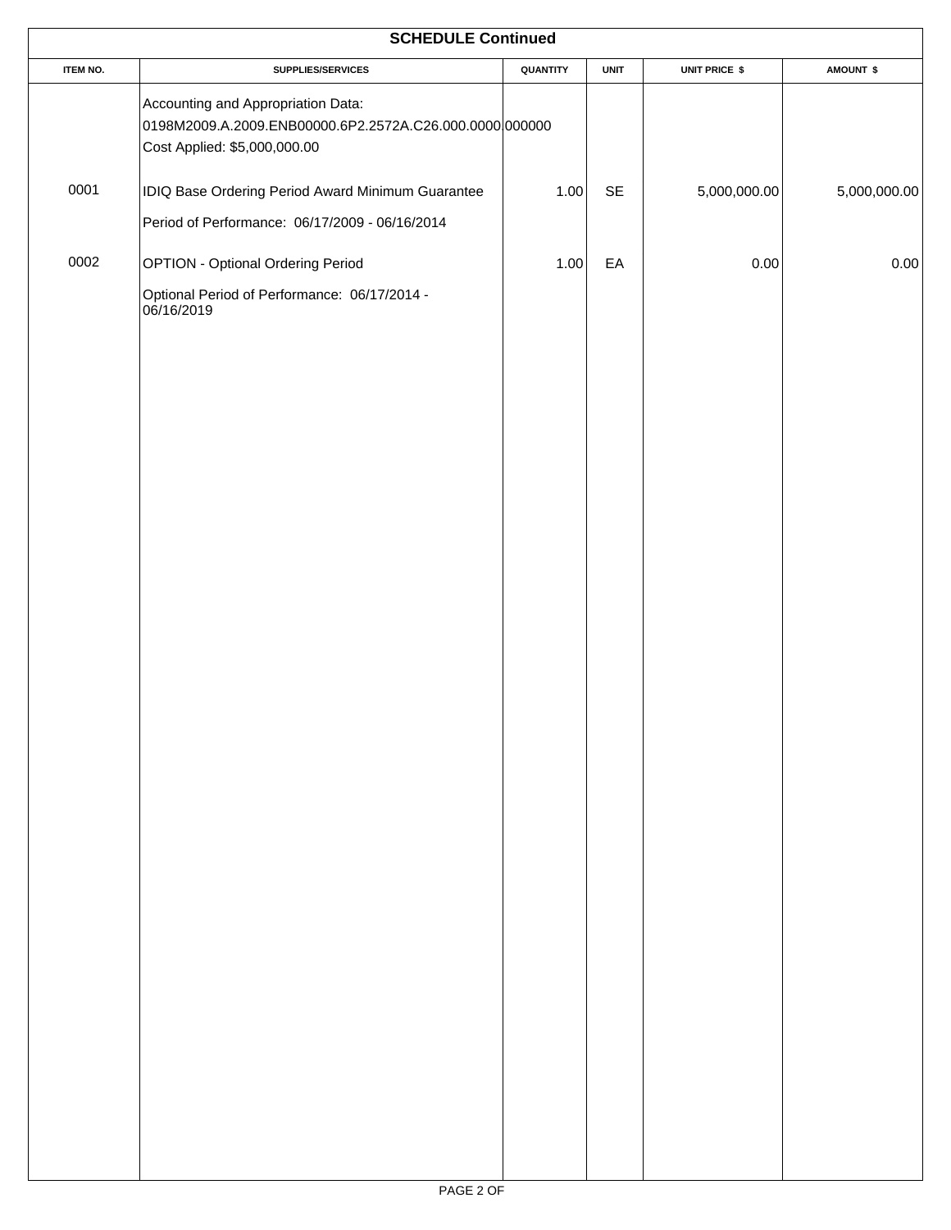|                 | <b>SCHEDULE Continued</b>                                                                                                    |          |                      |               |              |  |
|-----------------|------------------------------------------------------------------------------------------------------------------------------|----------|----------------------|---------------|--------------|--|
| <b>ITEM NO.</b> | SUPPLIES/SERVICES                                                                                                            | QUANTITY | <b>UNIT</b>          | UNIT PRICE \$ | AMOUNT \$    |  |
|                 | Accounting and Appropriation Data:<br>0198M2009.A.2009.ENB00000.6P2.2572A.C26.000.0000000000<br>Cost Applied: \$5,000,000.00 |          |                      |               |              |  |
| 0001            | IDIQ Base Ordering Period Award Minimum Guarantee                                                                            | $1.00\,$ | $\mathsf{SE}\xspace$ | 5,000,000.00  | 5,000,000.00 |  |
|                 | Period of Performance: 06/17/2009 - 06/16/2014                                                                               |          |                      |               |              |  |
| 0002            | <b>OPTION - Optional Ordering Period</b>                                                                                     | 1.00     | EA                   | 0.00          | 0.00         |  |
|                 | Optional Period of Performance: 06/17/2014 -<br>06/16/2019                                                                   |          |                      |               |              |  |
|                 |                                                                                                                              |          |                      |               |              |  |
|                 |                                                                                                                              |          |                      |               |              |  |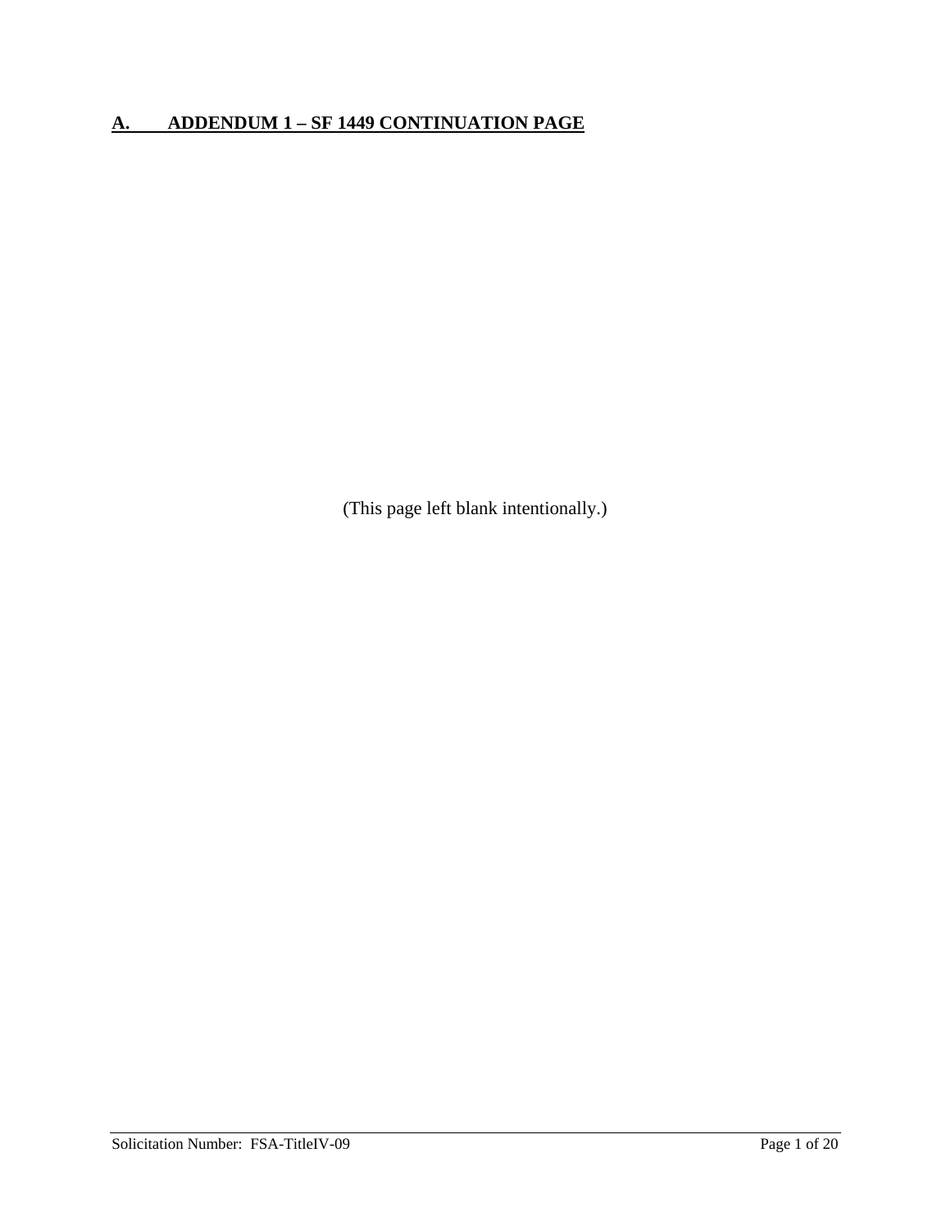## **A. ADDENDUM 1 – SF 1449 CONTINUATION PAGE**

(This page left blank intentionally.)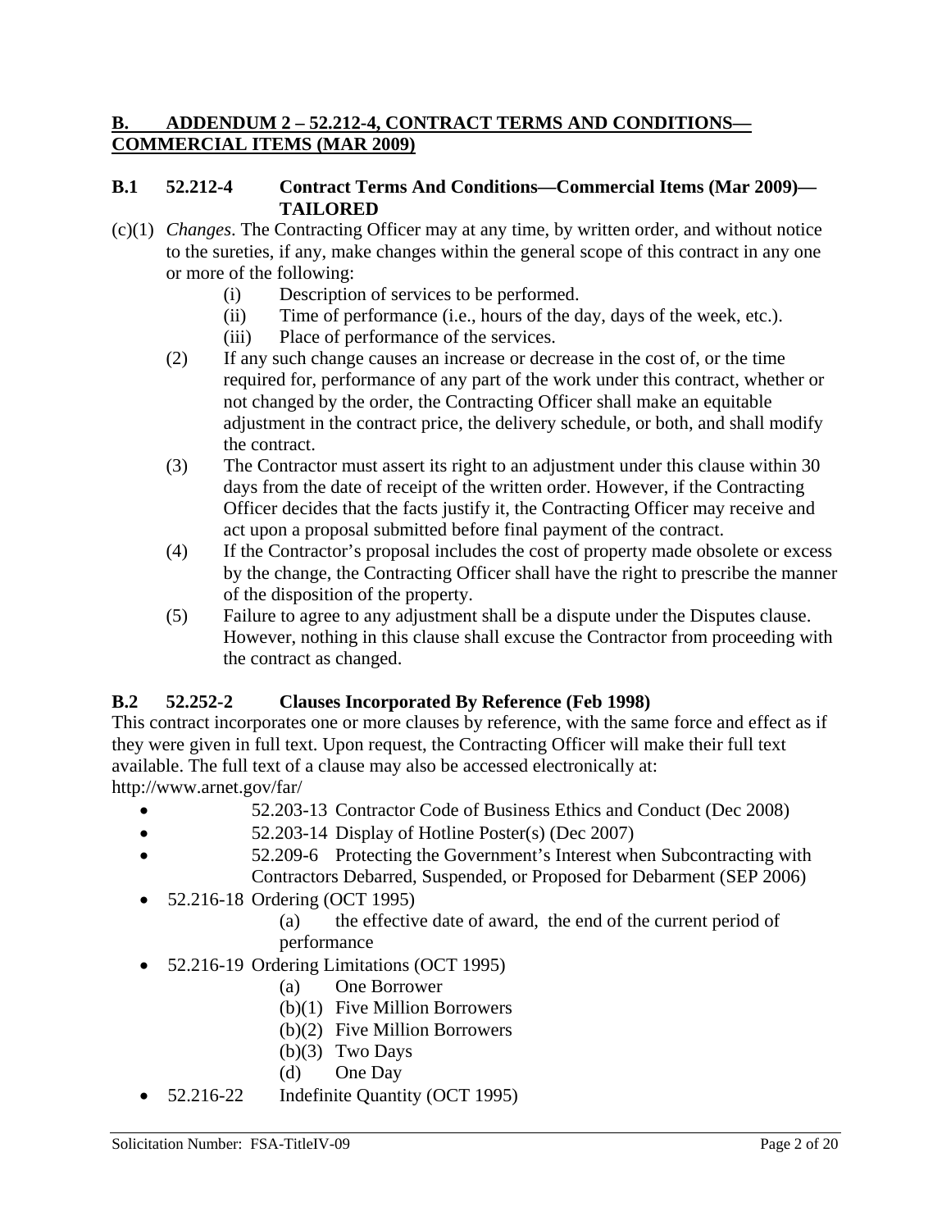#### **B. ADDENDUM 2 – 52.212-4, CONTRACT TERMS AND CONDITIONS— COMMERCIAL ITEMS (MAR 2009)**

#### **B.1 52.212-4 Contract Terms And Conditions—Commercial Items (Mar 2009)— TAILORED**

- (c)(1) *Changes*. The Contracting Officer may at any time, by written order, and without notice to the sureties, if any, make changes within the general scope of this contract in any one or more of the following:
	- (i) Description of services to be performed.
	- (ii) Time of performance (i.e., hours of the day, days of the week, etc.).
	- (iii) Place of performance of the services.
	- (2) If any such change causes an increase or decrease in the cost of, or the time required for, performance of any part of the work under this contract, whether or not changed by the order, the Contracting Officer shall make an equitable adjustment in the contract price, the delivery schedule, or both, and shall modify the contract.
	- (3) The Contractor must assert its right to an adjustment under this clause within 30 days from the date of receipt of the written order. However, if the Contracting Officer decides that the facts justify it, the Contracting Officer may receive and act upon a proposal submitted before final payment of the contract.
	- (4) If the Contractor's proposal includes the cost of property made obsolete or excess by the change, the Contracting Officer shall have the right to prescribe the manner of the disposition of the property.
	- (5) Failure to agree to any adjustment shall be a dispute under the Disputes clause. However, nothing in this clause shall excuse the Contractor from proceeding with the contract as changed.

#### **B.2 52.252-2 Clauses Incorporated By Reference (Feb 1998)**

This contract incorporates one or more clauses by reference, with the same force and effect as if they were given in full text. Upon request, the Contracting Officer will make their full text available. The full text of a clause may also be accessed electronically at: http://www.arnet.gov/far/

- 52.203-13 Contractor Code of Business Ethics and Conduct (Dec 2008)
- 52.203-14 Display of Hotline Poster(s) (Dec 2007)
- 52.209-6 Protecting the Government's Interest when Subcontracting with Contractors Debarred, Suspended, or Proposed for Debarment (SEP 2006)
- 52.216-18 Ordering (OCT 1995)
	- (a) the effective date of award, the end of the current period of performance
- 52.216-19 Ordering Limitations (OCT 1995)
	- (a) One Borrower
	- (b)(1) Five Million Borrowers
	- (b)(2) Five Million Borrowers
	- $(b)(3)$  Two Days
	- (d) One Day
- 52.216-22 Indefinite Quantity (OCT 1995)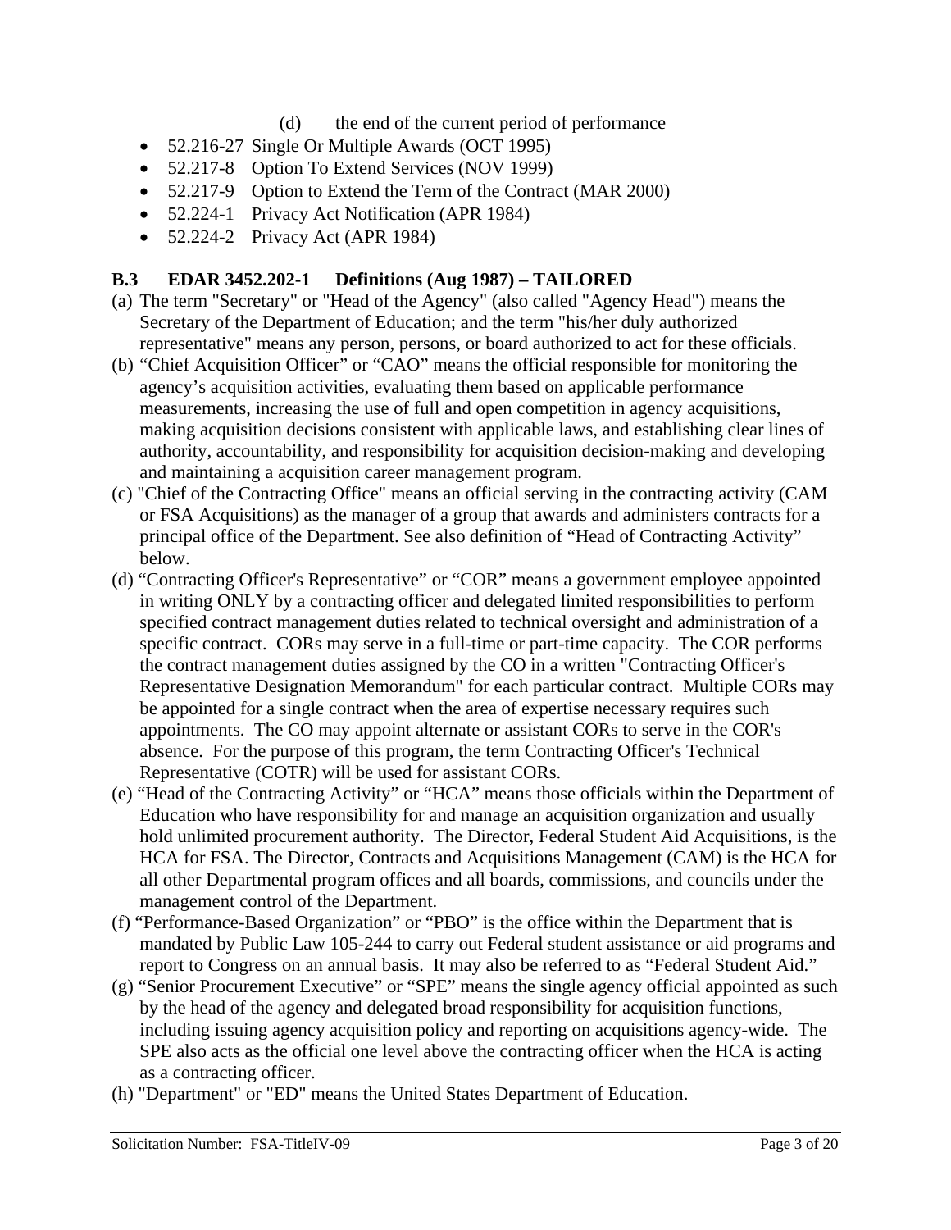- (d) the end of the current period of performance
- 52.216-27 Single Or Multiple Awards (OCT 1995)
- 52.217-8 Option To Extend Services (NOV 1999)
- 52.217-9 Option to Extend the Term of the Contract (MAR 2000)
- 52.224-1 Privacy Act Notification (APR 1984)
- 52.224-2 Privacy Act (APR 1984)

#### **B.3 EDAR 3452.202-1 Definitions (Aug 1987) – TAILORED**

- (a) The term "Secretary" or "Head of the Agency" (also called "Agency Head") means the Secretary of the Department of Education; and the term "his/her duly authorized representative" means any person, persons, or board authorized to act for these officials.
- (b) "Chief Acquisition Officer" or "CAO" means the official responsible for monitoring the agency's acquisition activities, evaluating them based on applicable performance measurements, increasing the use of full and open competition in agency acquisitions, making acquisition decisions consistent with applicable laws, and establishing clear lines of authority, accountability, and responsibility for acquisition decision-making and developing and maintaining a acquisition career management program.
- (c) "Chief of the Contracting Office" means an official serving in the contracting activity (CAM or FSA Acquisitions) as the manager of a group that awards and administers contracts for a principal office of the Department. See also definition of "Head of Contracting Activity" below.
- (d) "Contracting Officer's Representative" or "COR" means a government employee appointed in writing ONLY by a contracting officer and delegated limited responsibilities to perform specified contract management duties related to technical oversight and administration of a specific contract. CORs may serve in a full-time or part-time capacity. The COR performs the contract management duties assigned by the CO in a written "Contracting Officer's Representative Designation Memorandum" for each particular contract. Multiple CORs may be appointed for a single contract when the area of expertise necessary requires such appointments. The CO may appoint alternate or assistant CORs to serve in the COR's absence. For the purpose of this program, the term Contracting Officer's Technical Representative (COTR) will be used for assistant CORs.
- (e) "Head of the Contracting Activity" or "HCA" means those officials within the Department of Education who have responsibility for and manage an acquisition organization and usually hold unlimited procurement authority. The Director, Federal Student Aid Acquisitions, is the HCA for FSA. The Director, Contracts and Acquisitions Management (CAM) is the HCA for all other Departmental program offices and all boards, commissions, and councils under the management control of the Department.
- (f) "Performance-Based Organization" or "PBO" is the office within the Department that is mandated by Public Law 105-244 to carry out Federal student assistance or aid programs and report to Congress on an annual basis. It may also be referred to as "Federal Student Aid."
- (g) "Senior Procurement Executive" or "SPE" means the single agency official appointed as such by the head of the agency and delegated broad responsibility for acquisition functions, including issuing agency acquisition policy and reporting on acquisitions agency-wide. The SPE also acts as the official one level above the contracting officer when the HCA is acting as a contracting officer.
- (h) "Department" or "ED" means the United States Department of Education.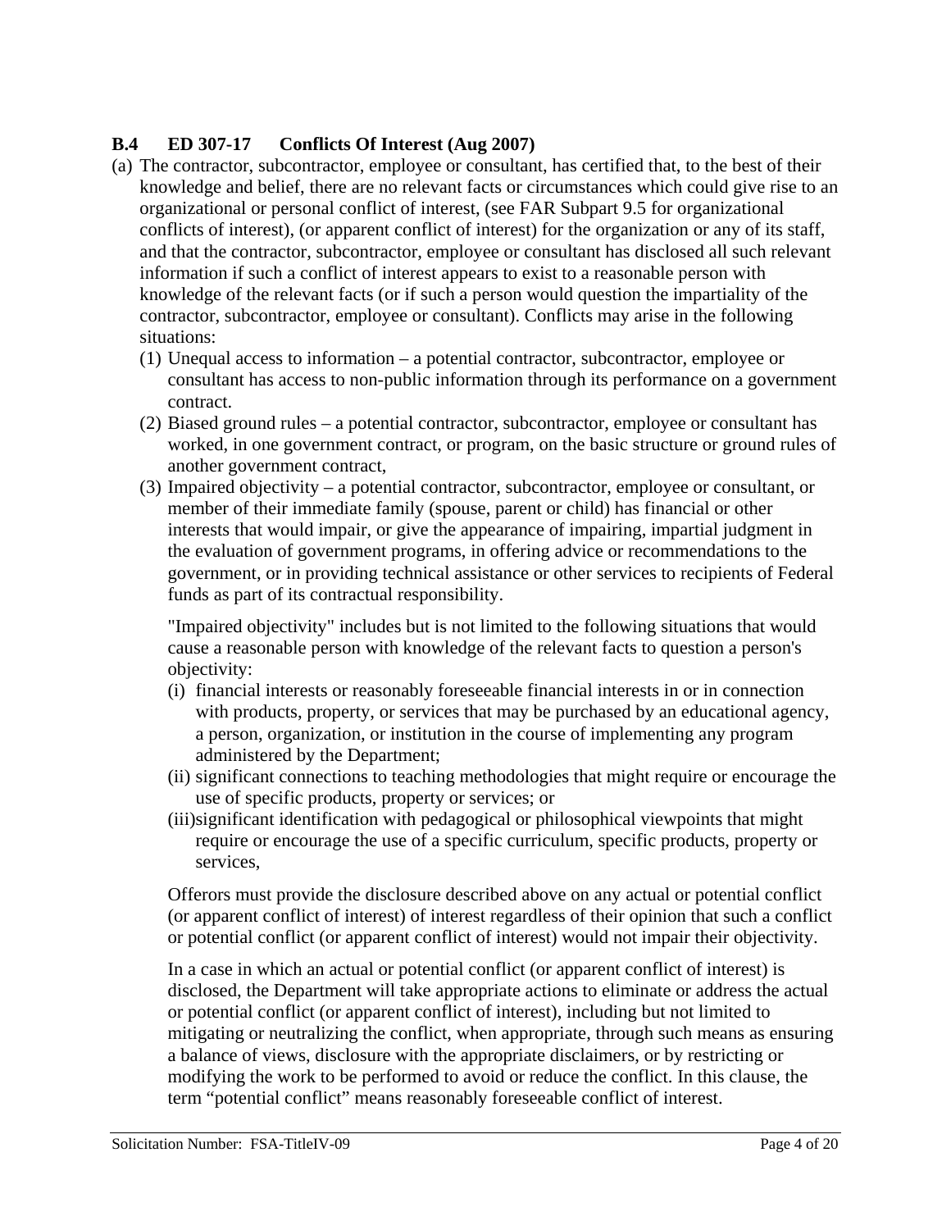#### **B.4 ED 307-17 Conflicts Of Interest (Aug 2007)**

- (a) The contractor, subcontractor, employee or consultant, has certified that, to the best of their knowledge and belief, there are no relevant facts or circumstances which could give rise to an organizational or personal conflict of interest, (see FAR Subpart 9.5 for organizational conflicts of interest), (or apparent conflict of interest) for the organization or any of its staff, and that the contractor, subcontractor, employee or consultant has disclosed all such relevant information if such a conflict of interest appears to exist to a reasonable person with knowledge of the relevant facts (or if such a person would question the impartiality of the contractor, subcontractor, employee or consultant). Conflicts may arise in the following situations:
	- (1) Unequal access to information a potential contractor, subcontractor, employee or consultant has access to non-public information through its performance on a government contract.
	- (2) Biased ground rules a potential contractor, subcontractor, employee or consultant has worked, in one government contract, or program, on the basic structure or ground rules of another government contract,
	- (3) Impaired objectivity a potential contractor, subcontractor, employee or consultant, or member of their immediate family (spouse, parent or child) has financial or other interests that would impair, or give the appearance of impairing, impartial judgment in the evaluation of government programs, in offering advice or recommendations to the government, or in providing technical assistance or other services to recipients of Federal funds as part of its contractual responsibility.

"Impaired objectivity" includes but is not limited to the following situations that would cause a reasonable person with knowledge of the relevant facts to question a person's objectivity:

- (i) financial interests or reasonably foreseeable financial interests in or in connection with products, property, or services that may be purchased by an educational agency, a person, organization, or institution in the course of implementing any program administered by the Department;
- (ii) significant connections to teaching methodologies that might require or encourage the use of specific products, property or services; or
- (iii)significant identification with pedagogical or philosophical viewpoints that might require or encourage the use of a specific curriculum, specific products, property or services,

Offerors must provide the disclosure described above on any actual or potential conflict (or apparent conflict of interest) of interest regardless of their opinion that such a conflict or potential conflict (or apparent conflict of interest) would not impair their objectivity.

In a case in which an actual or potential conflict (or apparent conflict of interest) is disclosed, the Department will take appropriate actions to eliminate or address the actual or potential conflict (or apparent conflict of interest), including but not limited to mitigating or neutralizing the conflict, when appropriate, through such means as ensuring a balance of views, disclosure with the appropriate disclaimers, or by restricting or modifying the work to be performed to avoid or reduce the conflict. In this clause, the term "potential conflict" means reasonably foreseeable conflict of interest.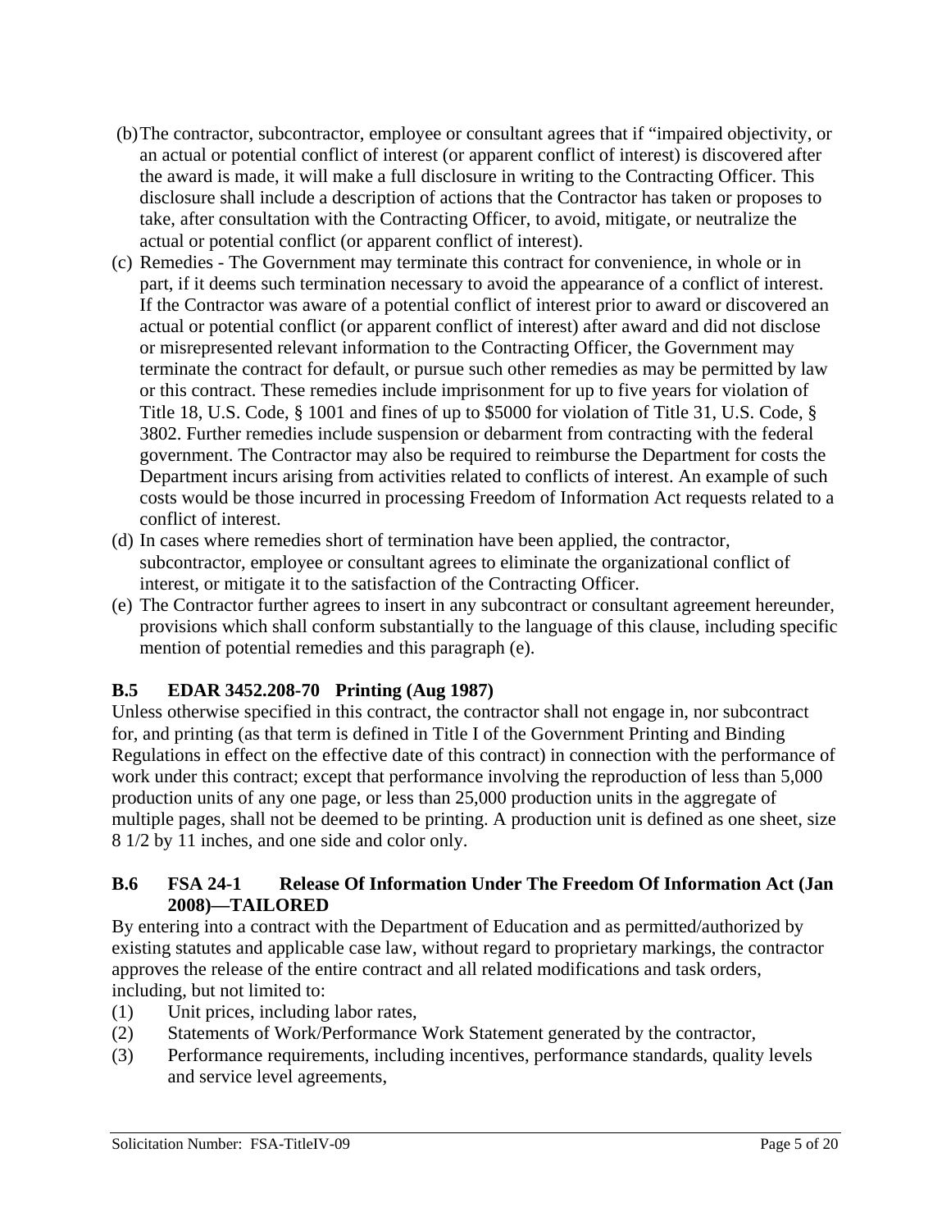- (b) The contractor, subcontractor, employee or consultant agrees that if "impaired objectivity, or an actual or potential conflict of interest (or apparent conflict of interest) is discovered after the award is made, it will make a full disclosure in writing to the Contracting Officer. This disclosure shall include a description of actions that the Contractor has taken or proposes to take, after consultation with the Contracting Officer, to avoid, mitigate, or neutralize the actual or potential conflict (or apparent conflict of interest).
- (c) Remedies The Government may terminate this contract for convenience, in whole or in part, if it deems such termination necessary to avoid the appearance of a conflict of interest. If the Contractor was aware of a potential conflict of interest prior to award or discovered an actual or potential conflict (or apparent conflict of interest) after award and did not disclose or misrepresented relevant information to the Contracting Officer, the Government may terminate the contract for default, or pursue such other remedies as may be permitted by law or this contract. These remedies include imprisonment for up to five years for violation of Title 18, U.S. Code, § 1001 and fines of up to \$5000 for violation of Title 31, U.S. Code, § 3802. Further remedies include suspension or debarment from contracting with the federal government. The Contractor may also be required to reimburse the Department for costs the Department incurs arising from activities related to conflicts of interest. An example of such costs would be those incurred in processing Freedom of Information Act requests related to a conflict of interest.
- (d) In cases where remedies short of termination have been applied, the contractor, subcontractor, employee or consultant agrees to eliminate the organizational conflict of interest, or mitigate it to the satisfaction of the Contracting Officer.
- (e) The Contractor further agrees to insert in any subcontract or consultant agreement hereunder, provisions which shall conform substantially to the language of this clause, including specific mention of potential remedies and this paragraph (e).

#### **B.5 EDAR 3452.208-70 Printing (Aug 1987)**

Unless otherwise specified in this contract, the contractor shall not engage in, nor subcontract for, and printing (as that term is defined in Title I of the Government Printing and Binding Regulations in effect on the effective date of this contract) in connection with the performance of work under this contract; except that performance involving the reproduction of less than 5,000 production units of any one page, or less than 25,000 production units in the aggregate of multiple pages, shall not be deemed to be printing. A production unit is defined as one sheet, size 8 1/2 by 11 inches, and one side and color only.

#### **B.6 FSA 24-1 Release Of Information Under The Freedom Of Information Act (Jan 2008)—TAILORED**

By entering into a contract with the Department of Education and as permitted/authorized by existing statutes and applicable case law, without regard to proprietary markings, the contractor approves the release of the entire contract and all related modifications and task orders, including, but not limited to:

- (1) Unit prices, including labor rates,
- (2) Statements of Work/Performance Work Statement generated by the contractor,
- (3) Performance requirements, including incentives, performance standards, quality levels and service level agreements,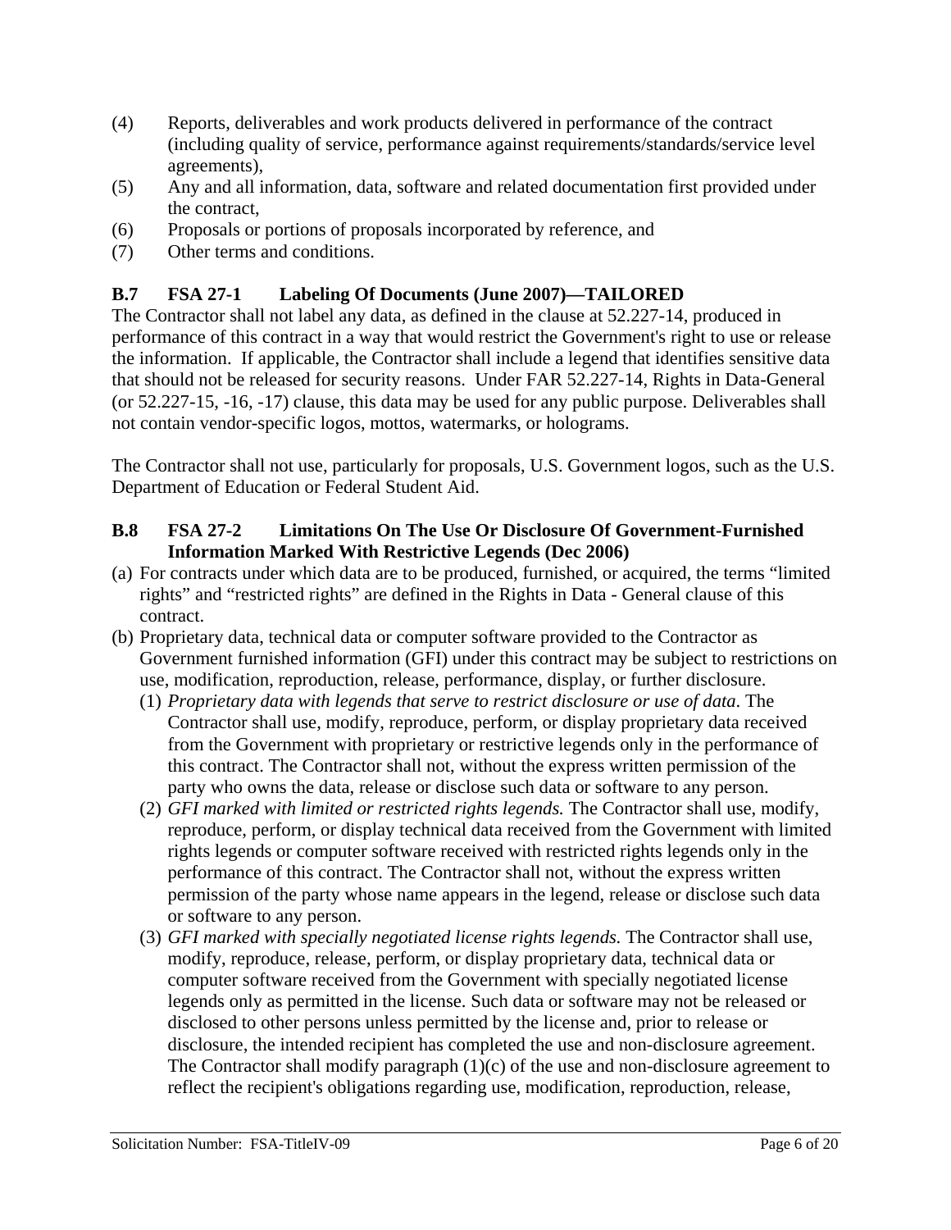- (4) Reports, deliverables and work products delivered in performance of the contract (including quality of service, performance against requirements/standards/service level agreements),
- (5) Any and all information, data, software and related documentation first provided under the contract,
- (6) Proposals or portions of proposals incorporated by reference, and
- (7) Other terms and conditions.

#### **B.7 FSA 27-1 Labeling Of Documents (June 2007)—TAILORED**

The Contractor shall not label any data, as defined in the clause at 52.227-14, produced in performance of this contract in a way that would restrict the Government's right to use or release the information. If applicable, the Contractor shall include a legend that identifies sensitive data that should not be released for security reasons. Under FAR 52.227-14, Rights in Data-General (or 52.227-15, -16, -17) clause, this data may be used for any public purpose. Deliverables shall not contain vendor-specific logos, mottos, watermarks, or holograms.

The Contractor shall not use, particularly for proposals, U.S. Government logos, such as the U.S. Department of Education or Federal Student Aid.

#### **B.8 FSA 27-2 Limitations On The Use Or Disclosure Of Government-Furnished Information Marked With Restrictive Legends (Dec 2006)**

- (a) For contracts under which data are to be produced, furnished, or acquired, the terms "limited rights" and "restricted rights" are defined in the Rights in Data - General clause of this contract.
- (b) Proprietary data, technical data or computer software provided to the Contractor as Government furnished information (GFI) under this contract may be subject to restrictions on use, modification, reproduction, release, performance, display, or further disclosure.
	- (1) *Proprietary data with legends that serve to restrict disclosure or use of data*. The Contractor shall use, modify, reproduce, perform, or display proprietary data received from the Government with proprietary or restrictive legends only in the performance of this contract. The Contractor shall not, without the express written permission of the party who owns the data, release or disclose such data or software to any person.
	- (2) *GFI marked with limited or restricted rights legends.* The Contractor shall use, modify, reproduce, perform, or display technical data received from the Government with limited rights legends or computer software received with restricted rights legends only in the performance of this contract. The Contractor shall not, without the express written permission of the party whose name appears in the legend, release or disclose such data or software to any person.
	- (3) *GFI marked with specially negotiated license rights legends.* The Contractor shall use, modify, reproduce, release, perform, or display proprietary data, technical data or computer software received from the Government with specially negotiated license legends only as permitted in the license. Such data or software may not be released or disclosed to other persons unless permitted by the license and, prior to release or disclosure, the intended recipient has completed the use and non-disclosure agreement. The Contractor shall modify paragraph  $(1)(c)$  of the use and non-disclosure agreement to reflect the recipient's obligations regarding use, modification, reproduction, release,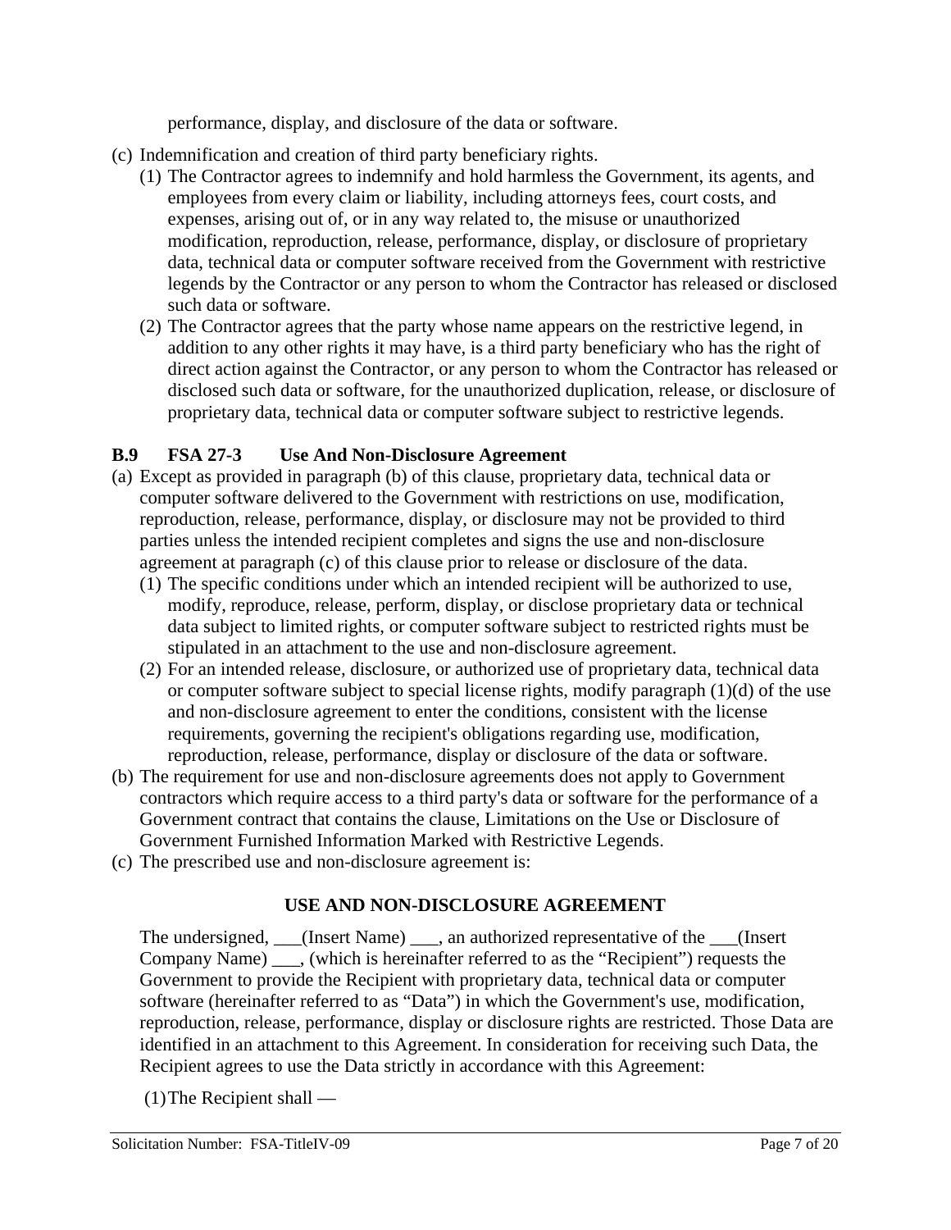performance, display, and disclosure of the data or software.

- (c) Indemnification and creation of third party beneficiary rights.
	- (1) The Contractor agrees to indemnify and hold harmless the Government, its agents, and employees from every claim or liability, including attorneys fees, court costs, and expenses, arising out of, or in any way related to, the misuse or unauthorized modification, reproduction, release, performance, display, or disclosure of proprietary data, technical data or computer software received from the Government with restrictive legends by the Contractor or any person to whom the Contractor has released or disclosed such data or software.
	- (2) The Contractor agrees that the party whose name appears on the restrictive legend, in addition to any other rights it may have, is a third party beneficiary who has the right of direct action against the Contractor, or any person to whom the Contractor has released or disclosed such data or software, for the unauthorized duplication, release, or disclosure of proprietary data, technical data or computer software subject to restrictive legends.

#### **B.9 FSA 27-3 Use And Non-Disclosure Agreement**

- (a) Except as provided in paragraph (b) of this clause, proprietary data, technical data or computer software delivered to the Government with restrictions on use, modification, reproduction, release, performance, display, or disclosure may not be provided to third parties unless the intended recipient completes and signs the use and non-disclosure agreement at paragraph (c) of this clause prior to release or disclosure of the data.
	- (1) The specific conditions under which an intended recipient will be authorized to use, modify, reproduce, release, perform, display, or disclose proprietary data or technical data subject to limited rights, or computer software subject to restricted rights must be stipulated in an attachment to the use and non-disclosure agreement.
	- (2) For an intended release, disclosure, or authorized use of proprietary data, technical data or computer software subject to special license rights, modify paragraph (1)(d) of the use and non-disclosure agreement to enter the conditions, consistent with the license requirements, governing the recipient's obligations regarding use, modification, reproduction, release, performance, display or disclosure of the data or software.
- (b) The requirement for use and non-disclosure agreements does not apply to Government contractors which require access to a third party's data or software for the performance of a Government contract that contains the clause, Limitations on the Use or Disclosure of Government Furnished Information Marked with Restrictive Legends.
- (c) The prescribed use and non-disclosure agreement is:

#### **USE AND NON-DISCLOSURE AGREEMENT**

The undersigned, (Insert Name), an authorized representative of the (Insert Company Name) \_\_\_, (which is hereinafter referred to as the "Recipient") requests the Government to provide the Recipient with proprietary data, technical data or computer software (hereinafter referred to as "Data") in which the Government's use, modification, reproduction, release, performance, display or disclosure rights are restricted. Those Data are identified in an attachment to this Agreement. In consideration for receiving such Data, the Recipient agrees to use the Data strictly in accordance with this Agreement:

(1) The Recipient shall —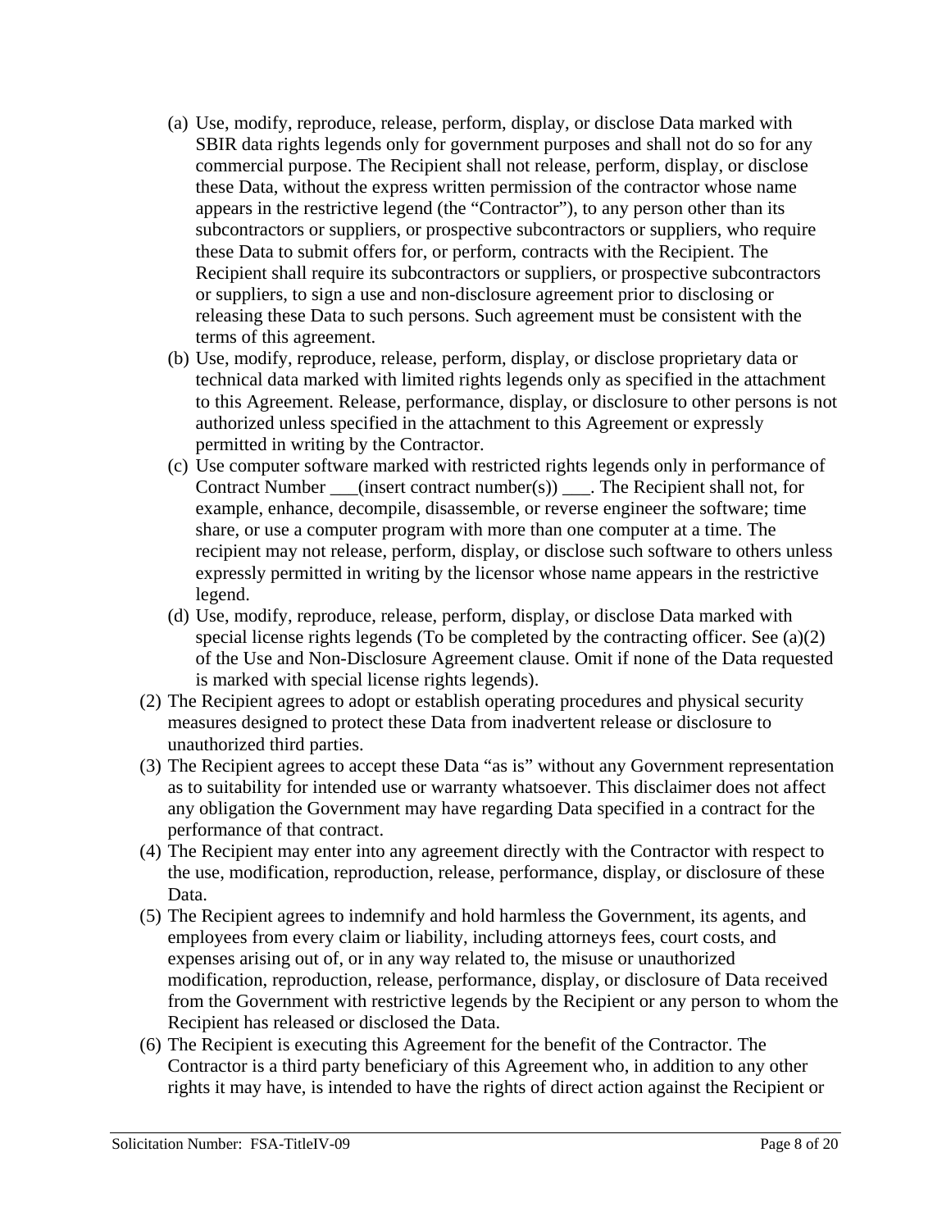- (a) Use, modify, reproduce, release, perform, display, or disclose Data marked with SBIR data rights legends only for government purposes and shall not do so for any commercial purpose. The Recipient shall not release, perform, display, or disclose these Data, without the express written permission of the contractor whose name appears in the restrictive legend (the "Contractor"), to any person other than its subcontractors or suppliers, or prospective subcontractors or suppliers, who require these Data to submit offers for, or perform, contracts with the Recipient. The Recipient shall require its subcontractors or suppliers, or prospective subcontractors or suppliers, to sign a use and non-disclosure agreement prior to disclosing or releasing these Data to such persons. Such agreement must be consistent with the terms of this agreement.
- (b) Use, modify, reproduce, release, perform, display, or disclose proprietary data or technical data marked with limited rights legends only as specified in the attachment to this Agreement. Release, performance, display, or disclosure to other persons is not authorized unless specified in the attachment to this Agreement or expressly permitted in writing by the Contractor.
- (c) Use computer software marked with restricted rights legends only in performance of Contract Number \_\_\_(insert contract number(s)) \_\_\_. The Recipient shall not, for example, enhance, decompile, disassemble, or reverse engineer the software; time share, or use a computer program with more than one computer at a time. The recipient may not release, perform, display, or disclose such software to others unless expressly permitted in writing by the licensor whose name appears in the restrictive legend.
- (d) Use, modify, reproduce, release, perform, display, or disclose Data marked with special license rights legends (To be completed by the contracting officer. See (a)(2) of the Use and Non-Disclosure Agreement clause. Omit if none of the Data requested is marked with special license rights legends).
- (2) The Recipient agrees to adopt or establish operating procedures and physical security measures designed to protect these Data from inadvertent release or disclosure to unauthorized third parties.
- (3) The Recipient agrees to accept these Data "as is" without any Government representation as to suitability for intended use or warranty whatsoever. This disclaimer does not affect any obligation the Government may have regarding Data specified in a contract for the performance of that contract.
- (4) The Recipient may enter into any agreement directly with the Contractor with respect to the use, modification, reproduction, release, performance, display, or disclosure of these Data.
- (5) The Recipient agrees to indemnify and hold harmless the Government, its agents, and employees from every claim or liability, including attorneys fees, court costs, and expenses arising out of, or in any way related to, the misuse or unauthorized modification, reproduction, release, performance, display, or disclosure of Data received from the Government with restrictive legends by the Recipient or any person to whom the Recipient has released or disclosed the Data.
- (6) The Recipient is executing this Agreement for the benefit of the Contractor. The Contractor is a third party beneficiary of this Agreement who, in addition to any other rights it may have, is intended to have the rights of direct action against the Recipient or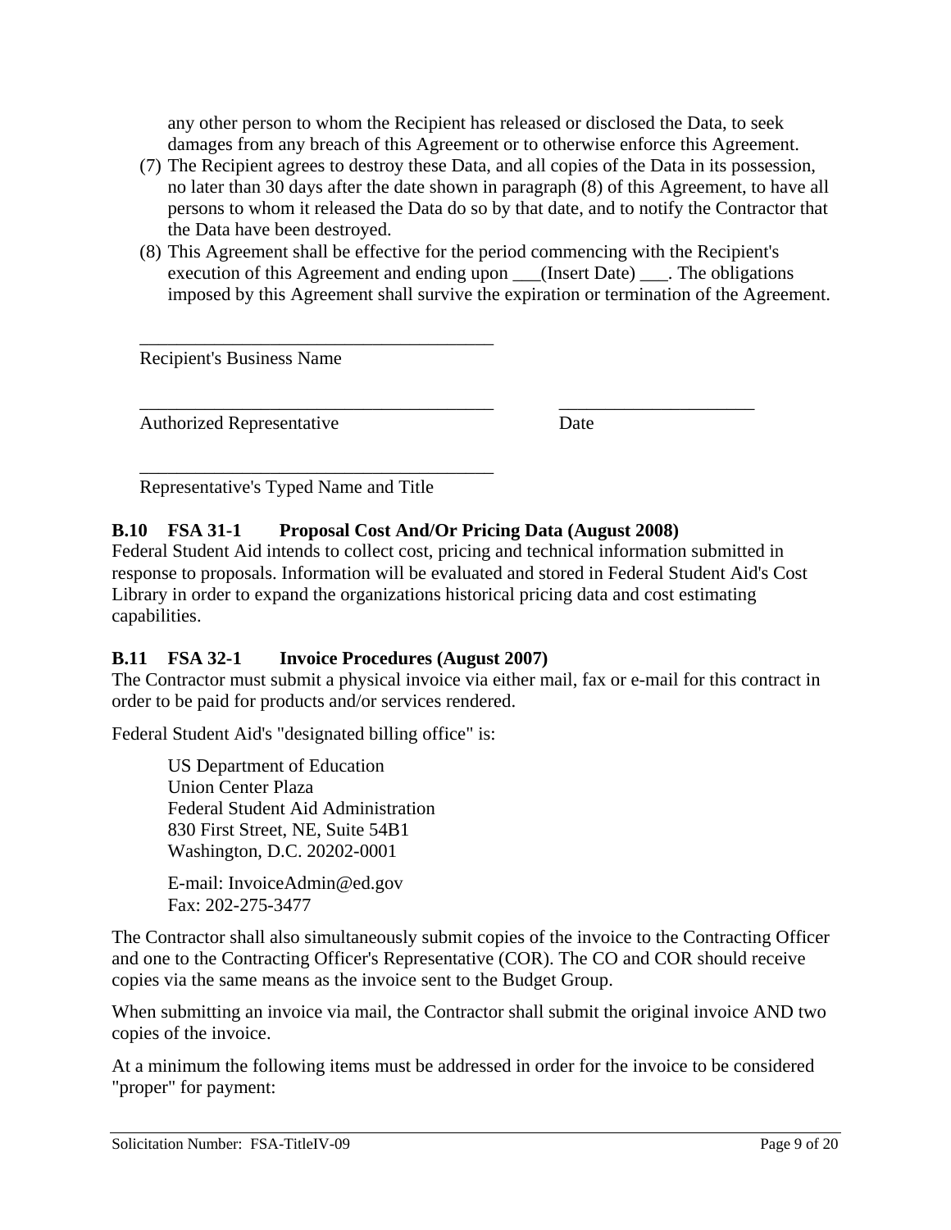any other person to whom the Recipient has released or disclosed the Data, to seek damages from any breach of this Agreement or to otherwise enforce this Agreement.

- (7) The Recipient agrees to destroy these Data, and all copies of the Data in its possession, no later than 30 days after the date shown in paragraph (8) of this Agreement, to have all persons to whom it released the Data do so by that date, and to notify the Contractor that the Data have been destroyed.
- (8) This Agreement shall be effective for the period commencing with the Recipient's execution of this Agreement and ending upon \_\_\_(Insert Date) \_\_\_\_. The obligations imposed by this Agreement shall survive the expiration or termination of the Agreement.

Recipient's Business Name

Authorized Representative Date

Representative's Typed Name and Title

\_\_\_\_\_\_\_\_\_\_\_\_\_\_\_\_\_\_\_\_\_\_\_\_\_\_\_\_\_\_\_\_\_\_\_\_\_\_

\_\_\_\_\_\_\_\_\_\_\_\_\_\_\_\_\_\_\_\_\_\_\_\_\_\_\_\_\_\_\_\_\_\_\_\_\_\_

#### **B.10 FSA 31-1 Proposal Cost And/Or Pricing Data (August 2008)**

Federal Student Aid intends to collect cost, pricing and technical information submitted in response to proposals. Information will be evaluated and stored in Federal Student Aid's Cost Library in order to expand the organizations historical pricing data and cost estimating capabilities.

\_\_\_\_\_\_\_\_\_\_\_\_\_\_\_\_\_\_\_\_\_\_\_\_\_\_\_\_\_\_\_\_\_\_\_\_\_\_ \_\_\_\_\_\_\_\_\_\_\_\_\_\_\_\_\_\_\_\_\_

#### **B.11 FSA 32-1 Invoice Procedures (August 2007)**

The Contractor must submit a physical invoice via either mail, fax or e-mail for this contract in order to be paid for products and/or services rendered.

Federal Student Aid's "designated billing office" is:

US Department of Education Union Center Plaza Federal Student Aid Administration 830 First Street, NE, Suite 54B1 Washington, D.C. 20202-0001

E-mail: InvoiceAdmin@ed.gov Fax: 202-275-3477

The Contractor shall also simultaneously submit copies of the invoice to the Contracting Officer and one to the Contracting Officer's Representative (COR). The CO and COR should receive copies via the same means as the invoice sent to the Budget Group.

When submitting an invoice via mail, the Contractor shall submit the original invoice AND two copies of the invoice.

At a minimum the following items must be addressed in order for the invoice to be considered "proper" for payment: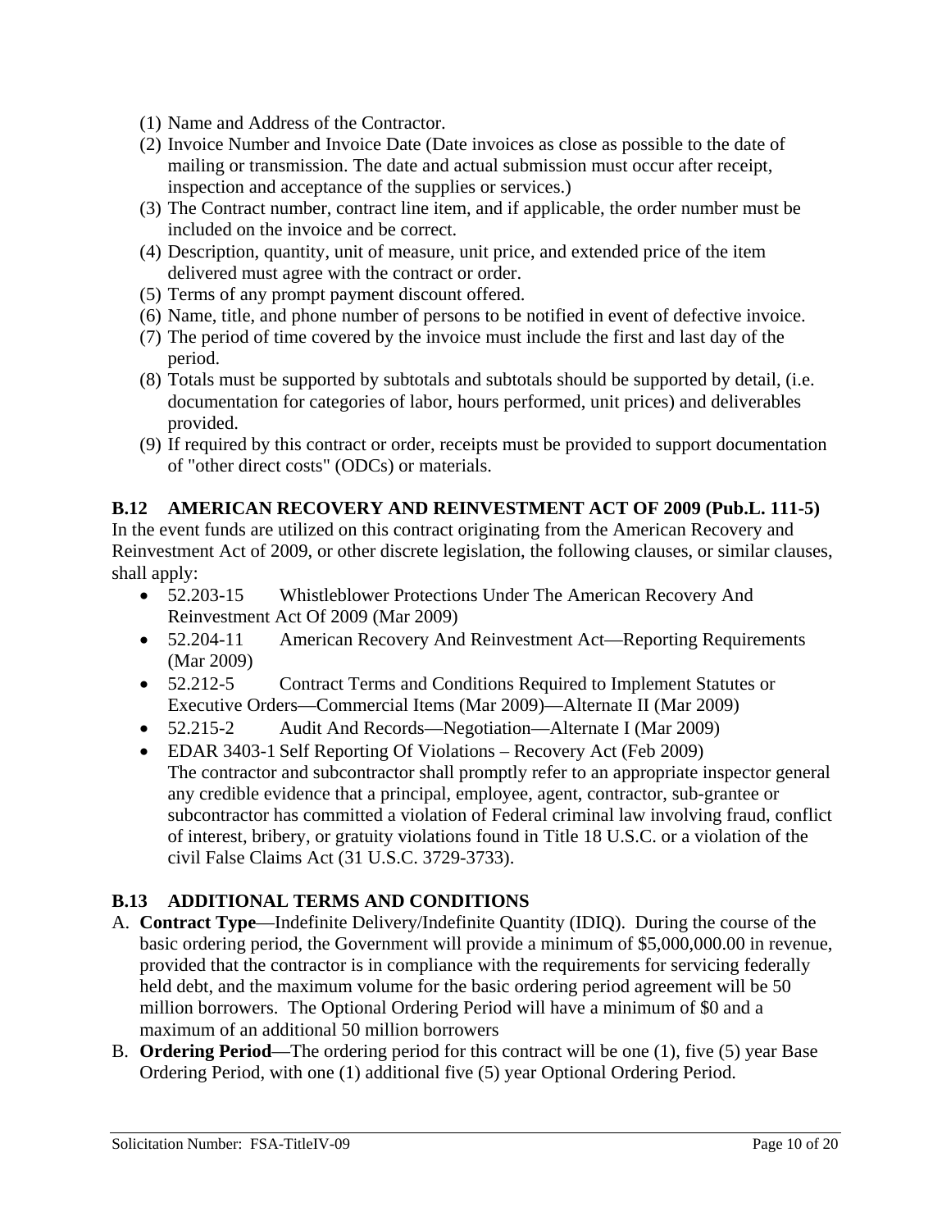- (1) Name and Address of the Contractor.
- (2) Invoice Number and Invoice Date (Date invoices as close as possible to the date of mailing or transmission. The date and actual submission must occur after receipt, inspection and acceptance of the supplies or services.)
- (3) The Contract number, contract line item, and if applicable, the order number must be included on the invoice and be correct.
- (4) Description, quantity, unit of measure, unit price, and extended price of the item delivered must agree with the contract or order.
- (5) Terms of any prompt payment discount offered.
- (6) Name, title, and phone number of persons to be notified in event of defective invoice.
- (7) The period of time covered by the invoice must include the first and last day of the period.
- (8) Totals must be supported by subtotals and subtotals should be supported by detail, (i.e. documentation for categories of labor, hours performed, unit prices) and deliverables provided.
- (9) If required by this contract or order, receipts must be provided to support documentation of "other direct costs" (ODCs) or materials.

#### **B.12 AMERICAN RECOVERY AND REINVESTMENT ACT OF 2009 (Pub.L. 111-5)**

In the event funds are utilized on this contract originating from the American Recovery and Reinvestment Act of 2009, or other discrete legislation, the following clauses, or similar clauses, shall apply:

- 52.203-15 Whistleblower Protections Under The American Recovery And Reinvestment Act Of 2009 (Mar 2009)
- 52.204-11 American Recovery And Reinvestment Act—Reporting Requirements (Mar 2009)
- 52.212-5 Contract Terms and Conditions Required to Implement Statutes or Executive Orders—Commercial Items (Mar 2009)—Alternate II (Mar 2009)
- 52.215-2 Audit And Records—Negotiation—Alternate I (Mar 2009)
- EDAR 3403-1 Self Reporting Of Violations Recovery Act (Feb 2009) The contractor and subcontractor shall promptly refer to an appropriate inspector general any credible evidence that a principal, employee, agent, contractor, sub-grantee or subcontractor has committed a violation of Federal criminal law involving fraud, conflict of interest, bribery, or gratuity violations found in Title 18 U.S.C. or a violation of the civil False Claims Act (31 U.S.C. 3729-3733).

#### **B.13 ADDITIONAL TERMS AND CONDITIONS**

- A. **Contract Type**—Indefinite Delivery/Indefinite Quantity (IDIQ). During the course of the basic ordering period, the Government will provide a minimum of \$5,000,000.00 in revenue, provided that the contractor is in compliance with the requirements for servicing federally held debt, and the maximum volume for the basic ordering period agreement will be 50 million borrowers. The Optional Ordering Period will have a minimum of \$0 and a maximum of an additional 50 million borrowers
- B. **Ordering Period**—The ordering period for this contract will be one (1), five (5) year Base Ordering Period, with one (1) additional five (5) year Optional Ordering Period.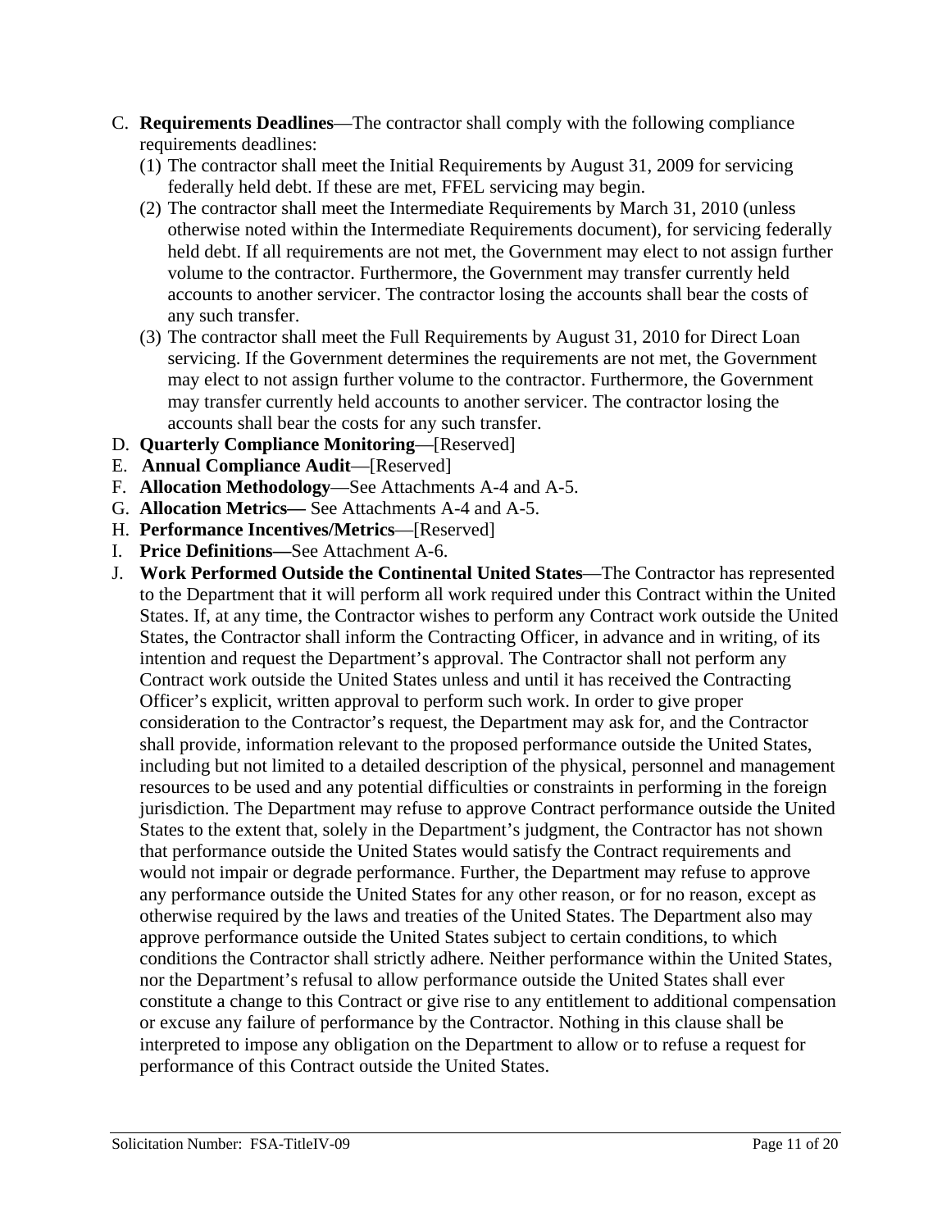- C. **Requirements Deadlines**—The contractor shall comply with the following compliance requirements deadlines:
	- (1) The contractor shall meet the Initial Requirements by August 31, 2009 for servicing federally held debt. If these are met, FFEL servicing may begin.
	- (2) The contractor shall meet the Intermediate Requirements by March 31, 2010 (unless otherwise noted within the Intermediate Requirements document), for servicing federally held debt. If all requirements are not met, the Government may elect to not assign further volume to the contractor. Furthermore, the Government may transfer currently held accounts to another servicer. The contractor losing the accounts shall bear the costs of any such transfer.
	- (3) The contractor shall meet the Full Requirements by August 31, 2010 for Direct Loan servicing. If the Government determines the requirements are not met, the Government may elect to not assign further volume to the contractor. Furthermore, the Government may transfer currently held accounts to another servicer. The contractor losing the accounts shall bear the costs for any such transfer.
- D. **Quarterly Compliance Monitoring**—[Reserved]
- E. **Annual Compliance Audit**—[Reserved]
- F. **Allocation Methodology**—See Attachments A-4 and A-5.
- G. **Allocation Metrics—** See Attachments A-4 and A-5.
- H. **Performance Incentives/Metrics**—[Reserved]
- I. **Price Definitions—**See Attachment A-6.
- J. **Work Performed Outside the Continental United States**—The Contractor has represented to the Department that it will perform all work required under this Contract within the United States. If, at any time, the Contractor wishes to perform any Contract work outside the United States, the Contractor shall inform the Contracting Officer, in advance and in writing, of its intention and request the Department's approval. The Contractor shall not perform any Contract work outside the United States unless and until it has received the Contracting Officer's explicit, written approval to perform such work. In order to give proper consideration to the Contractor's request, the Department may ask for, and the Contractor shall provide, information relevant to the proposed performance outside the United States, including but not limited to a detailed description of the physical, personnel and management resources to be used and any potential difficulties or constraints in performing in the foreign jurisdiction. The Department may refuse to approve Contract performance outside the United States to the extent that, solely in the Department's judgment, the Contractor has not shown that performance outside the United States would satisfy the Contract requirements and would not impair or degrade performance. Further, the Department may refuse to approve any performance outside the United States for any other reason, or for no reason, except as otherwise required by the laws and treaties of the United States. The Department also may approve performance outside the United States subject to certain conditions, to which conditions the Contractor shall strictly adhere. Neither performance within the United States, nor the Department's refusal to allow performance outside the United States shall ever constitute a change to this Contract or give rise to any entitlement to additional compensation or excuse any failure of performance by the Contractor. Nothing in this clause shall be interpreted to impose any obligation on the Department to allow or to refuse a request for performance of this Contract outside the United States.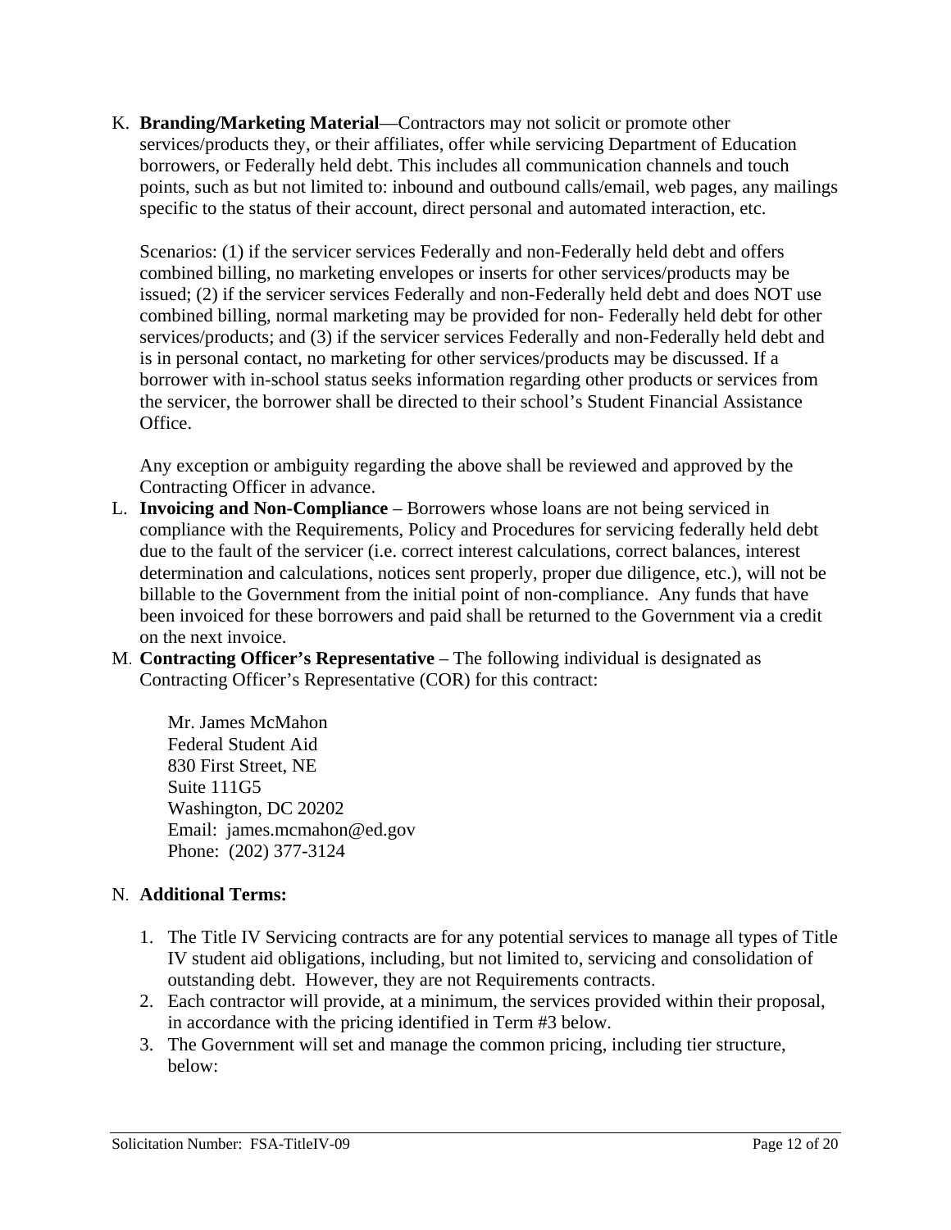K. **Branding/Marketing Material**—Contractors may not solicit or promote other services/products they, or their affiliates, offer while servicing Department of Education borrowers, or Federally held debt. This includes all communication channels and touch points, such as but not limited to: inbound and outbound calls/email, web pages, any mailings specific to the status of their account, direct personal and automated interaction, etc.

Scenarios: (1) if the servicer services Federally and non-Federally held debt and offers combined billing, no marketing envelopes or inserts for other services/products may be issued; (2) if the servicer services Federally and non-Federally held debt and does NOT use combined billing, normal marketing may be provided for non- Federally held debt for other services/products; and (3) if the servicer services Federally and non-Federally held debt and is in personal contact, no marketing for other services/products may be discussed. If a borrower with in-school status seeks information regarding other products or services from the servicer, the borrower shall be directed to their school's Student Financial Assistance Office.

Any exception or ambiguity regarding the above shall be reviewed and approved by the Contracting Officer in advance.

- L. **Invoicing and Non-Compliance** Borrowers whose loans are not being serviced in compliance with the Requirements, Policy and Procedures for servicing federally held debt due to the fault of the servicer (i.e. correct interest calculations, correct balances, interest determination and calculations, notices sent properly, proper due diligence, etc.), will not be billable to the Government from the initial point of non-compliance. Any funds that have been invoiced for these borrowers and paid shall be returned to the Government via a credit on the next invoice.
- M. **Contracting Officer's Representative** The following individual is designated as Contracting Officer's Representative (COR) for this contract:

 Mr. James McMahon Federal Student Aid 830 First Street, NE Suite 111G5 Washington, DC 20202 Email: james.mcmahon@ed.gov Phone: (202) 377-3124

#### N. **Additional Terms:**

- 1. The Title IV Servicing contracts are for any potential services to manage all types of Title IV student aid obligations, including, but not limited to, servicing and consolidation of outstanding debt. However, they are not Requirements contracts.
- 2. Each contractor will provide, at a minimum, the services provided within their proposal, in accordance with the pricing identified in Term #3 below.
- 3. The Government will set and manage the common pricing, including tier structure, below: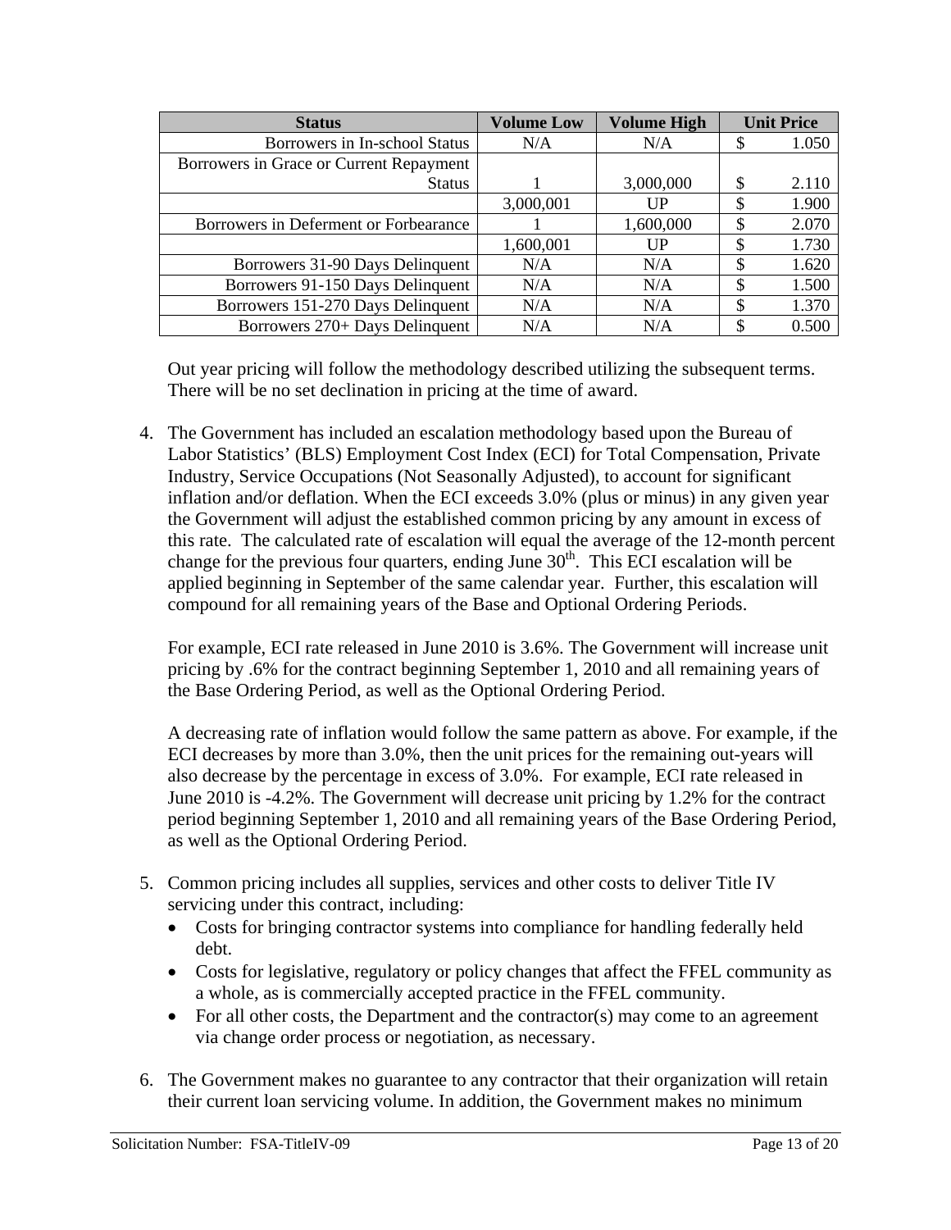| <b>Status</b>                           | <b>Volume Low</b> | <b>Volume High</b> | <b>Unit Price</b> |
|-----------------------------------------|-------------------|--------------------|-------------------|
| Borrowers in In-school Status           | N/A               | N/A                | 1.050             |
| Borrowers in Grace or Current Repayment |                   |                    |                   |
| <b>Status</b>                           |                   | 3,000,000          | 2.110             |
|                                         | 3,000,001         | UP                 | \$<br>1.900       |
| Borrowers in Deferment or Forbearance   |                   | 1,600,000          | \$<br>2.070       |
|                                         | 1,600,001         | $_{\text{UP}}$     | 1.730             |
| Borrowers 31-90 Days Delinquent         | N/A               | N/A                | 1.620             |
| Borrowers 91-150 Days Delinquent        | N/A               | N/A                | \$<br>1.500       |
| Borrowers 151-270 Days Delinquent       | N/A               | N/A                | 1.370             |
| Borrowers 270+ Days Delinquent          | N/A               | N/A                | 0.500             |

Out year pricing will follow the methodology described utilizing the subsequent terms. There will be no set declination in pricing at the time of award.

4. The Government has included an escalation methodology based upon the Bureau of Labor Statistics' (BLS) Employment Cost Index (ECI) for Total Compensation, Private Industry, Service Occupations (Not Seasonally Adjusted), to account for significant inflation and/or deflation. When the ECI exceeds 3.0% (plus or minus) in any given year the Government will adjust the established common pricing by any amount in excess of this rate. The calculated rate of escalation will equal the average of the 12-month percent change for the previous four quarters, ending June  $30<sup>th</sup>$ . This ECI escalation will be applied beginning in September of the same calendar year. Further, this escalation will compound for all remaining years of the Base and Optional Ordering Periods.

For example, ECI rate released in June 2010 is 3.6%. The Government will increase unit pricing by .6% for the contract beginning September 1, 2010 and all remaining years of the Base Ordering Period, as well as the Optional Ordering Period.

A decreasing rate of inflation would follow the same pattern as above. For example, if the ECI decreases by more than 3.0%, then the unit prices for the remaining out-years will also decrease by the percentage in excess of 3.0%. For example, ECI rate released in June 2010 is -4.2%. The Government will decrease unit pricing by 1.2% for the contract period beginning September 1, 2010 and all remaining years of the Base Ordering Period, as well as the Optional Ordering Period.

- 5. Common pricing includes all supplies, services and other costs to deliver Title IV servicing under this contract, including:
	- Costs for bringing contractor systems into compliance for handling federally held debt.
	- Costs for legislative, regulatory or policy changes that affect the FFEL community as a whole, as is commercially accepted practice in the FFEL community.
	- For all other costs, the Department and the contractor(s) may come to an agreement via change order process or negotiation, as necessary.
- 6. The Government makes no guarantee to any contractor that their organization will retain their current loan servicing volume. In addition, the Government makes no minimum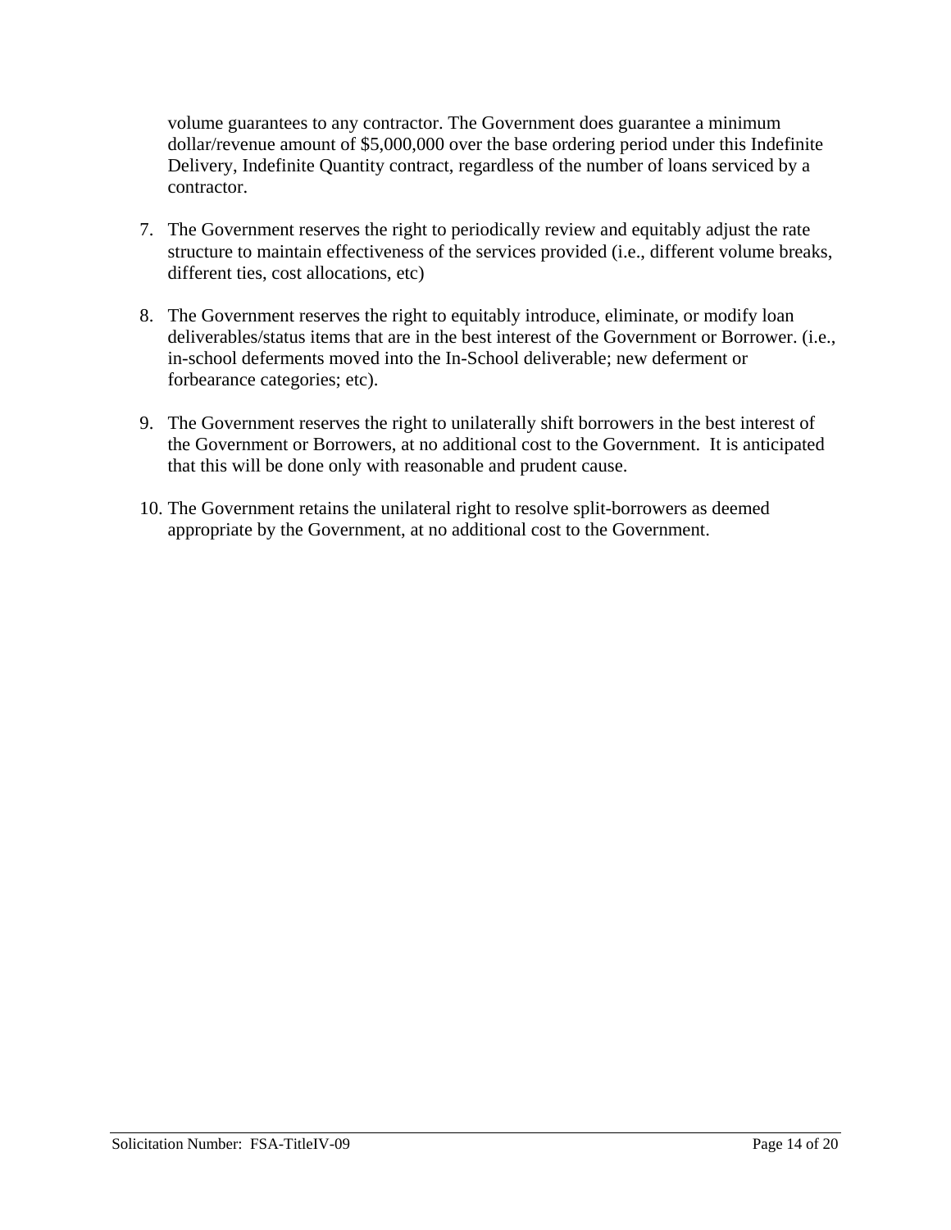volume guarantees to any contractor. The Government does guarantee a minimum dollar/revenue amount of \$5,000,000 over the base ordering period under this Indefinite Delivery, Indefinite Quantity contract, regardless of the number of loans serviced by a contractor.

- 7. The Government reserves the right to periodically review and equitably adjust the rate structure to maintain effectiveness of the services provided (i.e., different volume breaks, different ties, cost allocations, etc)
- 8. The Government reserves the right to equitably introduce, eliminate, or modify loan deliverables/status items that are in the best interest of the Government or Borrower. (i.e., in-school deferments moved into the In-School deliverable; new deferment or forbearance categories; etc).
- 9. The Government reserves the right to unilaterally shift borrowers in the best interest of the Government or Borrowers, at no additional cost to the Government. It is anticipated that this will be done only with reasonable and prudent cause.
- 10. The Government retains the unilateral right to resolve split-borrowers as deemed appropriate by the Government, at no additional cost to the Government.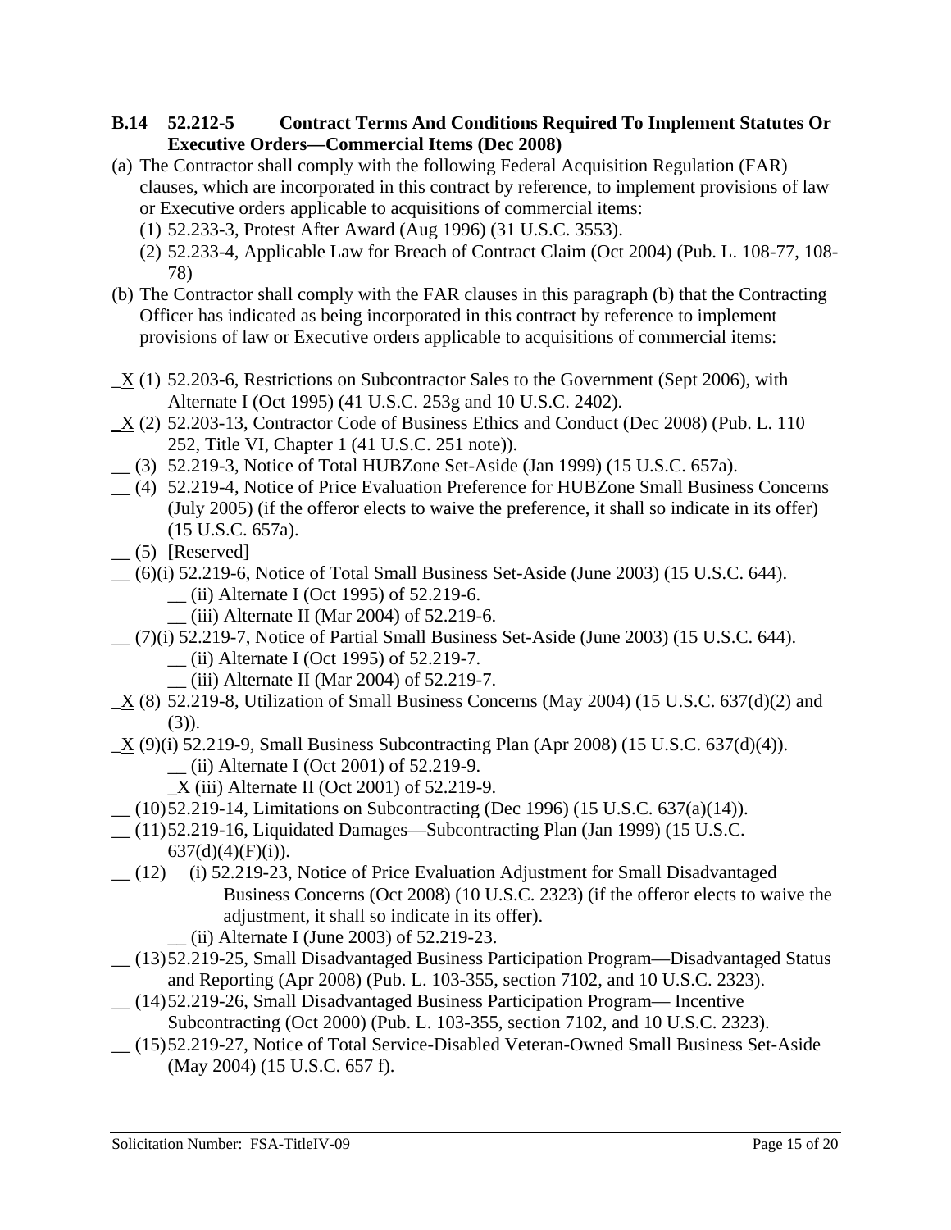#### **B.14 52.212-5 Contract Terms And Conditions Required To Implement Statutes Or Executive Orders—Commercial Items (Dec 2008)**

- (a) The Contractor shall comply with the following Federal Acquisition Regulation (FAR) clauses, which are incorporated in this contract by reference, to implement provisions of law or Executive orders applicable to acquisitions of commercial items:
	- (1) 52.233-3, Protest After Award (Aug 1996) (31 U.S.C. 3553).
	- (2) 52.233-4, Applicable Law for Breach of Contract Claim (Oct 2004) (Pub. L. 108-77, 108- 78)
- (b) The Contractor shall comply with the FAR clauses in this paragraph (b) that the Contracting Officer has indicated as being incorporated in this contract by reference to implement provisions of law or Executive orders applicable to acquisitions of commercial items:
- $\underline{X}$  (1) 52.203-6, Restrictions on Subcontractor Sales to the Government (Sept 2006), with Alternate I (Oct 1995) (41 U.S.C. 253g and 10 U.S.C. 2402).
- \_X (2) 52.203-13, Contractor Code of Business Ethics and Conduct (Dec 2008) (Pub. L. 110 252, Title VI, Chapter 1 (41 U.S.C. 251 note)).
- \_\_ (3) 52.219-3, Notice of Total HUBZone Set-Aside (Jan 1999) (15 U.S.C. 657a).
- \_\_ (4) 52.219-4, Notice of Price Evaluation Preference for HUBZone Small Business Concerns (July 2005) (if the offeror elects to waive the preference, it shall so indicate in its offer) (15 U.S.C. 657a).
- $\qquad$  (5) [Reserved]
- \_\_ (6)(i) 52.219-6, Notice of Total Small Business Set-Aside (June 2003) (15 U.S.C. 644). \_\_ (ii) Alternate I (Oct 1995) of 52.219-6.
	- \_\_ (iii) Alternate II (Mar 2004) of 52.219-6.
- \_\_ (7)(i) 52.219-7, Notice of Partial Small Business Set-Aside (June 2003) (15 U.S.C. 644). \_\_ (ii) Alternate I (Oct 1995) of 52.219-7.
	- \_\_ (iii) Alternate II (Mar 2004) of 52.219-7.
- $X(8)$  52.219-8, Utilization of Small Business Concerns (May 2004) (15 U.S.C. 637(d)(2) and  $(3)$ ).
- \_X (9)(i) 52.219-9, Small Business Subcontracting Plan (Apr 2008) (15 U.S.C. 637(d)(4)). \_\_ (ii) Alternate I (Oct 2001) of 52.219-9.
	- \_X (iii) Alternate II (Oct 2001) of 52.219-9.
- \_\_ (10) 52.219-14, Limitations on Subcontracting (Dec 1996) (15 U.S.C. 637(a)(14)).
- \_\_ (11) 52.219-16, Liquidated Damages—Subcontracting Plan (Jan 1999) (15 U.S.C.  $637(d)(4)(F)(i)$ ).
- \_\_ (12) (i) 52.219-23, Notice of Price Evaluation Adjustment for Small Disadvantaged Business Concerns (Oct 2008) (10 U.S.C. 2323) (if the offeror elects to waive the adjustment, it shall so indicate in its offer).
	- \_\_ (ii) Alternate I (June 2003) of 52.219-23.
- \_\_ (13) 52.219-25, Small Disadvantaged Business Participation Program—Disadvantaged Status and Reporting (Apr 2008) (Pub. L. 103-355, section 7102, and 10 U.S.C. 2323).
- \_\_ (14) 52.219-26, Small Disadvantaged Business Participation Program— Incentive Subcontracting (Oct 2000) (Pub. L. 103-355, section 7102, and 10 U.S.C. 2323).
- \_\_ (15) 52.219-27, Notice of Total Service-Disabled Veteran-Owned Small Business Set-Aside (May 2004) (15 U.S.C. 657 f).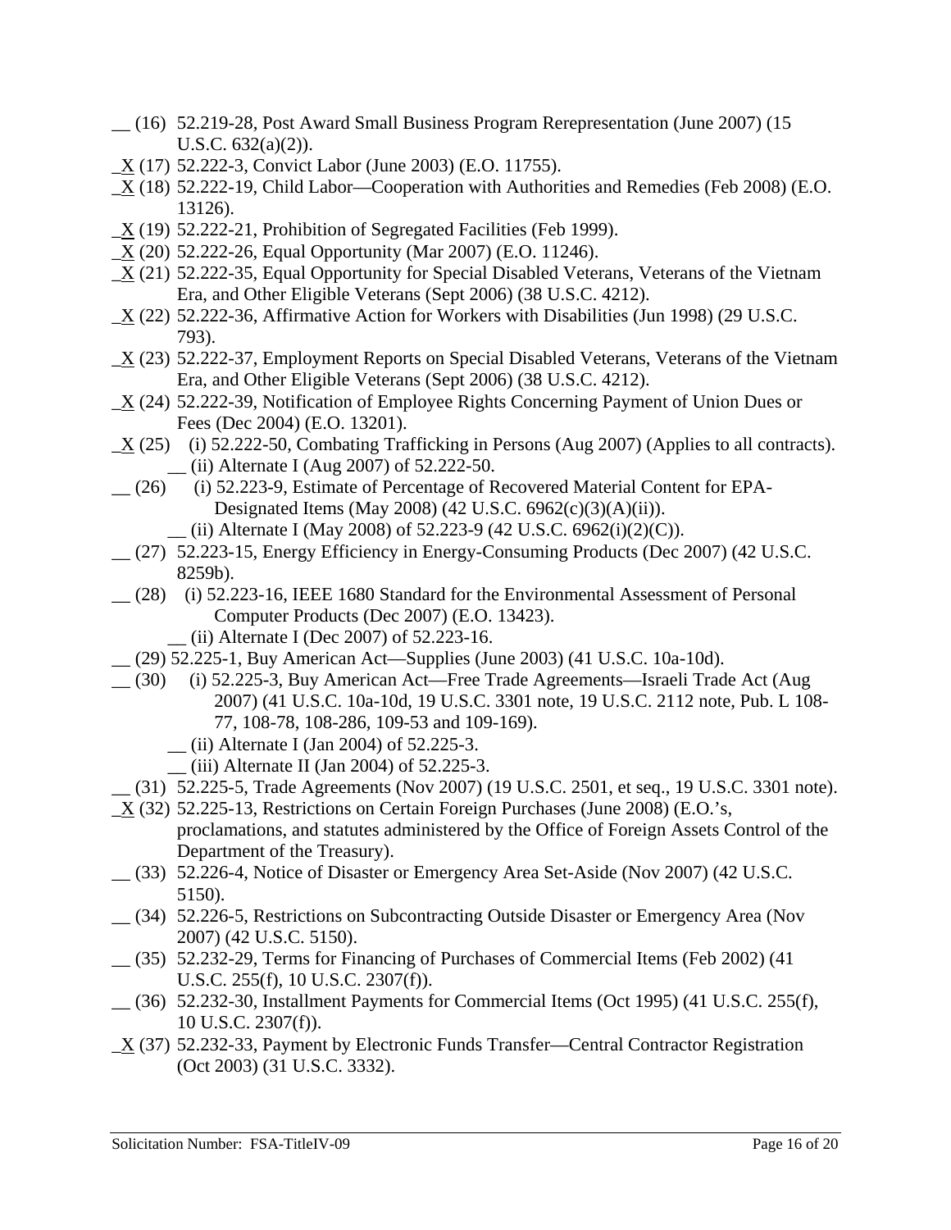- \_\_ (16) 52.219-28, Post Award Small Business Program Rerepresentation (June 2007) (15 U.S.C. 632(a)(2)).
- \_X (17) 52.222-3, Convict Labor (June 2003) (E.O. 11755).
- $X(18)$  52.222-19, Child Labor—Cooperation with Authorities and Remedies (Feb 2008) (E.O. 13126).
- $\underline{X}$  (19) 52.222-21, Prohibition of Segregated Facilities (Feb 1999).
- $\underline{X}$  (20) 52.222-26, Equal Opportunity (Mar 2007) (E.O. 11246).
- $X(21)$  52.222-35, Equal Opportunity for Special Disabled Veterans, Veterans of the Vietnam Era, and Other Eligible Veterans (Sept 2006) (38 U.S.C. 4212).
- \_X (22) 52.222-36, Affirmative Action for Workers with Disabilities (Jun 1998) (29 U.S.C. 793).
- \_X (23) 52.222-37, Employment Reports on Special Disabled Veterans, Veterans of the Vietnam Era, and Other Eligible Veterans (Sept 2006) (38 U.S.C. 4212).
- $X(24)$  52.222-39, Notification of Employee Rights Concerning Payment of Union Dues or Fees (Dec 2004) (E.O. 13201).
- \_X (25) (i) 52.222-50, Combating Trafficking in Persons (Aug 2007) (Applies to all contracts). \_\_ (ii) Alternate I (Aug 2007) of 52.222-50.
- \_\_ (26) (i) 52.223-9, Estimate of Percentage of Recovered Material Content for EPA-Designated Items (May 2008) (42 U.S.C. 6962(c)(3)(A)(ii)).
	- $\qquad$  (ii) Alternate I (May 2008) of 52.223-9 (42 U.S.C. 6962(i)(2)(C)).
- \_\_ (27) 52.223-15, Energy Efficiency in Energy-Consuming Products (Dec 2007) (42 U.S.C. 8259b).
- \_\_ (28) (i) 52.223-16, IEEE 1680 Standard for the Environmental Assessment of Personal Computer Products (Dec 2007) (E.O. 13423).
	- \_\_ (ii) Alternate I (Dec 2007) of 52.223-16.
- \_\_ (29) 52.225-1, Buy American Act—Supplies (June 2003) (41 U.S.C. 10a-10d).
- \_\_ (30) (i) 52.225-3, Buy American Act—Free Trade Agreements—Israeli Trade Act (Aug 2007) (41 U.S.C. 10a-10d, 19 U.S.C. 3301 note, 19 U.S.C. 2112 note, Pub. L 108- 77, 108-78, 108-286, 109-53 and 109-169).
	- \_\_ (ii) Alternate I (Jan 2004) of 52.225-3.
	- \_\_ (iii) Alternate II (Jan 2004) of 52.225-3.
	- \_\_ (31) 52.225-5, Trade Agreements (Nov 2007) (19 U.S.C. 2501, et seq., 19 U.S.C. 3301 note).
- \_X (32) 52.225-13, Restrictions on Certain Foreign Purchases (June 2008) (E.O.'s, proclamations, and statutes administered by the Office of Foreign Assets Control of the Department of the Treasury).
- \_\_ (33) 52.226-4, Notice of Disaster or Emergency Area Set-Aside (Nov 2007) (42 U.S.C. 5150).
- \_\_ (34) 52.226-5, Restrictions on Subcontracting Outside Disaster or Emergency Area (Nov 2007) (42 U.S.C. 5150).
- \_\_ (35) 52.232-29, Terms for Financing of Purchases of Commercial Items (Feb 2002) (41 U.S.C. 255(f), 10 U.S.C. 2307(f)).
- \_\_ (36) 52.232-30, Installment Payments for Commercial Items (Oct 1995) (41 U.S.C. 255(f), 10 U.S.C. 2307(f)).
- \_X (37) 52.232-33, Payment by Electronic Funds Transfer—Central Contractor Registration (Oct 2003) (31 U.S.C. 3332).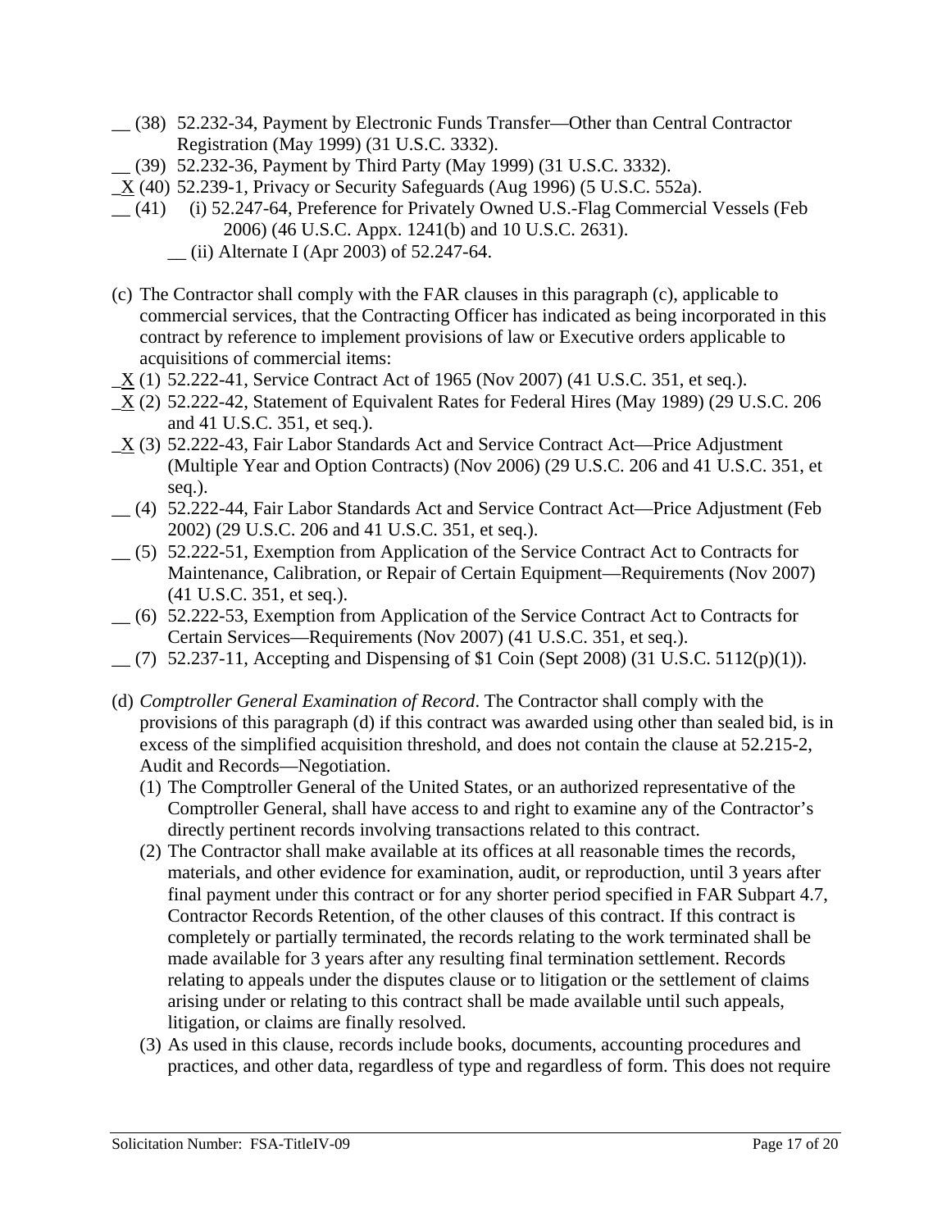- \_\_ (38) 52.232-34, Payment by Electronic Funds Transfer—Other than Central Contractor Registration (May 1999) (31 U.S.C. 3332).
- \_\_ (39) 52.232-36, Payment by Third Party (May 1999) (31 U.S.C. 3332).
- $X(40)$  52.239-1, Privacy or Security Safeguards (Aug 1996) (5 U.S.C. 552a).
- \_\_ (41) (i) 52.247-64, Preference for Privately Owned U.S.-Flag Commercial Vessels (Feb 2006) (46 U.S.C. Appx. 1241(b) and 10 U.S.C. 2631).
	- \_\_ (ii) Alternate I (Apr 2003) of 52.247-64.
- (c) The Contractor shall comply with the FAR clauses in this paragraph (c), applicable to commercial services, that the Contracting Officer has indicated as being incorporated in this contract by reference to implement provisions of law or Executive orders applicable to acquisitions of commercial items:
- $\underline{X}$  (1) 52.222-41, Service Contract Act of 1965 (Nov 2007) (41 U.S.C. 351, et seq.).
- $X(2)$  52.222-42, Statement of Equivalent Rates for Federal Hires (May 1989) (29 U.S.C. 206 and 41 U.S.C. 351, et seq.).
- \_X (3) 52.222-43, Fair Labor Standards Act and Service Contract Act—Price Adjustment (Multiple Year and Option Contracts) (Nov 2006) (29 U.S.C. 206 and 41 U.S.C. 351, et seq.).
- \_\_ (4) 52.222-44, Fair Labor Standards Act and Service Contract Act—Price Adjustment (Feb 2002) (29 U.S.C. 206 and 41 U.S.C. 351, et seq.).
- \_\_ (5) 52.222-51, Exemption from Application of the Service Contract Act to Contracts for Maintenance, Calibration, or Repair of Certain Equipment—Requirements (Nov 2007) (41 U.S.C. 351, et seq.).
- \_\_ (6) 52.222-53, Exemption from Application of the Service Contract Act to Contracts for Certain Services—Requirements (Nov 2007) (41 U.S.C. 351, et seq.).
- $(7)$  52.237-11, Accepting and Dispensing of \$1 Coin (Sept 2008) (31 U.S.C. 5112(p)(1)).
- (d) *Comptroller General Examination of Record*. The Contractor shall comply with the provisions of this paragraph (d) if this contract was awarded using other than sealed bid, is in excess of the simplified acquisition threshold, and does not contain the clause at 52.215-2, Audit and Records—Negotiation.
	- (1) The Comptroller General of the United States, or an authorized representative of the Comptroller General, shall have access to and right to examine any of the Contractor's directly pertinent records involving transactions related to this contract.
	- (2) The Contractor shall make available at its offices at all reasonable times the records, materials, and other evidence for examination, audit, or reproduction, until 3 years after final payment under this contract or for any shorter period specified in FAR Subpart 4.7, Contractor Records Retention, of the other clauses of this contract. If this contract is completely or partially terminated, the records relating to the work terminated shall be made available for 3 years after any resulting final termination settlement. Records relating to appeals under the disputes clause or to litigation or the settlement of claims arising under or relating to this contract shall be made available until such appeals, litigation, or claims are finally resolved.
	- (3) As used in this clause, records include books, documents, accounting procedures and practices, and other data, regardless of type and regardless of form. This does not require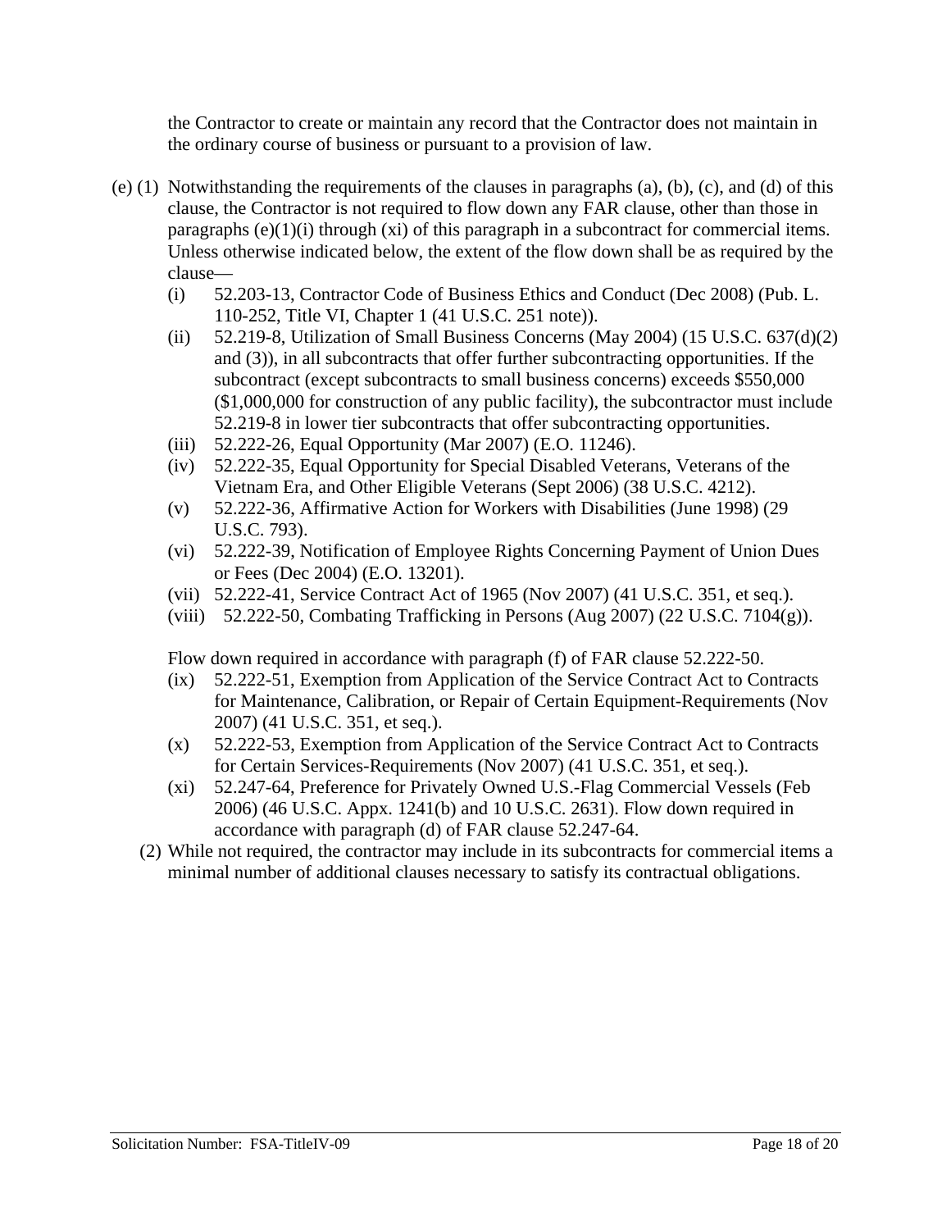the Contractor to create or maintain any record that the Contractor does not maintain in the ordinary course of business or pursuant to a provision of law.

- (e) (1) Notwithstanding the requirements of the clauses in paragraphs (a), (b), (c), and (d) of this clause, the Contractor is not required to flow down any FAR clause, other than those in paragraphs  $(e)(1)(i)$  through  $(xi)$  of this paragraph in a subcontract for commercial items. Unless otherwise indicated below, the extent of the flow down shall be as required by the clause—
	- (i) 52.203-13, Contractor Code of Business Ethics and Conduct (Dec 2008) (Pub. L. 110-252, Title VI, Chapter 1 (41 U.S.C. 251 note)).
	- (ii) 52.219-8, Utilization of Small Business Concerns (May 2004) (15 U.S.C.  $637(d)(2)$ and (3)), in all subcontracts that offer further subcontracting opportunities. If the subcontract (except subcontracts to small business concerns) exceeds \$550,000 (\$1,000,000 for construction of any public facility), the subcontractor must include 52.219-8 in lower tier subcontracts that offer subcontracting opportunities.
	- (iii) 52.222-26, Equal Opportunity (Mar 2007) (E.O. 11246).
	- (iv) 52.222-35, Equal Opportunity for Special Disabled Veterans, Veterans of the Vietnam Era, and Other Eligible Veterans (Sept 2006) (38 U.S.C. 4212).
	- (v) 52.222-36, Affirmative Action for Workers with Disabilities (June 1998) (29 U.S.C. 793).
	- (vi) 52.222-39, Notification of Employee Rights Concerning Payment of Union Dues or Fees (Dec 2004) (E.O. 13201).
	- (vii) 52.222-41, Service Contract Act of 1965 (Nov 2007) (41 U.S.C. 351, et seq.).
	- (viii) 52.222-50, Combating Trafficking in Persons (Aug 2007) (22 U.S.C. 7104(g)).

Flow down required in accordance with paragraph (f) of FAR clause 52.222-50.

- (ix) 52.222-51, Exemption from Application of the Service Contract Act to Contracts for Maintenance, Calibration, or Repair of Certain Equipment-Requirements (Nov 2007) (41 U.S.C. 351, et seq.).
- (x) 52.222-53, Exemption from Application of the Service Contract Act to Contracts for Certain Services-Requirements (Nov 2007) (41 U.S.C. 351, et seq.).
- (xi) 52.247-64, Preference for Privately Owned U.S.-Flag Commercial Vessels (Feb 2006) (46 U.S.C. Appx. 1241(b) and 10 U.S.C. 2631). Flow down required in accordance with paragraph (d) of FAR clause 52.247-64.
- (2) While not required, the contractor may include in its subcontracts for commercial items a minimal number of additional clauses necessary to satisfy its contractual obligations.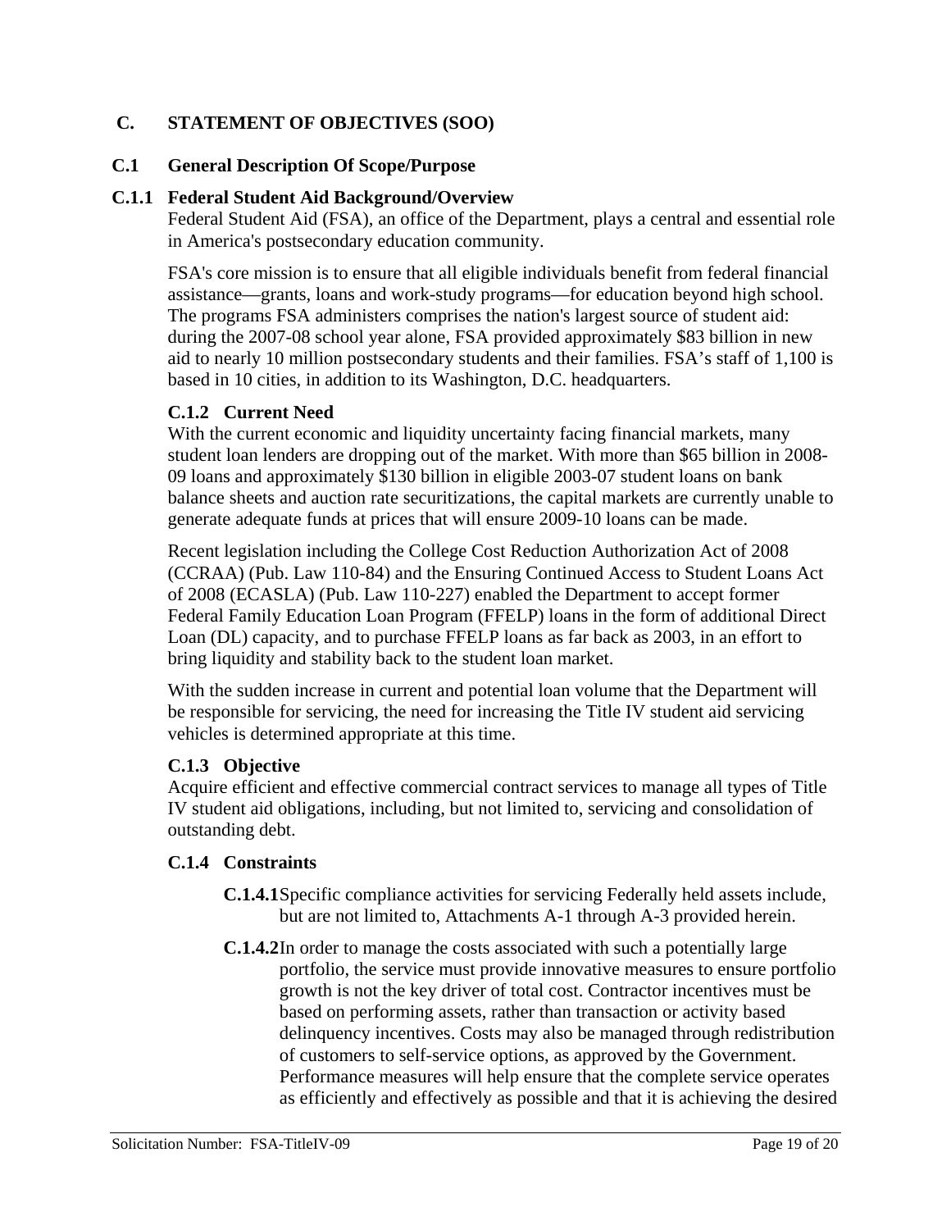#### **C. STATEMENT OF OBJECTIVES (SOO)**

#### **C.1 General Description Of Scope/Purpose**

#### **C.1.1 Federal Student Aid Background/Overview**

Federal Student Aid (FSA), an office of the Department, plays a central and essential role in America's postsecondary education community.

FSA's core mission is to ensure that all eligible individuals benefit from federal financial assistance—grants, loans and work-study programs—for education beyond high school. The programs FSA administers comprises the nation's largest source of student aid: during the 2007-08 school year alone, FSA provided approximately \$83 billion in new aid to nearly 10 million postsecondary students and their families. FSA's staff of 1,100 is based in 10 cities, in addition to its Washington, D.C. headquarters.

#### **C.1.2 Current Need**

With the current economic and liquidity uncertainty facing financial markets, many student loan lenders are dropping out of the market. With more than \$65 billion in 2008- 09 loans and approximately \$130 billion in eligible 2003-07 student loans on bank balance sheets and auction rate securitizations, the capital markets are currently unable to generate adequate funds at prices that will ensure 2009-10 loans can be made.

Recent legislation including the College Cost Reduction Authorization Act of 2008 (CCRAA) (Pub. Law 110-84) and the Ensuring Continued Access to Student Loans Act of 2008 (ECASLA) (Pub. Law 110-227) enabled the Department to accept former Federal Family Education Loan Program (FFELP) loans in the form of additional Direct Loan (DL) capacity, and to purchase FFELP loans as far back as 2003, in an effort to bring liquidity and stability back to the student loan market.

With the sudden increase in current and potential loan volume that the Department will be responsible for servicing, the need for increasing the Title IV student aid servicing vehicles is determined appropriate at this time.

#### **C.1.3 Objective**

Acquire efficient and effective commercial contract services to manage all types of Title IV student aid obligations, including, but not limited to, servicing and consolidation of outstanding debt.

#### **C.1.4 Constraints**

- **C.1.4.1** Specific compliance activities for servicing Federally held assets include, but are not limited to, Attachments A-1 through A-3 provided herein.
- **C.1.4.2** In order to manage the costs associated with such a potentially large portfolio, the service must provide innovative measures to ensure portfolio growth is not the key driver of total cost. Contractor incentives must be based on performing assets, rather than transaction or activity based delinquency incentives. Costs may also be managed through redistribution of customers to self-service options, as approved by the Government. Performance measures will help ensure that the complete service operates as efficiently and effectively as possible and that it is achieving the desired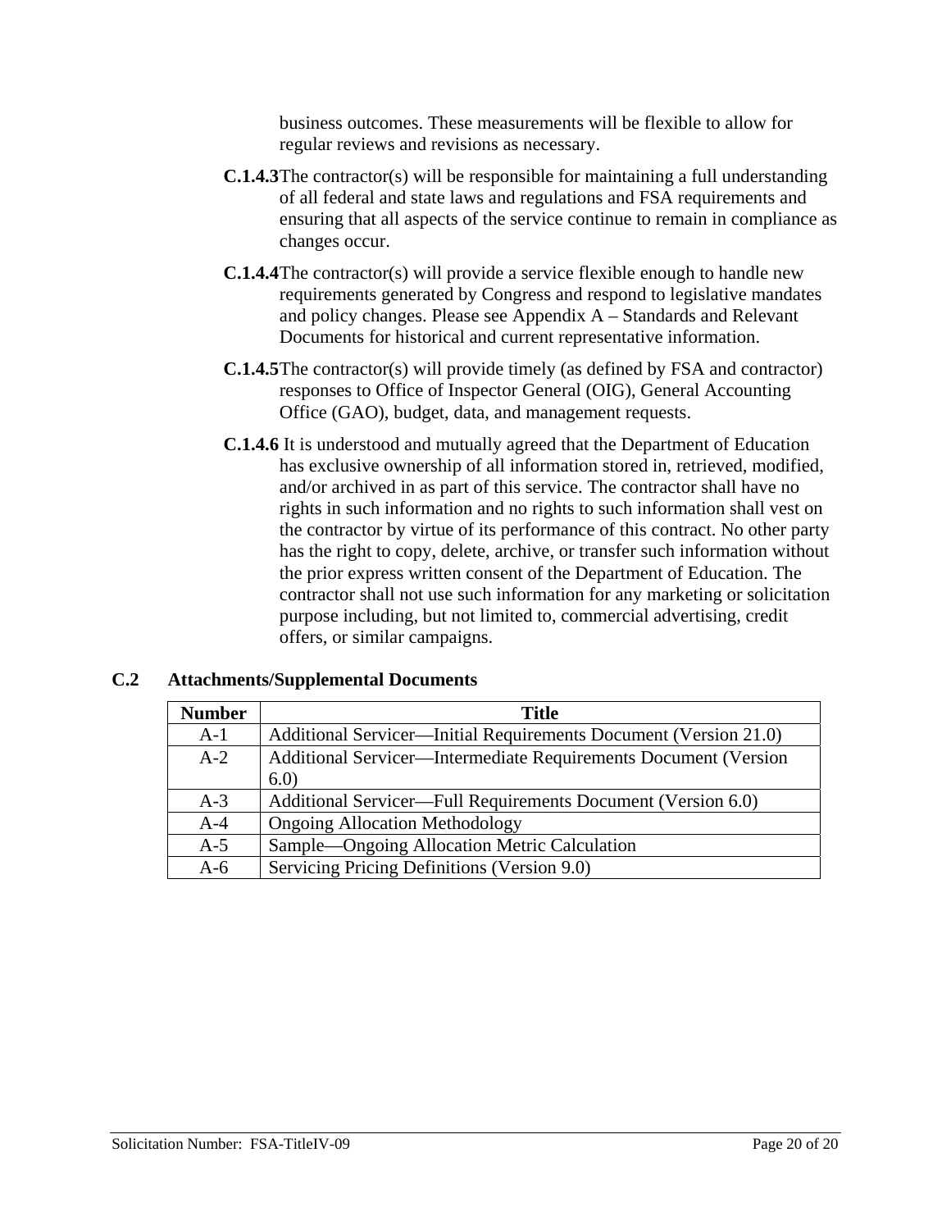business outcomes. These measurements will be flexible to allow for regular reviews and revisions as necessary.

- **C.1.4.3** The contractor(s) will be responsible for maintaining a full understanding of all federal and state laws and regulations and FSA requirements and ensuring that all aspects of the service continue to remain in compliance as changes occur.
- **C.1.4.4** The contractor(s) will provide a service flexible enough to handle new requirements generated by Congress and respond to legislative mandates and policy changes. Please see Appendix A – Standards and Relevant Documents for historical and current representative information.
- **C.1.4.5** The contractor(s) will provide timely (as defined by FSA and contractor) responses to Office of Inspector General (OIG), General Accounting Office (GAO), budget, data, and management requests.
- **C.1.4.6** It is understood and mutually agreed that the Department of Education has exclusive ownership of all information stored in, retrieved, modified, and/or archived in as part of this service. The contractor shall have no rights in such information and no rights to such information shall vest on the contractor by virtue of its performance of this contract. No other party has the right to copy, delete, archive, or transfer such information without the prior express written consent of the Department of Education. The contractor shall not use such information for any marketing or solicitation purpose including, but not limited to, commercial advertising, credit offers, or similar campaigns.

| <b>Number</b> | <b>Title</b>                                                     |
|---------------|------------------------------------------------------------------|
| $A-1$         | Additional Servicer—Initial Requirements Document (Version 21.0) |
| $A-2$         | Additional Servicer—Intermediate Requirements Document (Version  |
|               | 6.0                                                              |
| $A-3$         | Additional Servicer—Full Requirements Document (Version 6.0)     |
| $A-4$         | <b>Ongoing Allocation Methodology</b>                            |
| $A-5$         | Sample—Ongoing Allocation Metric Calculation                     |
| $A-6$         | Servicing Pricing Definitions (Version 9.0)                      |

#### **C.2 Attachments/Supplemental Documents**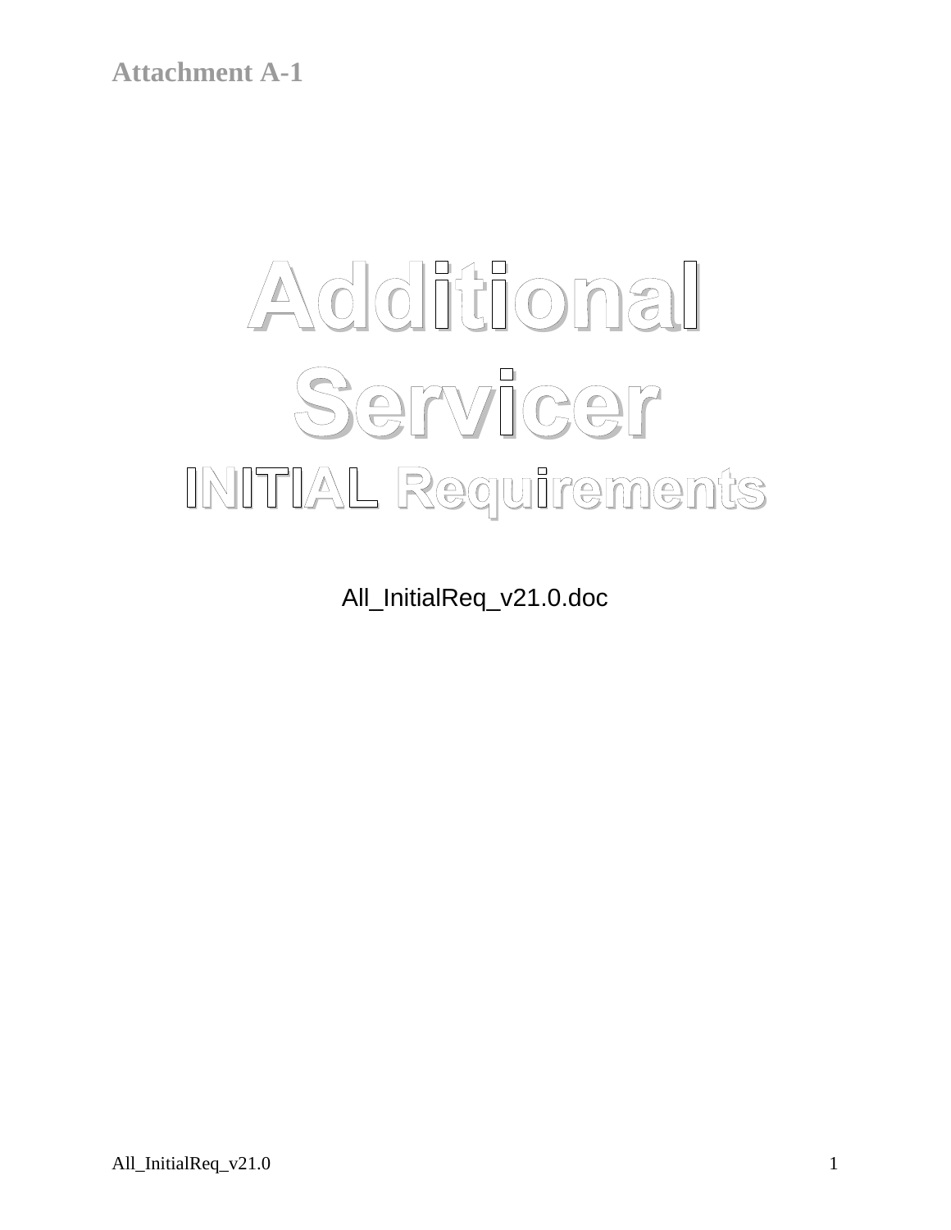# **Additional Servicer INITIAL Requirements**

All\_InitialReq\_v21.0.doc

All\_InitialReq\_v21.0 1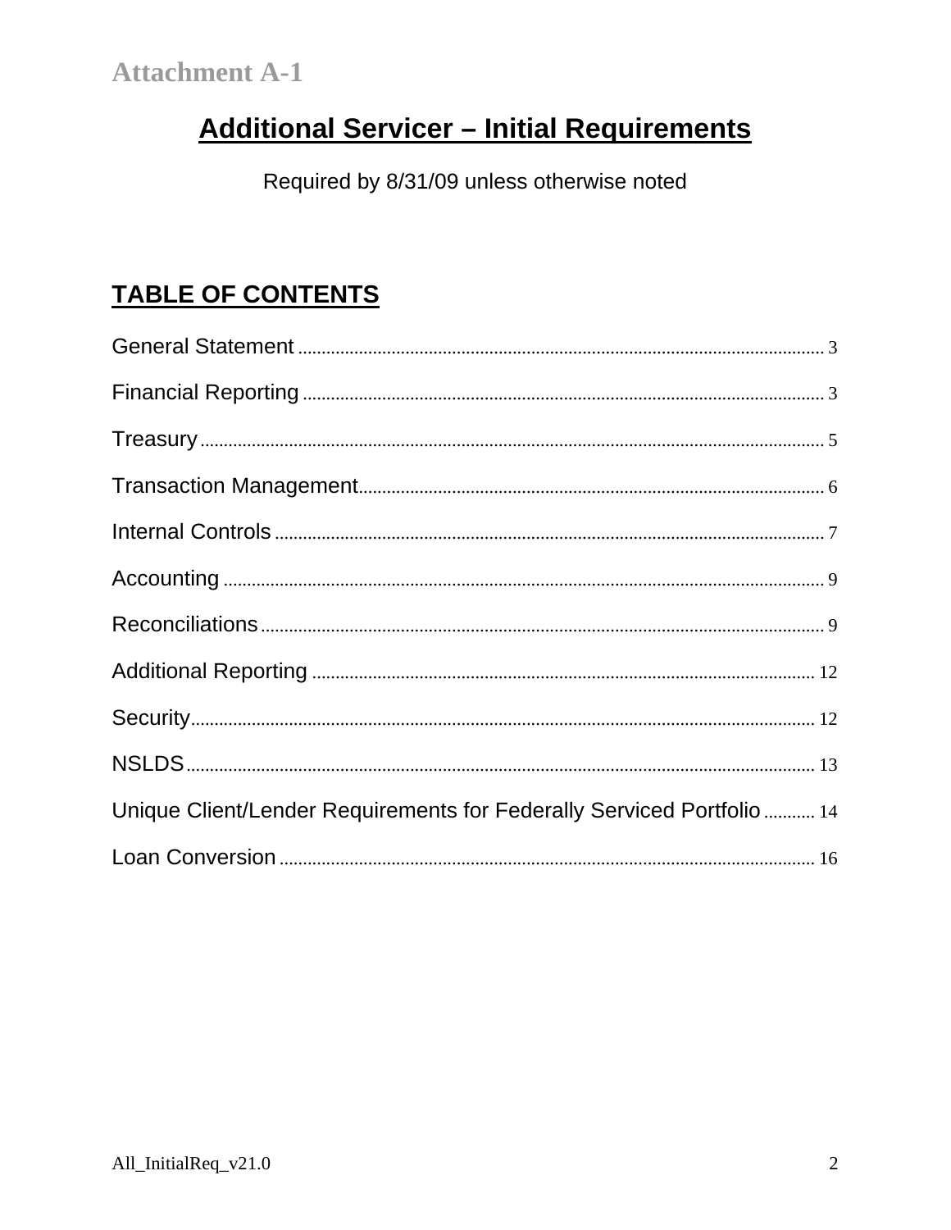# **Additional Servicer - Initial Requirements**

Required by 8/31/09 unless otherwise noted

## **TABLE OF CONTENTS**

| Unique Client/Lender Requirements for Federally Serviced Portfolio  14 |
|------------------------------------------------------------------------|
|                                                                        |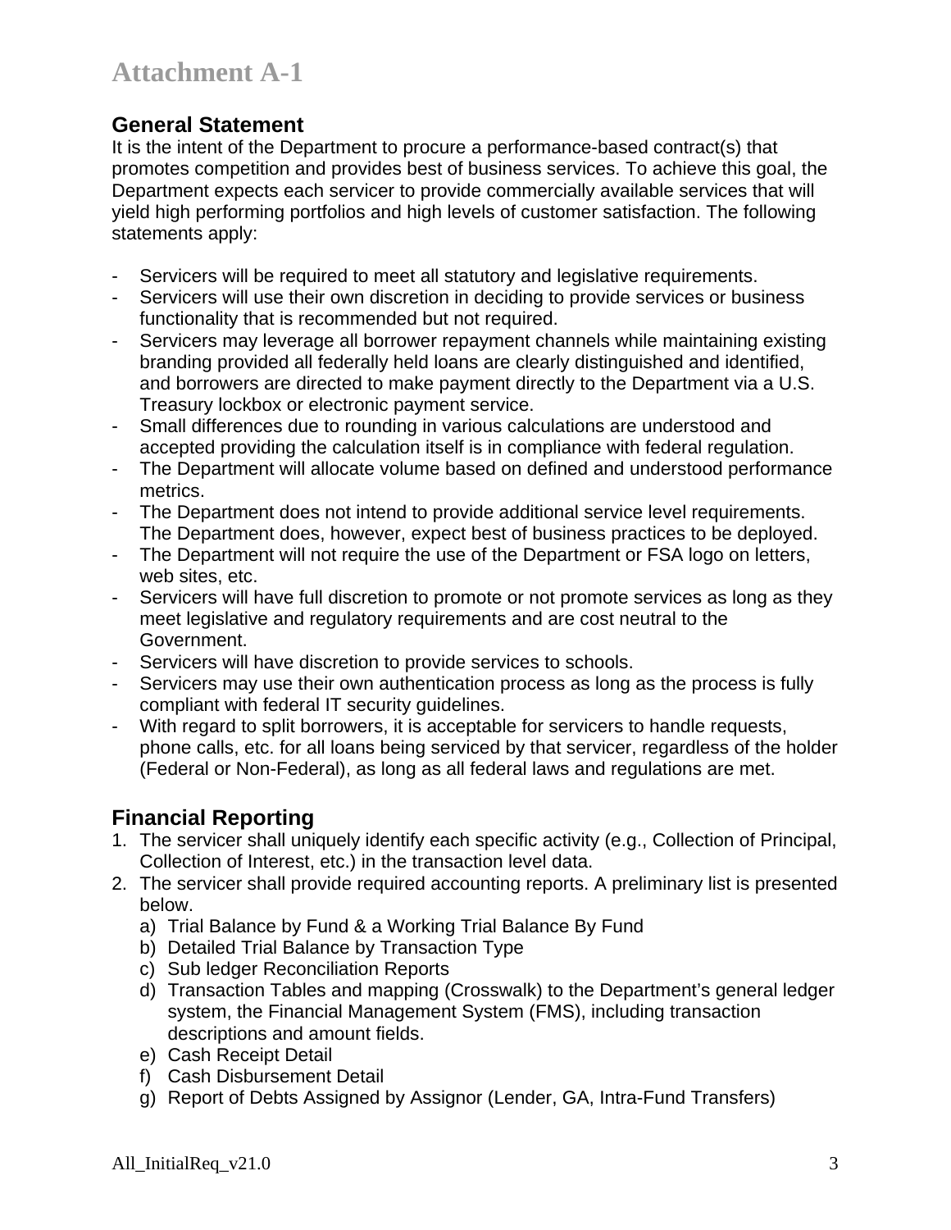### **General Statement**

It is the intent of the Department to procure a performance-based contract(s) that promotes competition and provides best of business services. To achieve this goal, the Department expects each servicer to provide commercially available services that will yield high performing portfolios and high levels of customer satisfaction. The following statements apply:

- Servicers will be required to meet all statutory and legislative requirements.
- Servicers will use their own discretion in deciding to provide services or business functionality that is recommended but not required.
- Servicers may leverage all borrower repayment channels while maintaining existing branding provided all federally held loans are clearly distinguished and identified, and borrowers are directed to make payment directly to the Department via a U.S. Treasury lockbox or electronic payment service.
- Small differences due to rounding in various calculations are understood and accepted providing the calculation itself is in compliance with federal regulation.
- The Department will allocate volume based on defined and understood performance metrics.
- The Department does not intend to provide additional service level requirements. The Department does, however, expect best of business practices to be deployed.
- The Department will not require the use of the Department or FSA logo on letters, web sites, etc.
- Servicers will have full discretion to promote or not promote services as long as they meet legislative and regulatory requirements and are cost neutral to the Government.
- Servicers will have discretion to provide services to schools.
- Servicers may use their own authentication process as long as the process is fully compliant with federal IT security guidelines.
- With regard to split borrowers, it is acceptable for servicers to handle requests, phone calls, etc. for all loans being serviced by that servicer, regardless of the holder (Federal or Non-Federal), as long as all federal laws and regulations are met.

## **Financial Reporting**

- 1. The servicer shall uniquely identify each specific activity (e.g., Collection of Principal, Collection of Interest, etc.) in the transaction level data.
- 2. The servicer shall provide required accounting reports. A preliminary list is presented below.
	- a) Trial Balance by Fund & a Working Trial Balance By Fund
	- b) Detailed Trial Balance by Transaction Type
	- c) Sub ledger Reconciliation Reports
	- d) Transaction Tables and mapping (Crosswalk) to the Department's general ledger system, the Financial Management System (FMS), including transaction descriptions and amount fields.
	- e) Cash Receipt Detail
	- f) Cash Disbursement Detail
	- g) Report of Debts Assigned by Assignor (Lender, GA, Intra-Fund Transfers)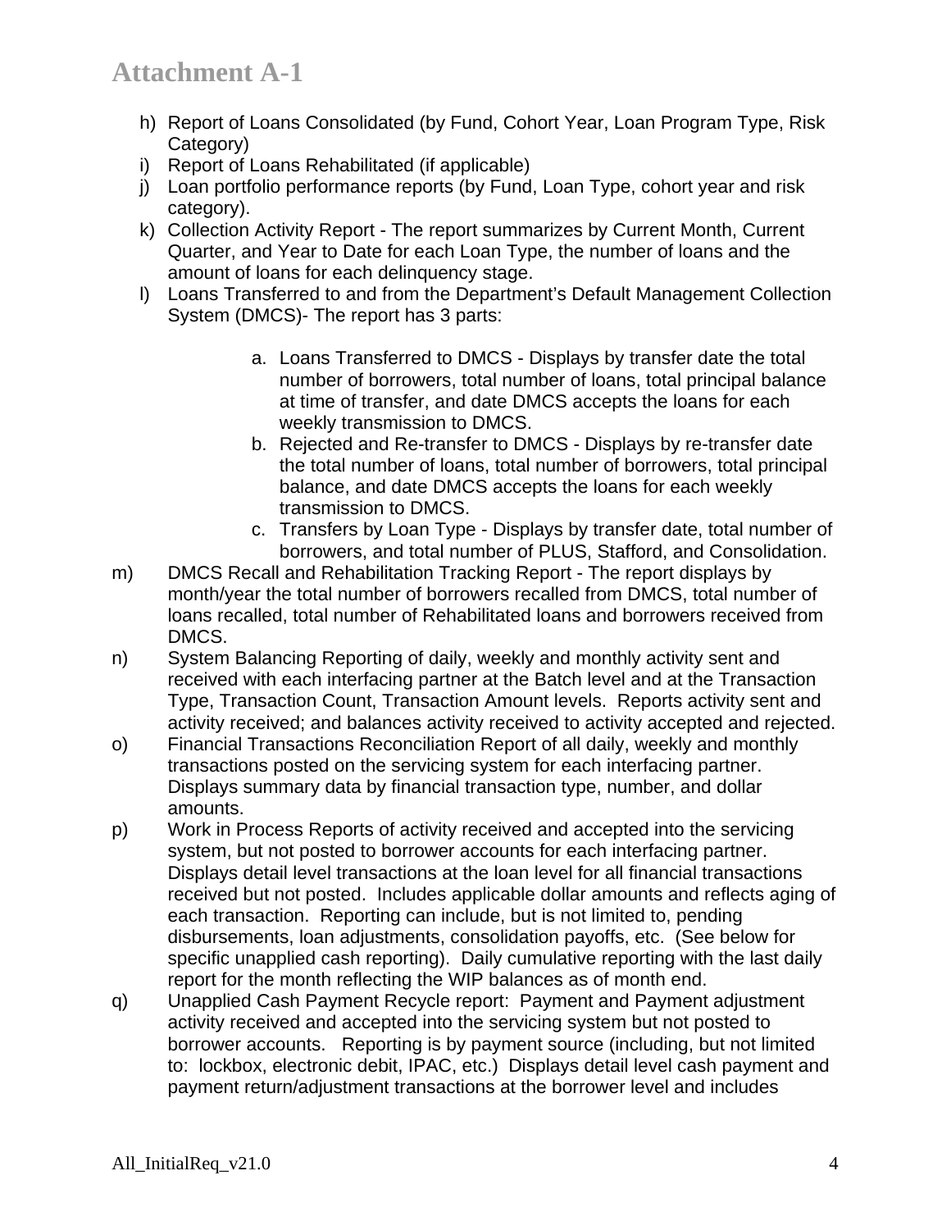- h) Report of Loans Consolidated (by Fund, Cohort Year, Loan Program Type, Risk Category)
- i) Report of Loans Rehabilitated (if applicable)
- j) Loan portfolio performance reports (by Fund, Loan Type, cohort year and risk category).
- k) Collection Activity Report The report summarizes by Current Month, Current Quarter, and Year to Date for each Loan Type, the number of loans and the amount of loans for each delinquency stage.
- l) Loans Transferred to and from the Department's Default Management Collection System (DMCS)- The report has 3 parts:
	- a. Loans Transferred to DMCS Displays by transfer date the total number of borrowers, total number of loans, total principal balance at time of transfer, and date DMCS accepts the loans for each weekly transmission to DMCS.
	- b. Rejected and Re-transfer to DMCS Displays by re-transfer date the total number of loans, total number of borrowers, total principal balance, and date DMCS accepts the loans for each weekly transmission to DMCS.
	- c. Transfers by Loan Type Displays by transfer date, total number of borrowers, and total number of PLUS, Stafford, and Consolidation.
- m) DMCS Recall and Rehabilitation Tracking Report The report displays by month/year the total number of borrowers recalled from DMCS, total number of loans recalled, total number of Rehabilitated loans and borrowers received from DMCS.
- n) System Balancing Reporting of daily, weekly and monthly activity sent and received with each interfacing partner at the Batch level and at the Transaction Type, Transaction Count, Transaction Amount levels. Reports activity sent and activity received; and balances activity received to activity accepted and rejected.
- o) Financial Transactions Reconciliation Report of all daily, weekly and monthly transactions posted on the servicing system for each interfacing partner. Displays summary data by financial transaction type, number, and dollar amounts.
- p) Work in Process Reports of activity received and accepted into the servicing system, but not posted to borrower accounts for each interfacing partner. Displays detail level transactions at the loan level for all financial transactions received but not posted. Includes applicable dollar amounts and reflects aging of each transaction. Reporting can include, but is not limited to, pending disbursements, loan adjustments, consolidation payoffs, etc. (See below for specific unapplied cash reporting). Daily cumulative reporting with the last daily report for the month reflecting the WIP balances as of month end.
- q) Unapplied Cash Payment Recycle report: Payment and Payment adjustment activity received and accepted into the servicing system but not posted to borrower accounts. Reporting is by payment source (including, but not limited to: lockbox, electronic debit, IPAC, etc.) Displays detail level cash payment and payment return/adjustment transactions at the borrower level and includes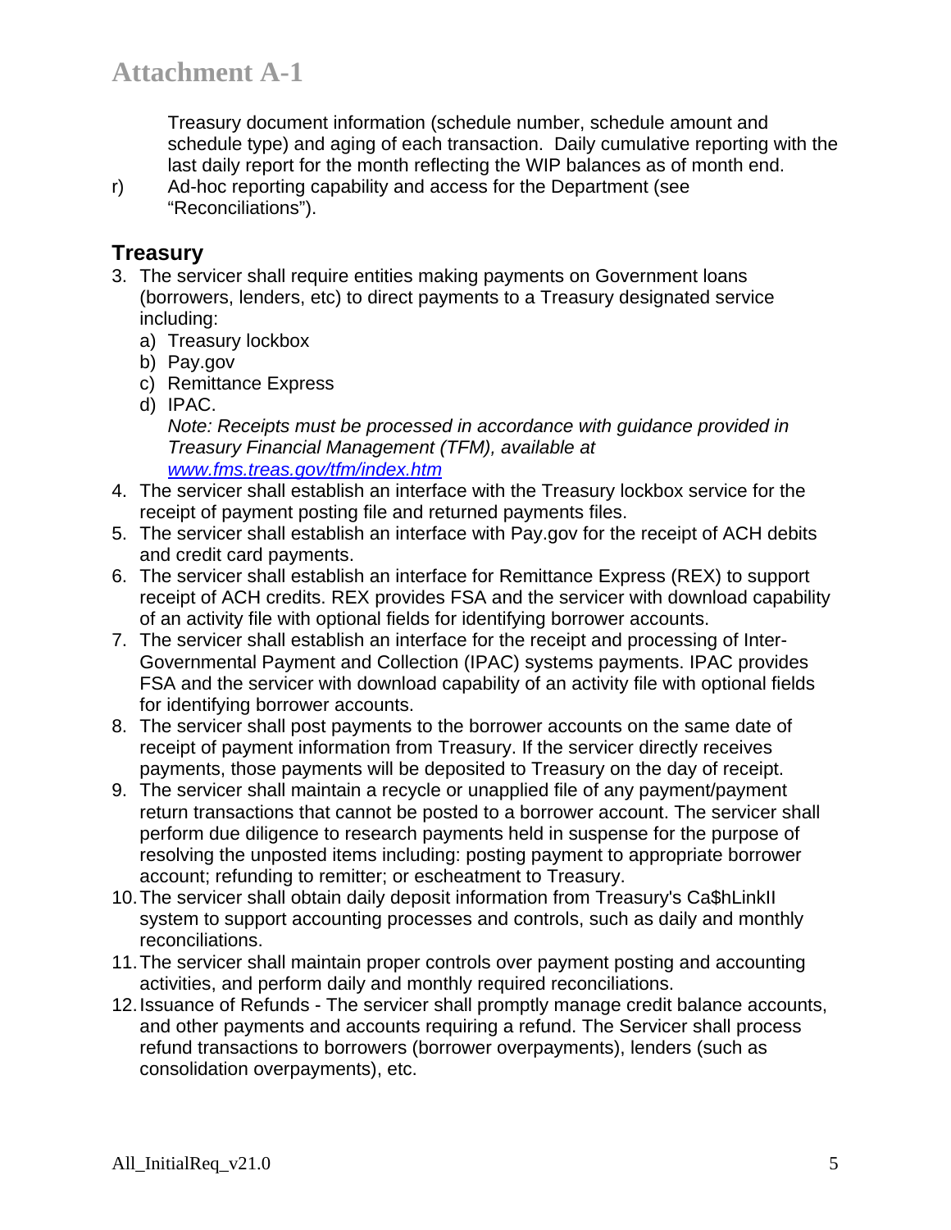Treasury document information (schedule number, schedule amount and schedule type) and aging of each transaction. Daily cumulative reporting with the last daily report for the month reflecting the WIP balances as of month end.

r) Ad-hoc reporting capability and access for the Department (see "Reconciliations").

## **Treasury**

- 3. The servicer shall require entities making payments on Government loans (borrowers, lenders, etc) to direct payments to a Treasury designated service including:
	- a) Treasury lockbox
	- b) Pay.gov
	- c) Remittance Express
	- d) IPAC.

*Note: Receipts must be processed in accordance with guidance provided in Treasury Financial Management (TFM), available at www.fms.treas.gov/tfm/index.htm*

- 4. The servicer shall establish an interface with the Treasury lockbox service for the receipt of payment posting file and returned payments files.
- 5. The servicer shall establish an interface with Pay.gov for the receipt of ACH debits and credit card payments.
- 6. The servicer shall establish an interface for Remittance Express (REX) to support receipt of ACH credits. REX provides FSA and the servicer with download capability of an activity file with optional fields for identifying borrower accounts.
- 7. The servicer shall establish an interface for the receipt and processing of Inter-Governmental Payment and Collection (IPAC) systems payments. IPAC provides FSA and the servicer with download capability of an activity file with optional fields for identifying borrower accounts.
- 8. The servicer shall post payments to the borrower accounts on the same date of receipt of payment information from Treasury. If the servicer directly receives payments, those payments will be deposited to Treasury on the day of receipt.
- 9. The servicer shall maintain a recycle or unapplied file of any payment/payment return transactions that cannot be posted to a borrower account. The servicer shall perform due diligence to research payments held in suspense for the purpose of resolving the unposted items including: posting payment to appropriate borrower account; refunding to remitter; or escheatment to Treasury.
- 10. The servicer shall obtain daily deposit information from Treasury's Ca\$hLinkII system to support accounting processes and controls, such as daily and monthly reconciliations.
- 11. The servicer shall maintain proper controls over payment posting and accounting activities, and perform daily and monthly required reconciliations.
- 12. Issuance of Refunds The servicer shall promptly manage credit balance accounts, and other payments and accounts requiring a refund. The Servicer shall process refund transactions to borrowers (borrower overpayments), lenders (such as consolidation overpayments), etc.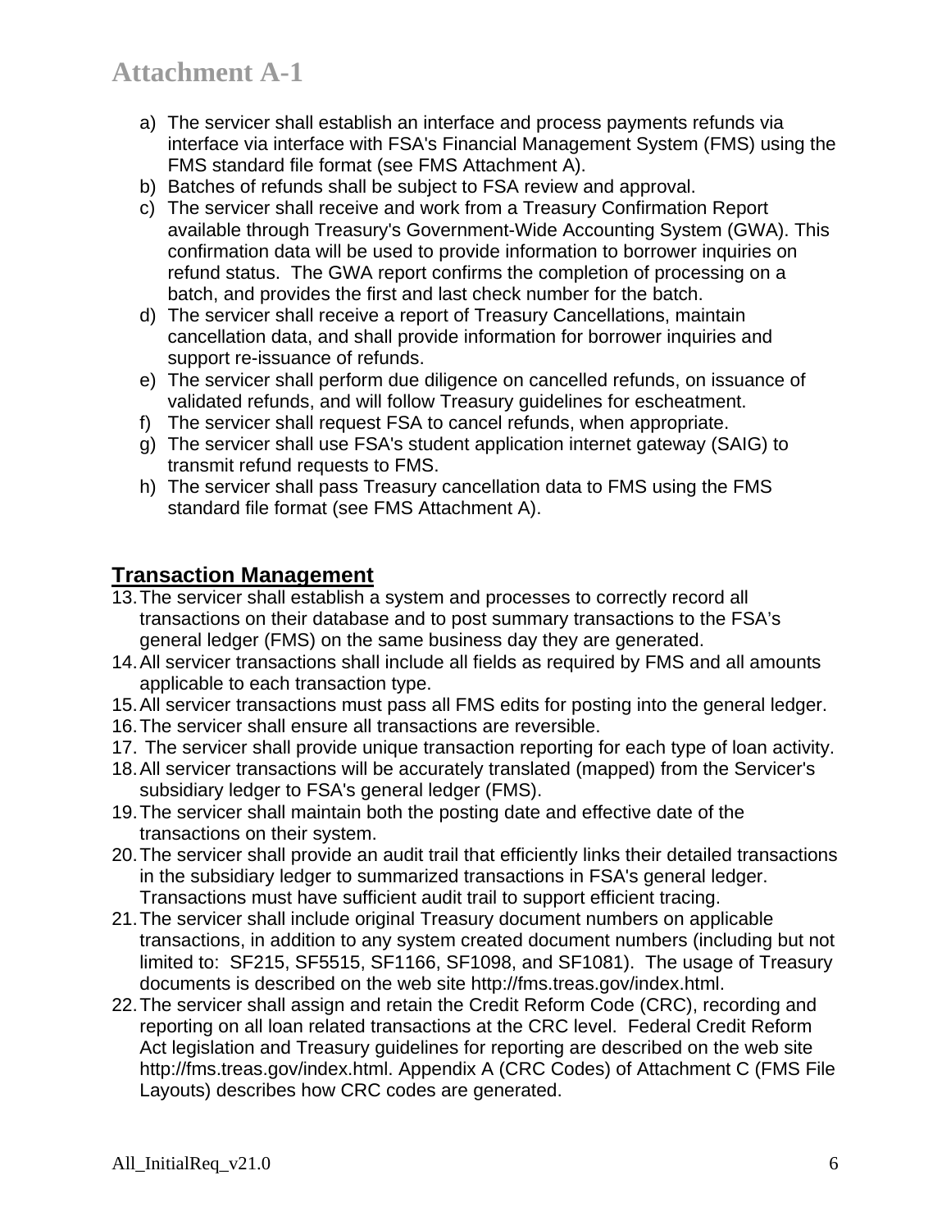- a) The servicer shall establish an interface and process payments refunds via interface via interface with FSA's Financial Management System (FMS) using the FMS standard file format (see FMS Attachment A).
- b) Batches of refunds shall be subject to FSA review and approval.
- c) The servicer shall receive and work from a Treasury Confirmation Report available through Treasury's Government-Wide Accounting System (GWA). This confirmation data will be used to provide information to borrower inquiries on refund status. The GWA report confirms the completion of processing on a batch, and provides the first and last check number for the batch.
- d) The servicer shall receive a report of Treasury Cancellations, maintain cancellation data, and shall provide information for borrower inquiries and support re-issuance of refunds.
- e) The servicer shall perform due diligence on cancelled refunds, on issuance of validated refunds, and will follow Treasury guidelines for escheatment.
- f) The servicer shall request FSA to cancel refunds, when appropriate.
- g) The servicer shall use FSA's student application internet gateway (SAIG) to transmit refund requests to FMS.
- h) The servicer shall pass Treasury cancellation data to FMS using the FMS standard file format (see FMS Attachment A).

## **Transaction Management**

- 13. The servicer shall establish a system and processes to correctly record all transactions on their database and to post summary transactions to the FSA's general ledger (FMS) on the same business day they are generated.
- 14. All servicer transactions shall include all fields as required by FMS and all amounts applicable to each transaction type.
- 15. All servicer transactions must pass all FMS edits for posting into the general ledger.
- 16. The servicer shall ensure all transactions are reversible.
- 17. The servicer shall provide unique transaction reporting for each type of loan activity.
- 18. All servicer transactions will be accurately translated (mapped) from the Servicer's subsidiary ledger to FSA's general ledger (FMS).
- 19. The servicer shall maintain both the posting date and effective date of the transactions on their system.
- 20. The servicer shall provide an audit trail that efficiently links their detailed transactions in the subsidiary ledger to summarized transactions in FSA's general ledger. Transactions must have sufficient audit trail to support efficient tracing.
- 21. The servicer shall include original Treasury document numbers on applicable transactions, in addition to any system created document numbers (including but not limited to: SF215, SF5515, SF1166, SF1098, and SF1081). The usage of Treasury documents is described on the web site http://fms.treas.gov/index.html.
- 22. The servicer shall assign and retain the Credit Reform Code (CRC), recording and reporting on all loan related transactions at the CRC level. Federal Credit Reform Act legislation and Treasury guidelines for reporting are described on the web site http://fms.treas.gov/index.html. Appendix A (CRC Codes) of Attachment C (FMS File Layouts) describes how CRC codes are generated.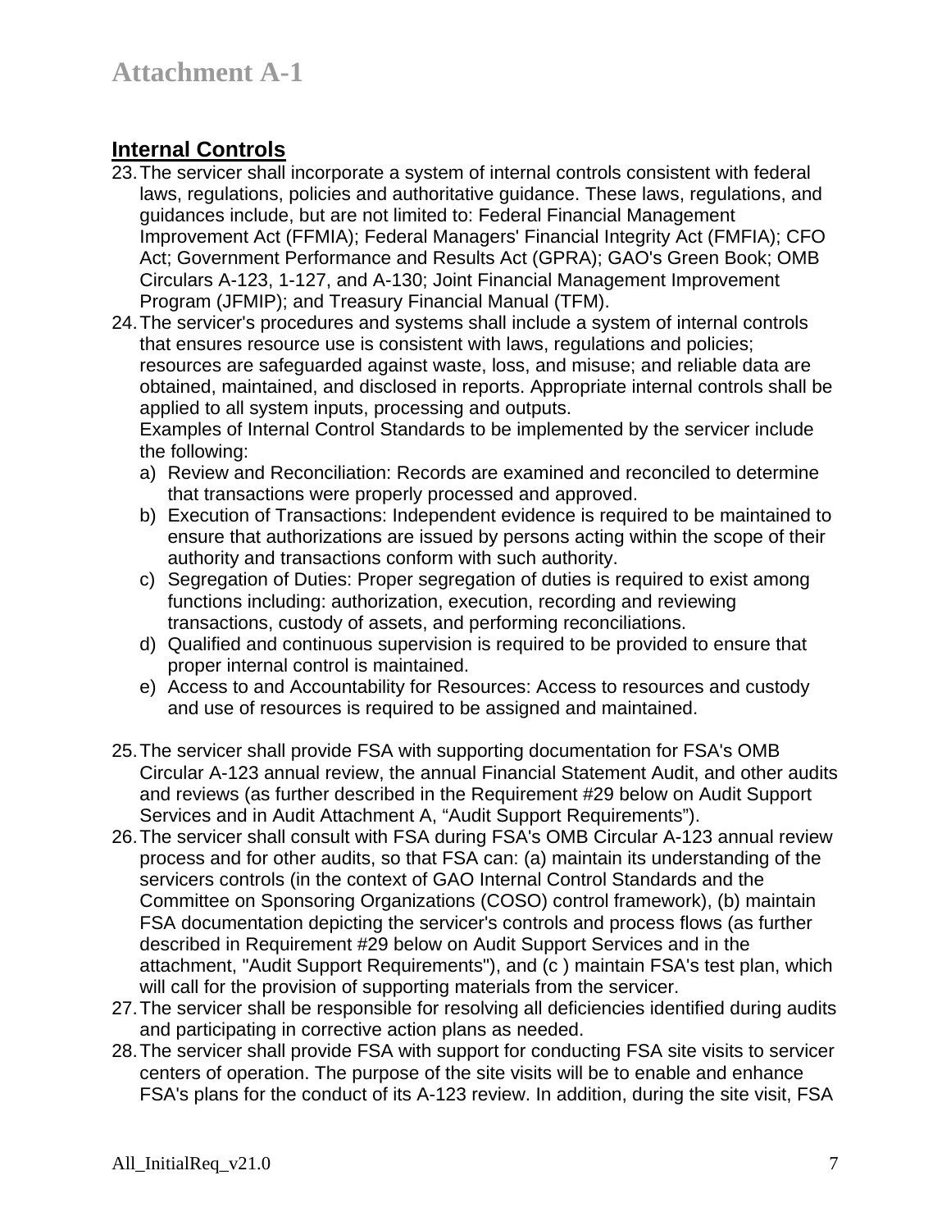## **Internal Controls**

- 23. The servicer shall incorporate a system of internal controls consistent with federal laws, regulations, policies and authoritative guidance. These laws, regulations, and guidances include, but are not limited to: Federal Financial Management Improvement Act (FFMIA); Federal Managers' Financial Integrity Act (FMFIA); CFO Act; Government Performance and Results Act (GPRA); GAO's Green Book; OMB Circulars A-123, 1-127, and A-130; Joint Financial Management Improvement Program (JFMIP); and Treasury Financial Manual (TFM).
- 24. The servicer's procedures and systems shall include a system of internal controls that ensures resource use is consistent with laws, regulations and policies; resources are safeguarded against waste, loss, and misuse; and reliable data are obtained, maintained, and disclosed in reports. Appropriate internal controls shall be applied to all system inputs, processing and outputs.

Examples of Internal Control Standards to be implemented by the servicer include the following:

- a) Review and Reconciliation: Records are examined and reconciled to determine that transactions were properly processed and approved.
- b) Execution of Transactions: Independent evidence is required to be maintained to ensure that authorizations are issued by persons acting within the scope of their authority and transactions conform with such authority.
- c) Segregation of Duties: Proper segregation of duties is required to exist among functions including: authorization, execution, recording and reviewing transactions, custody of assets, and performing reconciliations.
- d) Qualified and continuous supervision is required to be provided to ensure that proper internal control is maintained.
- e) Access to and Accountability for Resources: Access to resources and custody and use of resources is required to be assigned and maintained.
- 25. The servicer shall provide FSA with supporting documentation for FSA's OMB Circular A-123 annual review, the annual Financial Statement Audit, and other audits and reviews (as further described in the Requirement #29 below on Audit Support Services and in Audit Attachment A, "Audit Support Requirements").
- 26. The servicer shall consult with FSA during FSA's OMB Circular A-123 annual review process and for other audits, so that FSA can: (a) maintain its understanding of the servicers controls (in the context of GAO Internal Control Standards and the Committee on Sponsoring Organizations (COSO) control framework), (b) maintain FSA documentation depicting the servicer's controls and process flows (as further described in Requirement #29 below on Audit Support Services and in the attachment, "Audit Support Requirements"), and (c ) maintain FSA's test plan, which will call for the provision of supporting materials from the servicer.
- 27. The servicer shall be responsible for resolving all deficiencies identified during audits and participating in corrective action plans as needed.
- 28. The servicer shall provide FSA with support for conducting FSA site visits to servicer centers of operation. The purpose of the site visits will be to enable and enhance FSA's plans for the conduct of its A-123 review. In addition, during the site visit, FSA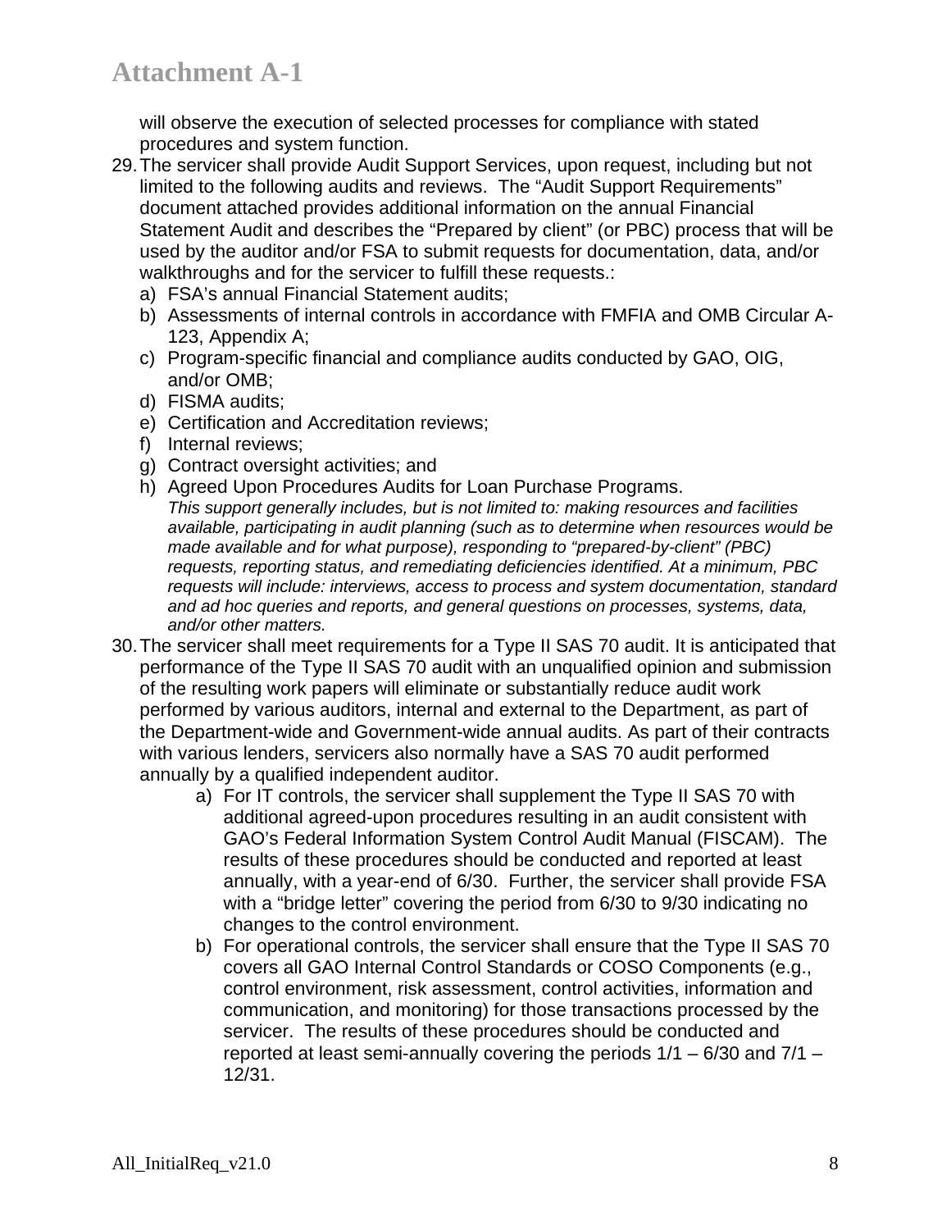will observe the execution of selected processes for compliance with stated procedures and system function.

- 29. The servicer shall provide Audit Support Services, upon request, including but not limited to the following audits and reviews. The "Audit Support Requirements" document attached provides additional information on the annual Financial Statement Audit and describes the "Prepared by client" (or PBC) process that will be used by the auditor and/or FSA to submit requests for documentation, data, and/or walkthroughs and for the servicer to fulfill these requests.:
	- a) FSA's annual Financial Statement audits;
	- b) Assessments of internal controls in accordance with FMFIA and OMB Circular A-123, Appendix A;
	- c) Program-specific financial and compliance audits conducted by GAO, OIG, and/or OMB;
	- d) FISMA audits;
	- e) Certification and Accreditation reviews;
	- f) Internal reviews;
	- g) Contract oversight activities; and
	- h) Agreed Upon Procedures Audits for Loan Purchase Programs. *This support generally includes, but is not limited to: making resources and facilities available, participating in audit planning (such as to determine when resources would be made available and for what purpose), responding to "prepared-by-client" (PBC) requests, reporting status, and remediating deficiencies identified. At a minimum, PBC requests will include: interviews, access to process and system documentation, standard and ad hoc queries and reports, and general questions on processes, systems, data, and/or other matters.*
- 30. The servicer shall meet requirements for a Type II SAS 70 audit. It is anticipated that performance of the Type II SAS 70 audit with an unqualified opinion and submission of the resulting work papers will eliminate or substantially reduce audit work performed by various auditors, internal and external to the Department, as part of the Department-wide and Government-wide annual audits. As part of their contracts with various lenders, servicers also normally have a SAS 70 audit performed annually by a qualified independent auditor.
	- a) For IT controls, the servicer shall supplement the Type II SAS 70 with additional agreed-upon procedures resulting in an audit consistent with GAO's Federal Information System Control Audit Manual (FISCAM). The results of these procedures should be conducted and reported at least annually, with a year-end of 6/30. Further, the servicer shall provide FSA with a "bridge letter" covering the period from 6/30 to 9/30 indicating no changes to the control environment.
	- b) For operational controls, the servicer shall ensure that the Type II SAS 70 covers all GAO Internal Control Standards or COSO Components (e.g., control environment, risk assessment, control activities, information and communication, and monitoring) for those transactions processed by the servicer. The results of these procedures should be conducted and reported at least semi-annually covering the periods  $1/1 - 6/30$  and  $7/1 -$ 12/31.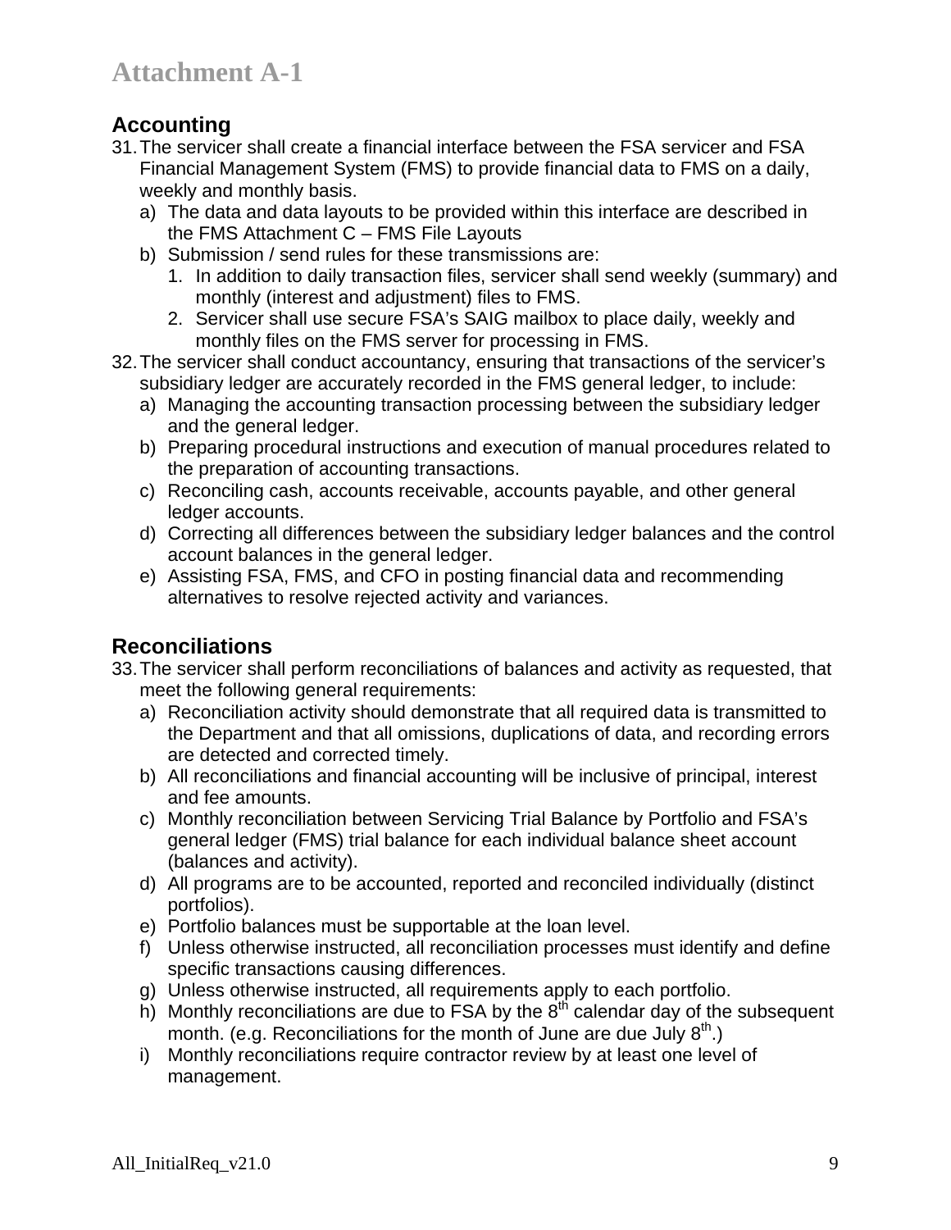## **Accounting**

- 31. The servicer shall create a financial interface between the FSA servicer and FSA Financial Management System (FMS) to provide financial data to FMS on a daily, weekly and monthly basis.
	- a) The data and data layouts to be provided within this interface are described in the FMS Attachment C – FMS File Layouts
	- b) Submission / send rules for these transmissions are:
		- 1. In addition to daily transaction files, servicer shall send weekly (summary) and monthly (interest and adjustment) files to FMS.
		- 2. Servicer shall use secure FSA's SAIG mailbox to place daily, weekly and monthly files on the FMS server for processing in FMS.
- 32. The servicer shall conduct accountancy, ensuring that transactions of the servicer's subsidiary ledger are accurately recorded in the FMS general ledger, to include:
	- a) Managing the accounting transaction processing between the subsidiary ledger and the general ledger.
	- b) Preparing procedural instructions and execution of manual procedures related to the preparation of accounting transactions.
	- c) Reconciling cash, accounts receivable, accounts payable, and other general ledger accounts.
	- d) Correcting all differences between the subsidiary ledger balances and the control account balances in the general ledger.
	- e) Assisting FSA, FMS, and CFO in posting financial data and recommending alternatives to resolve rejected activity and variances.

## **Reconciliations**

- 33. The servicer shall perform reconciliations of balances and activity as requested, that meet the following general requirements:
	- a) Reconciliation activity should demonstrate that all required data is transmitted to the Department and that all omissions, duplications of data, and recording errors are detected and corrected timely.
	- b) All reconciliations and financial accounting will be inclusive of principal, interest and fee amounts.
	- c) Monthly reconciliation between Servicing Trial Balance by Portfolio and FSA's general ledger (FMS) trial balance for each individual balance sheet account (balances and activity).
	- d) All programs are to be accounted, reported and reconciled individually (distinct portfolios).
	- e) Portfolio balances must be supportable at the loan level.
	- f) Unless otherwise instructed, all reconciliation processes must identify and define specific transactions causing differences.
	- g) Unless otherwise instructed, all requirements apply to each portfolio.
	- h) Monthly reconciliations are due to FSA by the  $8<sup>th</sup>$  calendar day of the subsequent month. (e.g. Reconciliations for the month of June are due July  $8<sup>th</sup>$ .)
	- i) Monthly reconciliations require contractor review by at least one level of management.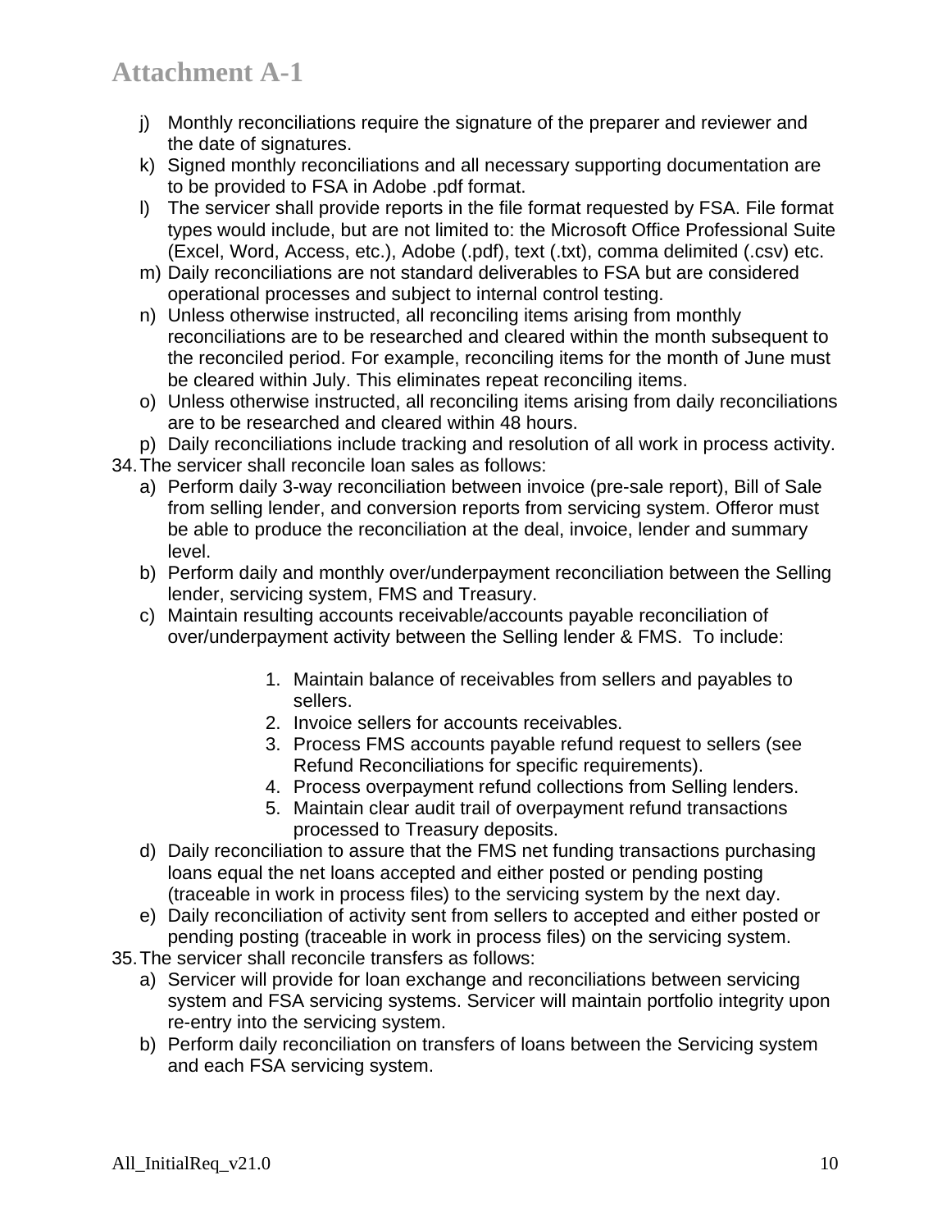- j) Monthly reconciliations require the signature of the preparer and reviewer and the date of signatures.
- k) Signed monthly reconciliations and all necessary supporting documentation are to be provided to FSA in Adobe .pdf format.
- l) The servicer shall provide reports in the file format requested by FSA. File format types would include, but are not limited to: the Microsoft Office Professional Suite (Excel, Word, Access, etc.), Adobe (.pdf), text (.txt), comma delimited (.csv) etc.
- m) Daily reconciliations are not standard deliverables to FSA but are considered operational processes and subject to internal control testing.
- n) Unless otherwise instructed, all reconciling items arising from monthly reconciliations are to be researched and cleared within the month subsequent to the reconciled period. For example, reconciling items for the month of June must be cleared within July. This eliminates repeat reconciling items.
- o) Unless otherwise instructed, all reconciling items arising from daily reconciliations are to be researched and cleared within 48 hours.
- p) Daily reconciliations include tracking and resolution of all work in process activity.
- 34. The servicer shall reconcile loan sales as follows:
	- a) Perform daily 3-way reconciliation between invoice (pre-sale report), Bill of Sale from selling lender, and conversion reports from servicing system. Offeror must be able to produce the reconciliation at the deal, invoice, lender and summary level.
	- b) Perform daily and monthly over/underpayment reconciliation between the Selling lender, servicing system, FMS and Treasury.
	- c) Maintain resulting accounts receivable/accounts payable reconciliation of over/underpayment activity between the Selling lender & FMS. To include:
		- 1. Maintain balance of receivables from sellers and payables to sellers.
		- 2. Invoice sellers for accounts receivables.
		- 3. Process FMS accounts payable refund request to sellers (see Refund Reconciliations for specific requirements).
		- 4. Process overpayment refund collections from Selling lenders.
		- 5. Maintain clear audit trail of overpayment refund transactions processed to Treasury deposits.
	- d) Daily reconciliation to assure that the FMS net funding transactions purchasing loans equal the net loans accepted and either posted or pending posting (traceable in work in process files) to the servicing system by the next day.
	- e) Daily reconciliation of activity sent from sellers to accepted and either posted or pending posting (traceable in work in process files) on the servicing system.
- 35. The servicer shall reconcile transfers as follows:
	- a) Servicer will provide for loan exchange and reconciliations between servicing system and FSA servicing systems. Servicer will maintain portfolio integrity upon re-entry into the servicing system.
	- b) Perform daily reconciliation on transfers of loans between the Servicing system and each FSA servicing system.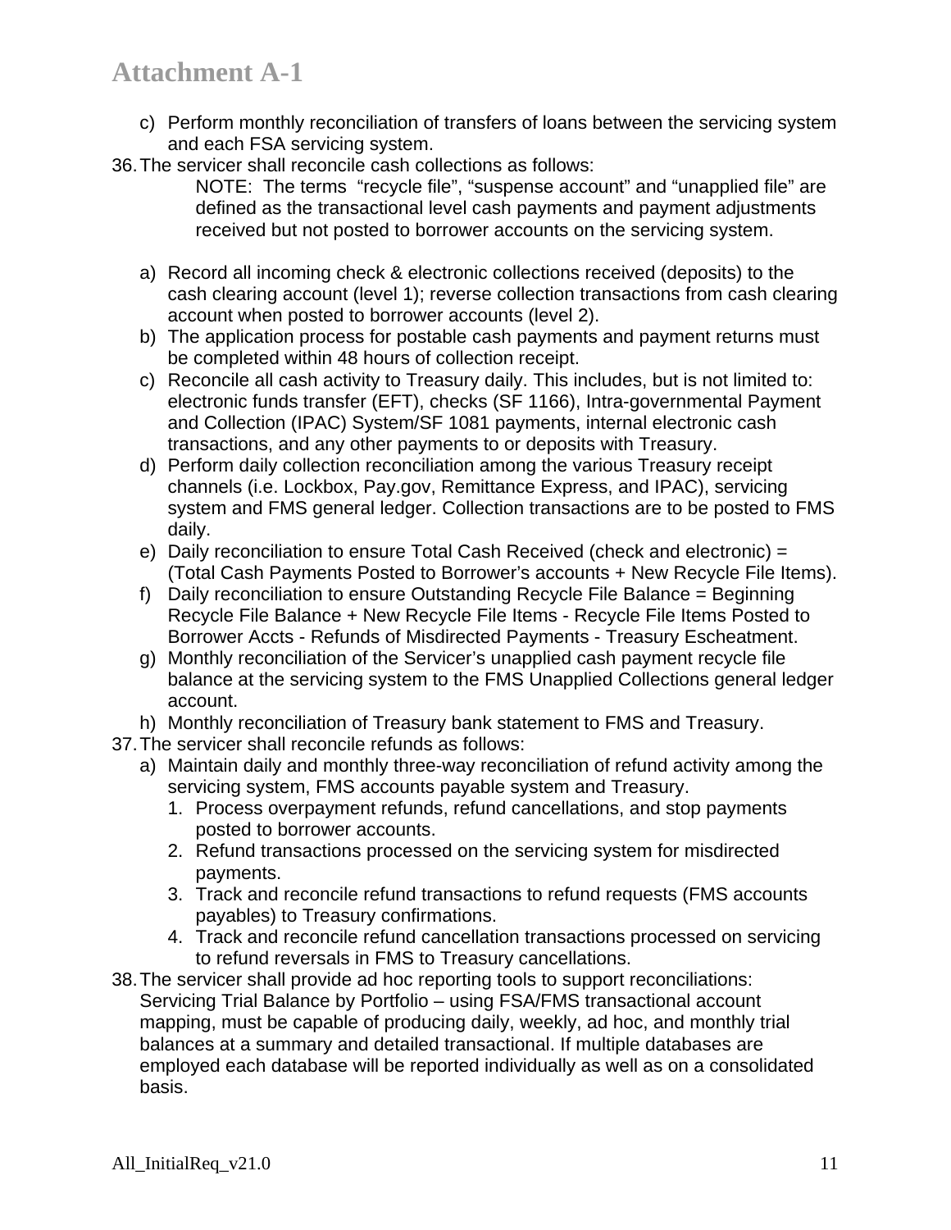- c) Perform monthly reconciliation of transfers of loans between the servicing system and each FSA servicing system.
- 36. The servicer shall reconcile cash collections as follows:

NOTE: The terms "recycle file", "suspense account" and "unapplied file" are defined as the transactional level cash payments and payment adjustments received but not posted to borrower accounts on the servicing system.

- a) Record all incoming check & electronic collections received (deposits) to the cash clearing account (level 1); reverse collection transactions from cash clearing account when posted to borrower accounts (level 2).
- b) The application process for postable cash payments and payment returns must be completed within 48 hours of collection receipt.
- c) Reconcile all cash activity to Treasury daily. This includes, but is not limited to: electronic funds transfer (EFT), checks (SF 1166), Intra-governmental Payment and Collection (IPAC) System/SF 1081 payments, internal electronic cash transactions, and any other payments to or deposits with Treasury.
- d) Perform daily collection reconciliation among the various Treasury receipt channels (i.e. Lockbox, Pay.gov, Remittance Express, and IPAC), servicing system and FMS general ledger. Collection transactions are to be posted to FMS daily.
- e) Daily reconciliation to ensure Total Cash Received (check and electronic) = (Total Cash Payments Posted to Borrower's accounts + New Recycle File Items).
- f) Daily reconciliation to ensure Outstanding Recycle File Balance = Beginning Recycle File Balance + New Recycle File Items - Recycle File Items Posted to Borrower Accts - Refunds of Misdirected Payments - Treasury Escheatment.
- g) Monthly reconciliation of the Servicer's unapplied cash payment recycle file balance at the servicing system to the FMS Unapplied Collections general ledger account.
- h) Monthly reconciliation of Treasury bank statement to FMS and Treasury.
- 37. The servicer shall reconcile refunds as follows:
	- a) Maintain daily and monthly three-way reconciliation of refund activity among the servicing system, FMS accounts payable system and Treasury.
		- 1. Process overpayment refunds, refund cancellations, and stop payments posted to borrower accounts.
		- 2. Refund transactions processed on the servicing system for misdirected payments.
		- 3. Track and reconcile refund transactions to refund requests (FMS accounts payables) to Treasury confirmations.
		- 4. Track and reconcile refund cancellation transactions processed on servicing to refund reversals in FMS to Treasury cancellations.
- 38. The servicer shall provide ad hoc reporting tools to support reconciliations: Servicing Trial Balance by Portfolio – using FSA/FMS transactional account mapping, must be capable of producing daily, weekly, ad hoc, and monthly trial balances at a summary and detailed transactional. If multiple databases are employed each database will be reported individually as well as on a consolidated basis.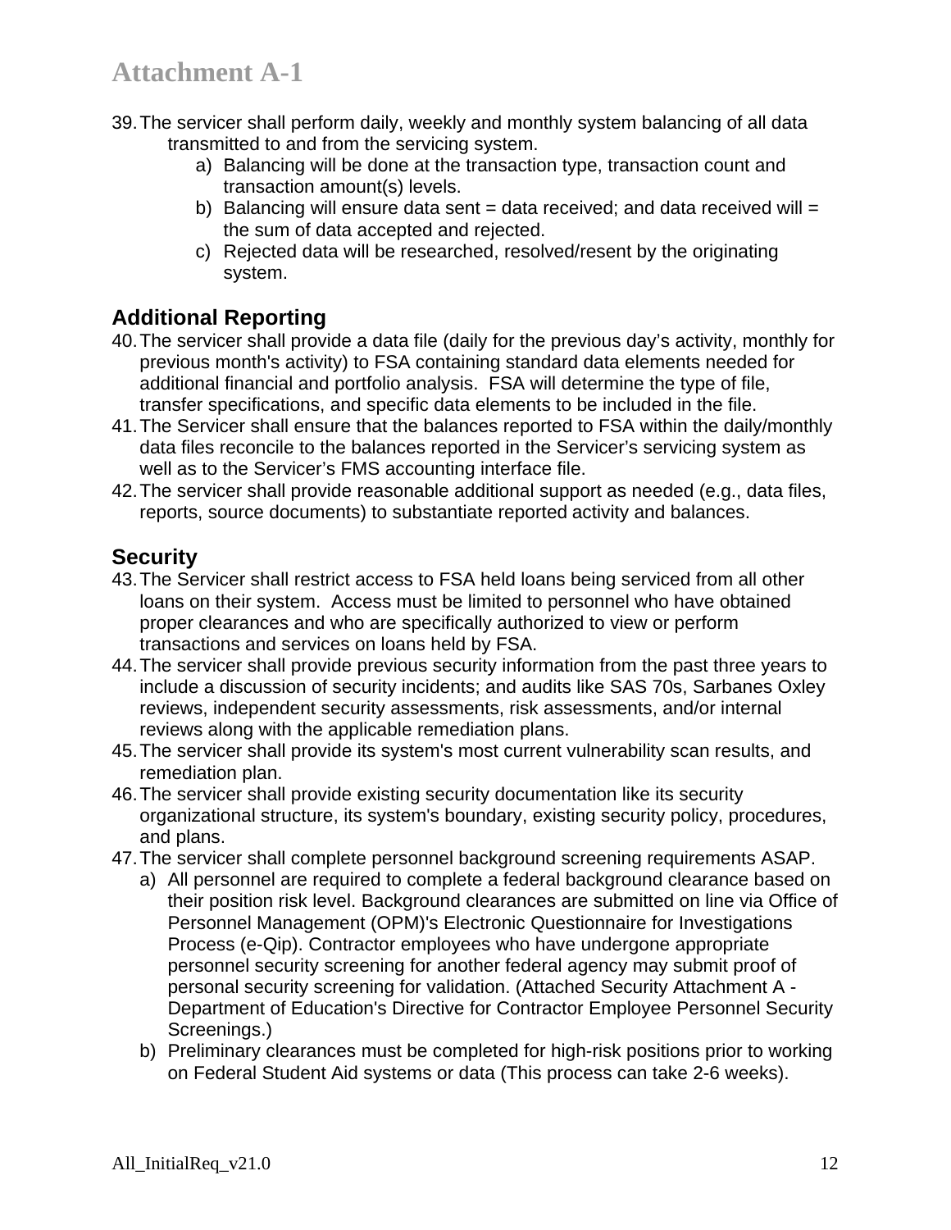- 39. The servicer shall perform daily, weekly and monthly system balancing of all data transmitted to and from the servicing system.
	- a) Balancing will be done at the transaction type, transaction count and transaction amount(s) levels.
	- b) Balancing will ensure data sent = data received; and data received will = the sum of data accepted and rejected.
	- c) Rejected data will be researched, resolved/resent by the originating system.

## **Additional Reporting**

- 40. The servicer shall provide a data file (daily for the previous day's activity, monthly for previous month's activity) to FSA containing standard data elements needed for additional financial and portfolio analysis. FSA will determine the type of file, transfer specifications, and specific data elements to be included in the file.
- 41. The Servicer shall ensure that the balances reported to FSA within the daily/monthly data files reconcile to the balances reported in the Servicer's servicing system as well as to the Servicer's FMS accounting interface file.
- 42. The servicer shall provide reasonable additional support as needed (e.g., data files, reports, source documents) to substantiate reported activity and balances.

## **Security**

- 43. The Servicer shall restrict access to FSA held loans being serviced from all other loans on their system. Access must be limited to personnel who have obtained proper clearances and who are specifically authorized to view or perform transactions and services on loans held by FSA.
- 44. The servicer shall provide previous security information from the past three years to include a discussion of security incidents; and audits like SAS 70s, Sarbanes Oxley reviews, independent security assessments, risk assessments, and/or internal reviews along with the applicable remediation plans.
- 45. The servicer shall provide its system's most current vulnerability scan results, and remediation plan.
- 46. The servicer shall provide existing security documentation like its security organizational structure, its system's boundary, existing security policy, procedures, and plans.
- 47. The servicer shall complete personnel background screening requirements ASAP.
	- a) All personnel are required to complete a federal background clearance based on their position risk level. Background clearances are submitted on line via Office of Personnel Management (OPM)'s Electronic Questionnaire for Investigations Process (e-Qip). Contractor employees who have undergone appropriate personnel security screening for another federal agency may submit proof of personal security screening for validation. (Attached Security Attachment A - Department of Education's Directive for Contractor Employee Personnel Security Screenings.)
	- b) Preliminary clearances must be completed for high-risk positions prior to working on Federal Student Aid systems or data (This process can take 2-6 weeks).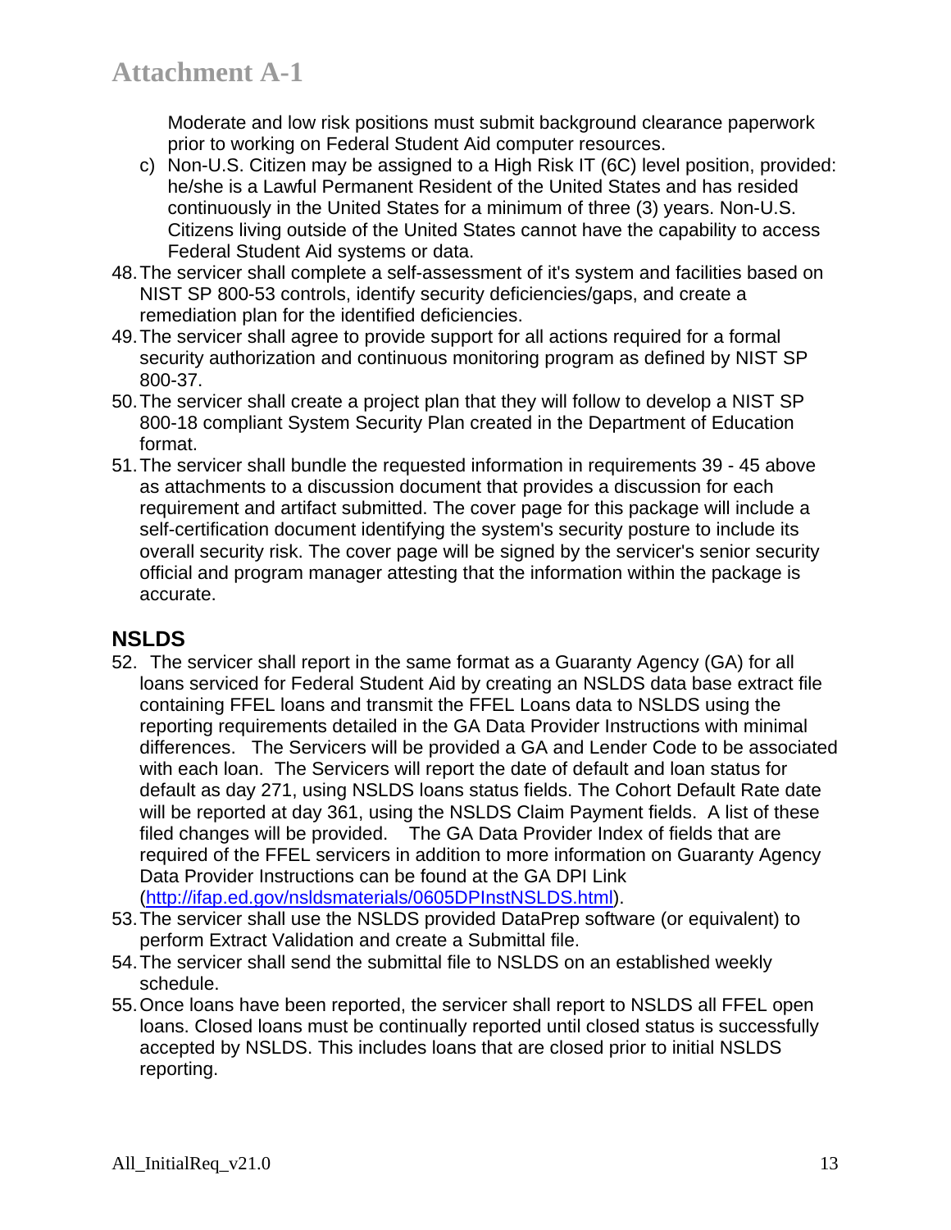Moderate and low risk positions must submit background clearance paperwork prior to working on Federal Student Aid computer resources.

- c) Non-U.S. Citizen may be assigned to a High Risk IT (6C) level position, provided: he/she is a Lawful Permanent Resident of the United States and has resided continuously in the United States for a minimum of three (3) years. Non-U.S. Citizens living outside of the United States cannot have the capability to access Federal Student Aid systems or data.
- 48. The servicer shall complete a self-assessment of it's system and facilities based on NIST SP 800-53 controls, identify security deficiencies/gaps, and create a remediation plan for the identified deficiencies.
- 49. The servicer shall agree to provide support for all actions required for a formal security authorization and continuous monitoring program as defined by NIST SP 800-37.
- 50. The servicer shall create a project plan that they will follow to develop a NIST SP 800-18 compliant System Security Plan created in the Department of Education format.
- 51. The servicer shall bundle the requested information in requirements 39 45 above as attachments to a discussion document that provides a discussion for each requirement and artifact submitted. The cover page for this package will include a self-certification document identifying the system's security posture to include its overall security risk. The cover page will be signed by the servicer's senior security official and program manager attesting that the information within the package is accurate.

## **NSLDS**

- 52. The servicer shall report in the same format as a Guaranty Agency (GA) for all loans serviced for Federal Student Aid by creating an NSLDS data base extract file containing FFEL loans and transmit the FFEL Loans data to NSLDS using the reporting requirements detailed in the GA Data Provider Instructions with minimal differences. The Servicers will be provided a GA and Lender Code to be associated with each loan. The Servicers will report the date of default and loan status for default as day 271, using NSLDS loans status fields. The Cohort Default Rate date will be reported at day 361, using the NSLDS Claim Payment fields. A list of these filed changes will be provided. The GA Data Provider Index of fields that are required of the FFEL servicers in addition to more information on Guaranty Agency Data Provider Instructions can be found at the GA DPI Link (http://ifap.ed.gov/nsldsmaterials/0605DPInstNSLDS.html).
- 53. The servicer shall use the NSLDS provided DataPrep software (or equivalent) to perform Extract Validation and create a Submittal file.
- 54. The servicer shall send the submittal file to NSLDS on an established weekly schedule.
- 55. Once loans have been reported, the servicer shall report to NSLDS all FFEL open loans. Closed loans must be continually reported until closed status is successfully accepted by NSLDS. This includes loans that are closed prior to initial NSLDS reporting.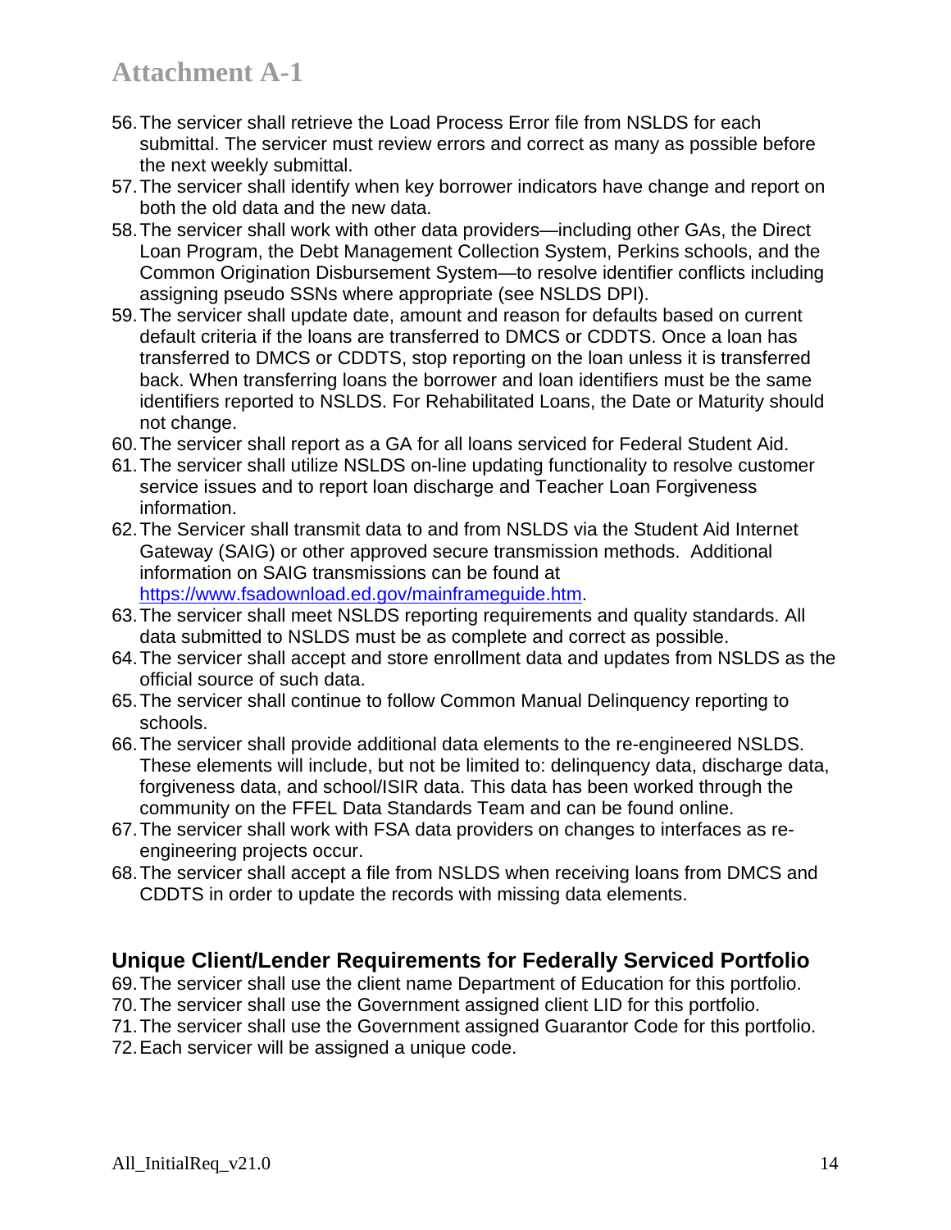- 56. The servicer shall retrieve the Load Process Error file from NSLDS for each submittal. The servicer must review errors and correct as many as possible before the next weekly submittal.
- 57. The servicer shall identify when key borrower indicators have change and report on both the old data and the new data.
- 58. The servicer shall work with other data providers—including other GAs, the Direct Loan Program, the Debt Management Collection System, Perkins schools, and the Common Origination Disbursement System—to resolve identifier conflicts including assigning pseudo SSNs where appropriate (see NSLDS DPI).
- 59. The servicer shall update date, amount and reason for defaults based on current default criteria if the loans are transferred to DMCS or CDDTS. Once a loan has transferred to DMCS or CDDTS, stop reporting on the loan unless it is transferred back. When transferring loans the borrower and loan identifiers must be the same identifiers reported to NSLDS. For Rehabilitated Loans, the Date or Maturity should not change.
- 60. The servicer shall report as a GA for all loans serviced for Federal Student Aid.
- 61. The servicer shall utilize NSLDS on-line updating functionality to resolve customer service issues and to report loan discharge and Teacher Loan Forgiveness information.
- 62. The Servicer shall transmit data to and from NSLDS via the Student Aid Internet Gateway (SAIG) or other approved secure transmission methods. Additional information on SAIG transmissions can be found at https://www.fsadownload.ed.gov/mainframeguide.htm.
- 63. The servicer shall meet NSLDS reporting requirements and quality standards. All data submitted to NSLDS must be as complete and correct as possible.
- 64. The servicer shall accept and store enrollment data and updates from NSLDS as the official source of such data.
- 65. The servicer shall continue to follow Common Manual Delinquency reporting to schools.
- 66. The servicer shall provide additional data elements to the re-engineered NSLDS. These elements will include, but not be limited to: delinquency data, discharge data, forgiveness data, and school/ISIR data. This data has been worked through the community on the FFEL Data Standards Team and can be found online.
- 67. The servicer shall work with FSA data providers on changes to interfaces as reengineering projects occur.
- 68. The servicer shall accept a file from NSLDS when receiving loans from DMCS and CDDTS in order to update the records with missing data elements.

#### **Unique Client/Lender Requirements for Federally Serviced Portfolio**

- 69. The servicer shall use the client name Department of Education for this portfolio.
- 70. The servicer shall use the Government assigned client LID for this portfolio.
- 71. The servicer shall use the Government assigned Guarantor Code for this portfolio.
- 72. Each servicer will be assigned a unique code.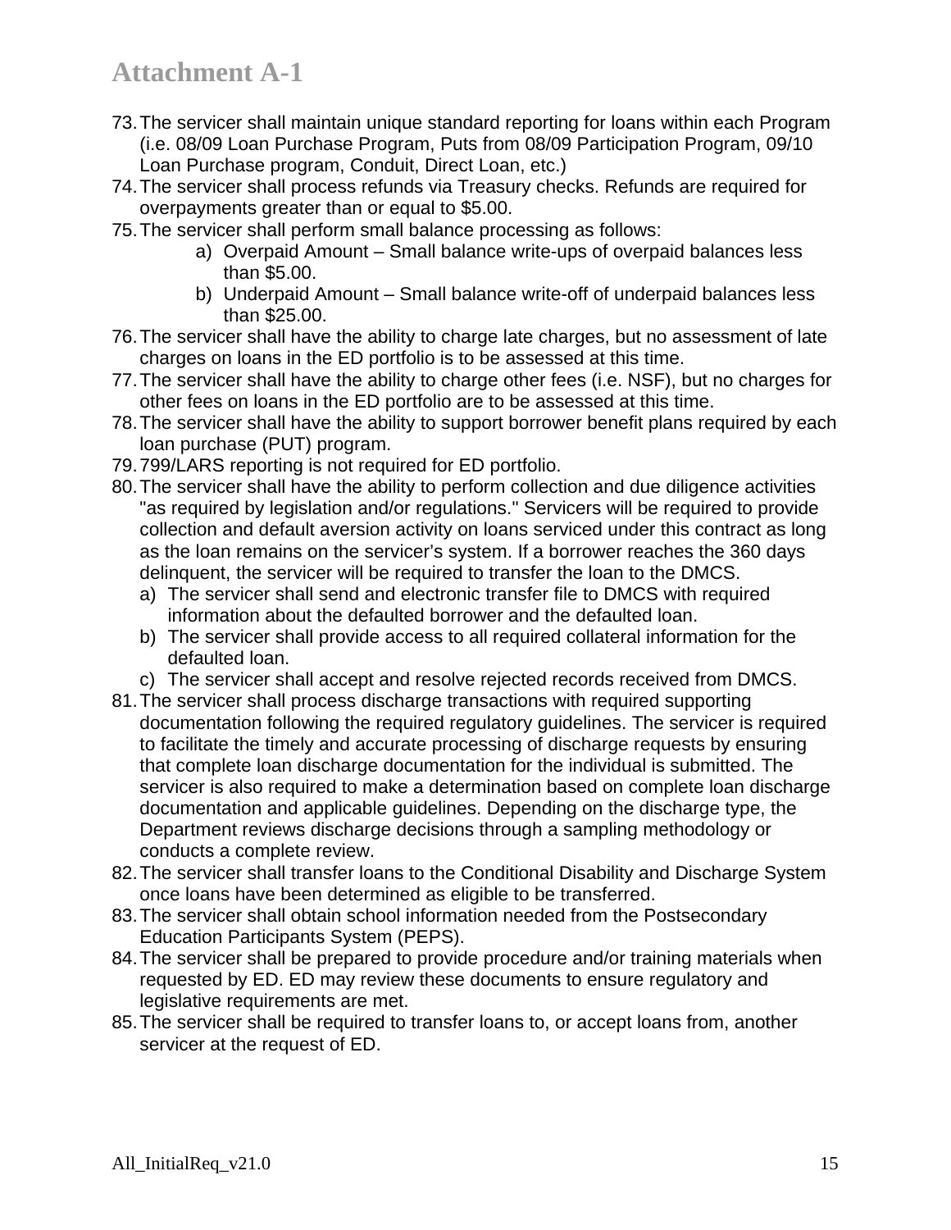- 73. The servicer shall maintain unique standard reporting for loans within each Program (i.e. 08/09 Loan Purchase Program, Puts from 08/09 Participation Program, 09/10 Loan Purchase program, Conduit, Direct Loan, etc.)
- 74. The servicer shall process refunds via Treasury checks. Refunds are required for overpayments greater than or equal to \$5.00.
- 75. The servicer shall perform small balance processing as follows:
	- a) Overpaid Amount Small balance write-ups of overpaid balances less than \$5.00.
	- b) Underpaid Amount Small balance write-off of underpaid balances less than \$25.00.
- 76. The servicer shall have the ability to charge late charges, but no assessment of late charges on loans in the ED portfolio is to be assessed at this time.
- 77. The servicer shall have the ability to charge other fees (i.e. NSF), but no charges for other fees on loans in the ED portfolio are to be assessed at this time.
- 78. The servicer shall have the ability to support borrower benefit plans required by each loan purchase (PUT) program.
- 79. 799/LARS reporting is not required for ED portfolio.
- 80. The servicer shall have the ability to perform collection and due diligence activities "as required by legislation and/or regulations." Servicers will be required to provide collection and default aversion activity on loans serviced under this contract as long as the loan remains on the servicer's system. If a borrower reaches the 360 days delinquent, the servicer will be required to transfer the loan to the DMCS.
	- a) The servicer shall send and electronic transfer file to DMCS with required information about the defaulted borrower and the defaulted loan.
	- b) The servicer shall provide access to all required collateral information for the defaulted loan.
	- c) The servicer shall accept and resolve rejected records received from DMCS.
- 81. The servicer shall process discharge transactions with required supporting documentation following the required regulatory guidelines. The servicer is required to facilitate the timely and accurate processing of discharge requests by ensuring that complete loan discharge documentation for the individual is submitted. The servicer is also required to make a determination based on complete loan discharge documentation and applicable guidelines. Depending on the discharge type, the Department reviews discharge decisions through a sampling methodology or conducts a complete review.
- 82. The servicer shall transfer loans to the Conditional Disability and Discharge System once loans have been determined as eligible to be transferred.
- 83. The servicer shall obtain school information needed from the Postsecondary Education Participants System (PEPS).
- 84. The servicer shall be prepared to provide procedure and/or training materials when requested by ED. ED may review these documents to ensure regulatory and legislative requirements are met.
- 85. The servicer shall be required to transfer loans to, or accept loans from, another servicer at the request of ED.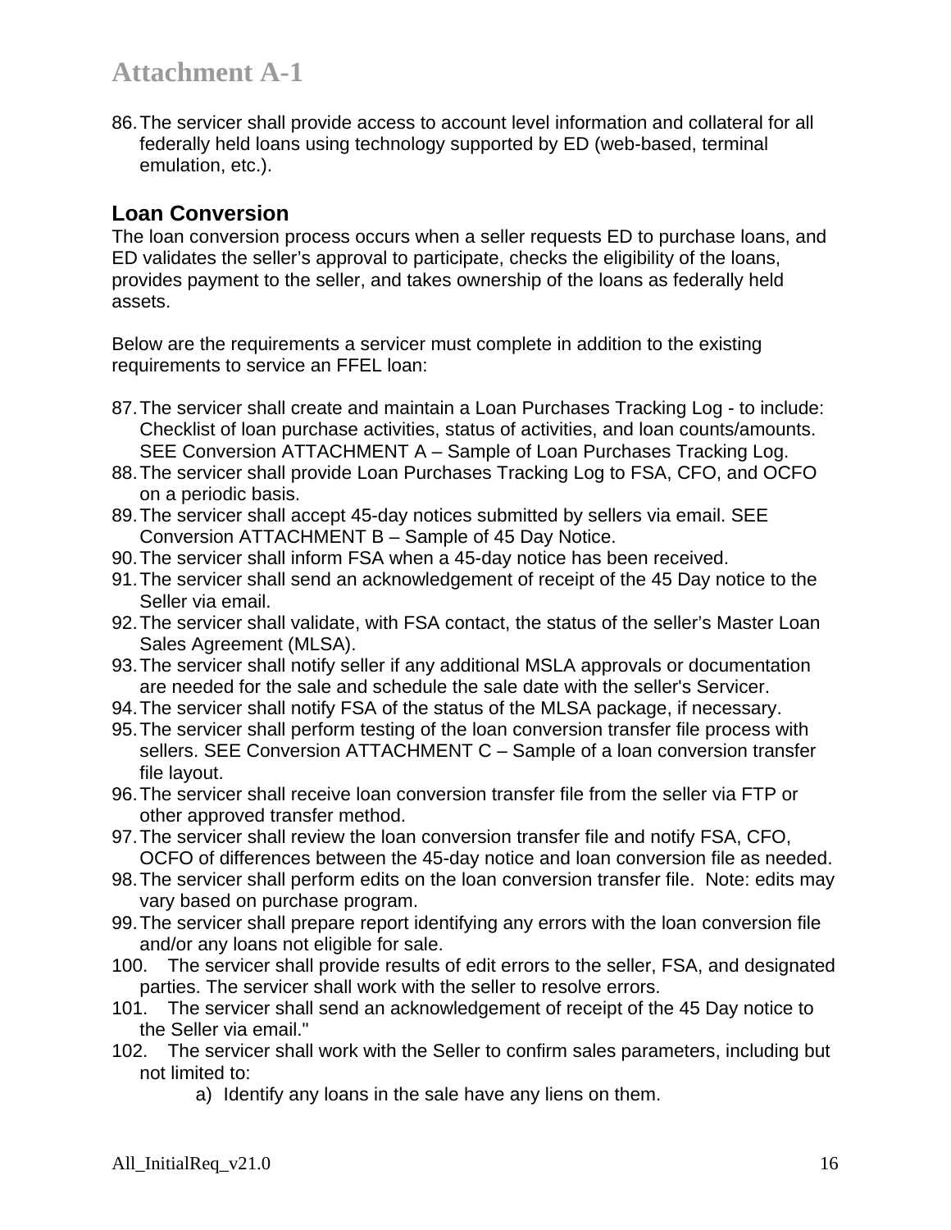86. The servicer shall provide access to account level information and collateral for all federally held loans using technology supported by ED (web-based, terminal emulation, etc.).

## **Loan Conversion**

The loan conversion process occurs when a seller requests ED to purchase loans, and ED validates the seller's approval to participate, checks the eligibility of the loans, provides payment to the seller, and takes ownership of the loans as federally held assets.

Below are the requirements a servicer must complete in addition to the existing requirements to service an FFEL loan:

- 87. The servicer shall create and maintain a Loan Purchases Tracking Log to include: Checklist of loan purchase activities, status of activities, and loan counts/amounts. SEE Conversion ATTACHMENT A – Sample of Loan Purchases Tracking Log.
- 88. The servicer shall provide Loan Purchases Tracking Log to FSA, CFO, and OCFO on a periodic basis.
- 89. The servicer shall accept 45-day notices submitted by sellers via email. SEE Conversion ATTACHMENT B – Sample of 45 Day Notice.
- 90. The servicer shall inform FSA when a 45-day notice has been received.
- 91. The servicer shall send an acknowledgement of receipt of the 45 Day notice to the Seller via email.
- 92. The servicer shall validate, with FSA contact, the status of the seller's Master Loan Sales Agreement (MLSA).
- 93. The servicer shall notify seller if any additional MSLA approvals or documentation are needed for the sale and schedule the sale date with the seller's Servicer.
- 94. The servicer shall notify FSA of the status of the MLSA package, if necessary.
- 95. The servicer shall perform testing of the loan conversion transfer file process with sellers. SEE Conversion ATTACHMENT C – Sample of a loan conversion transfer file layout.
- 96. The servicer shall receive loan conversion transfer file from the seller via FTP or other approved transfer method.
- 97. The servicer shall review the loan conversion transfer file and notify FSA, CFO, OCFO of differences between the 45-day notice and loan conversion file as needed.
- 98. The servicer shall perform edits on the loan conversion transfer file. Note: edits may vary based on purchase program.
- 99. The servicer shall prepare report identifying any errors with the loan conversion file and/or any loans not eligible for sale.
- 100. The servicer shall provide results of edit errors to the seller, FSA, and designated parties. The servicer shall work with the seller to resolve errors.
- 101. The servicer shall send an acknowledgement of receipt of the 45 Day notice to the Seller via email."
- 102. The servicer shall work with the Seller to confirm sales parameters, including but not limited to:
	- a) Identify any loans in the sale have any liens on them.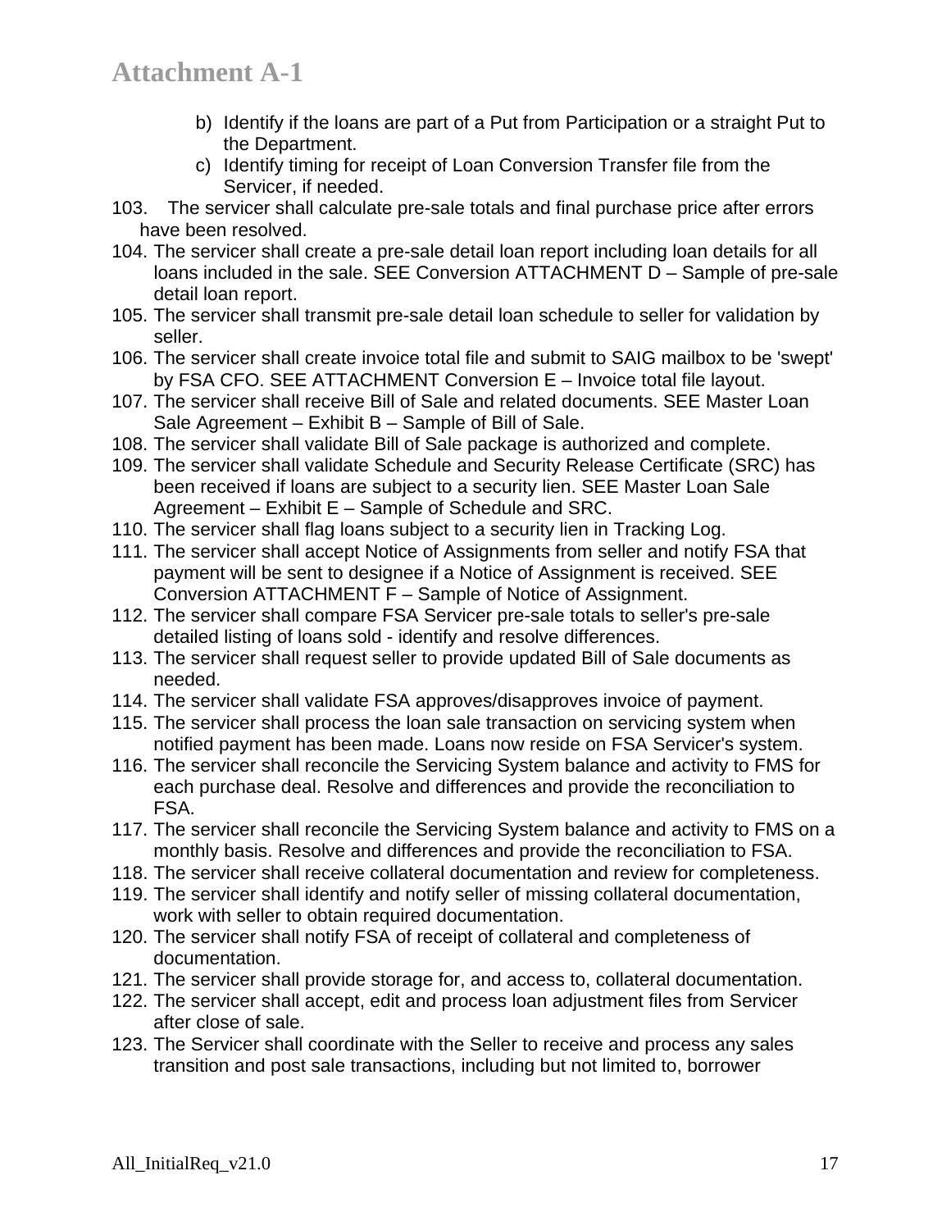- b) Identify if the loans are part of a Put from Participation or a straight Put to the Department.
- c) Identify timing for receipt of Loan Conversion Transfer file from the Servicer, if needed.
- 103. The servicer shall calculate pre-sale totals and final purchase price after errors have been resolved.
- 104. The servicer shall create a pre-sale detail loan report including loan details for all loans included in the sale. SEE Conversion ATTACHMENT D – Sample of pre-sale detail loan report.
- 105. The servicer shall transmit pre-sale detail loan schedule to seller for validation by seller.
- 106. The servicer shall create invoice total file and submit to SAIG mailbox to be 'swept' by FSA CFO. SEE ATTACHMENT Conversion E – Invoice total file layout.
- 107. The servicer shall receive Bill of Sale and related documents. SEE Master Loan Sale Agreement – Exhibit B – Sample of Bill of Sale.
- 108. The servicer shall validate Bill of Sale package is authorized and complete.
- 109. The servicer shall validate Schedule and Security Release Certificate (SRC) has been received if loans are subject to a security lien. SEE Master Loan Sale Agreement – Exhibit E – Sample of Schedule and SRC.
- 110. The servicer shall flag loans subject to a security lien in Tracking Log.
- 111. The servicer shall accept Notice of Assignments from seller and notify FSA that payment will be sent to designee if a Notice of Assignment is received. SEE Conversion ATTACHMENT F – Sample of Notice of Assignment.
- 112. The servicer shall compare FSA Servicer pre-sale totals to seller's pre-sale detailed listing of loans sold - identify and resolve differences.
- 113. The servicer shall request seller to provide updated Bill of Sale documents as needed.
- 114. The servicer shall validate FSA approves/disapproves invoice of payment.
- 115. The servicer shall process the loan sale transaction on servicing system when notified payment has been made. Loans now reside on FSA Servicer's system.
- 116. The servicer shall reconcile the Servicing System balance and activity to FMS for each purchase deal. Resolve and differences and provide the reconciliation to FSA.
- 117. The servicer shall reconcile the Servicing System balance and activity to FMS on a monthly basis. Resolve and differences and provide the reconciliation to FSA.
- 118. The servicer shall receive collateral documentation and review for completeness.
- 119. The servicer shall identify and notify seller of missing collateral documentation, work with seller to obtain required documentation.
- 120. The servicer shall notify FSA of receipt of collateral and completeness of documentation.
- 121. The servicer shall provide storage for, and access to, collateral documentation.
- 122. The servicer shall accept, edit and process loan adjustment files from Servicer after close of sale.
- 123. The Servicer shall coordinate with the Seller to receive and process any sales transition and post sale transactions, including but not limited to, borrower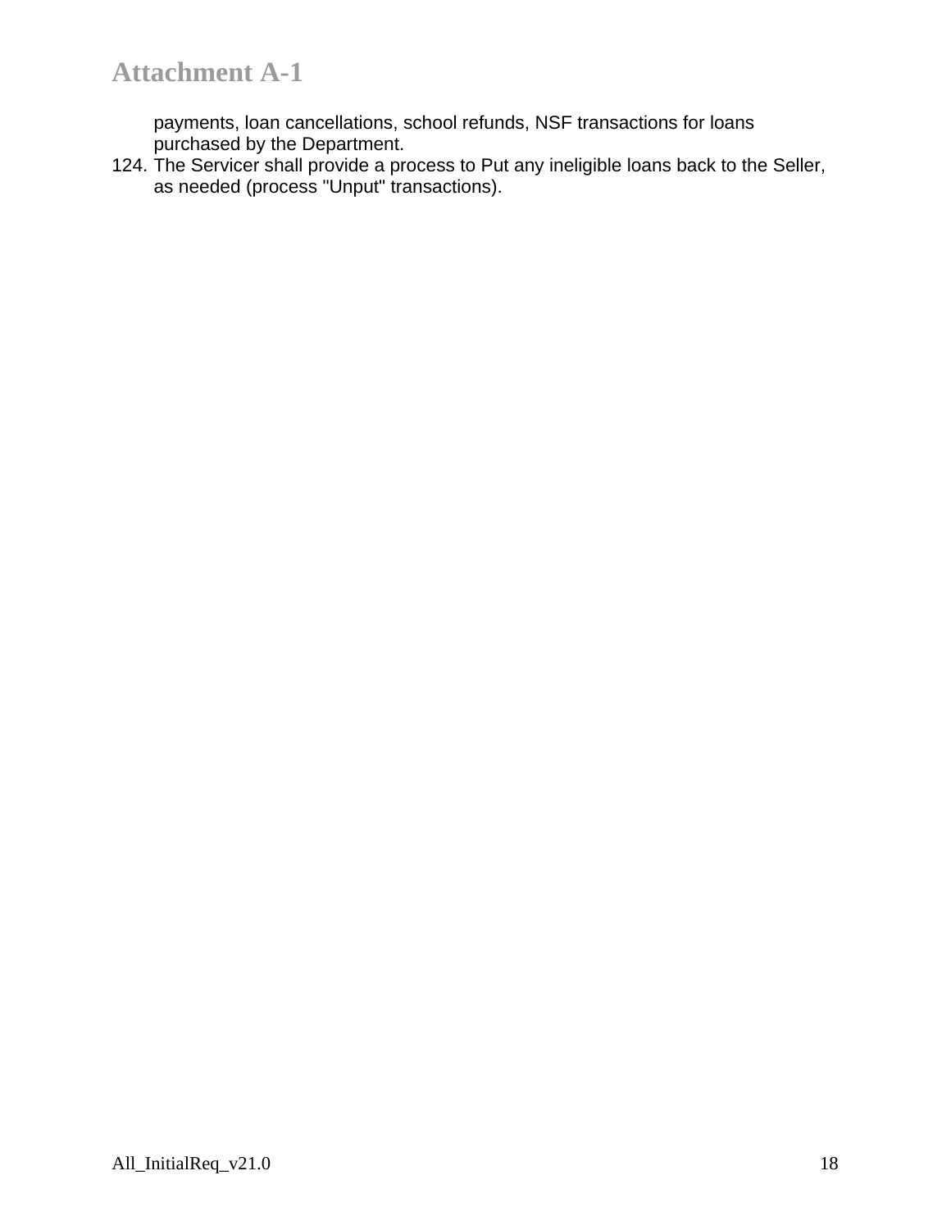payments, loan cancellations, school refunds, NSF transactions for loans purchased by the Department.

124. The Servicer shall provide a process to Put any ineligible loans back to the Seller, as needed (process "Unput" transactions).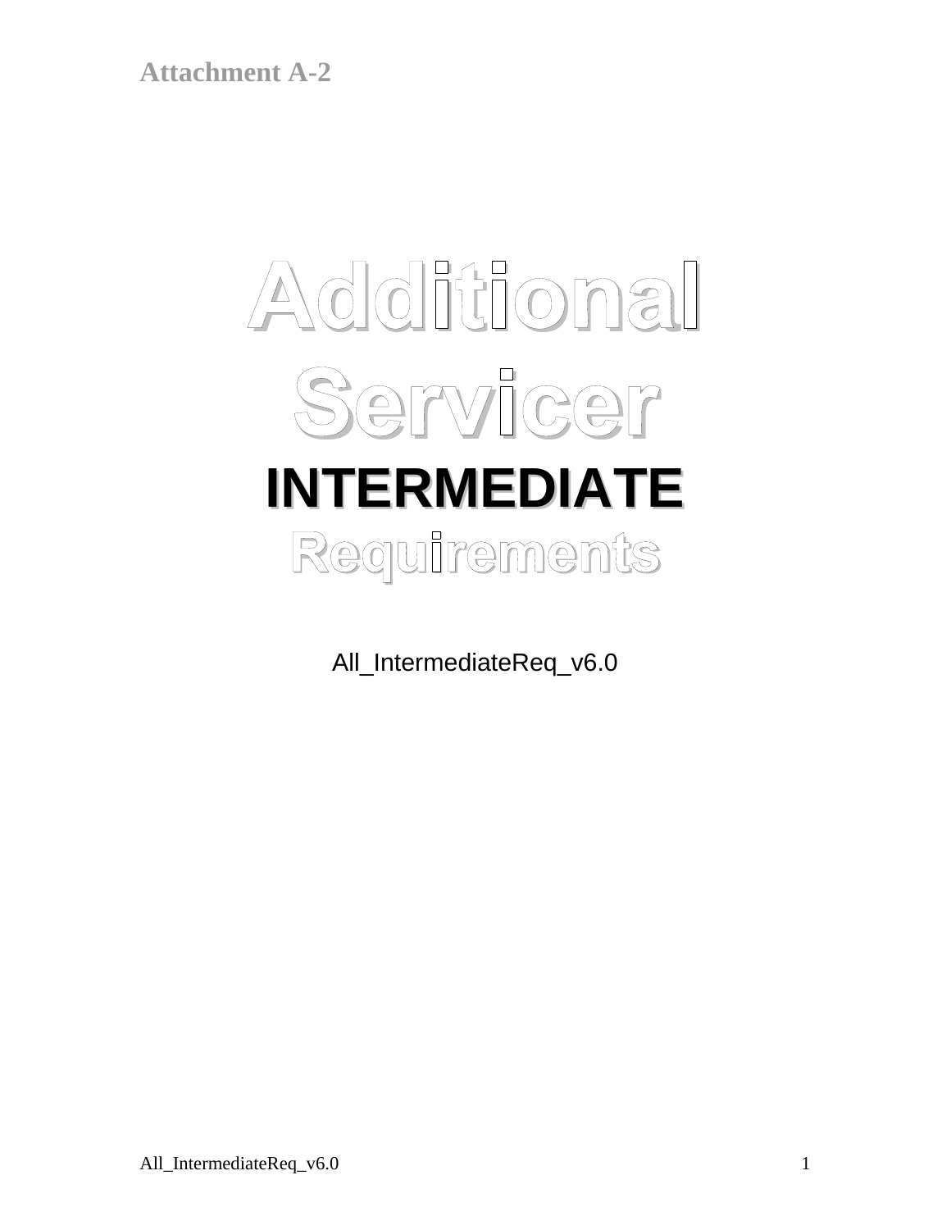# **Additional Servicer INTERMEDIATE Requirements**

All\_IntermediateReq\_v6.0

All\_IntermediateReq\_v6.0 1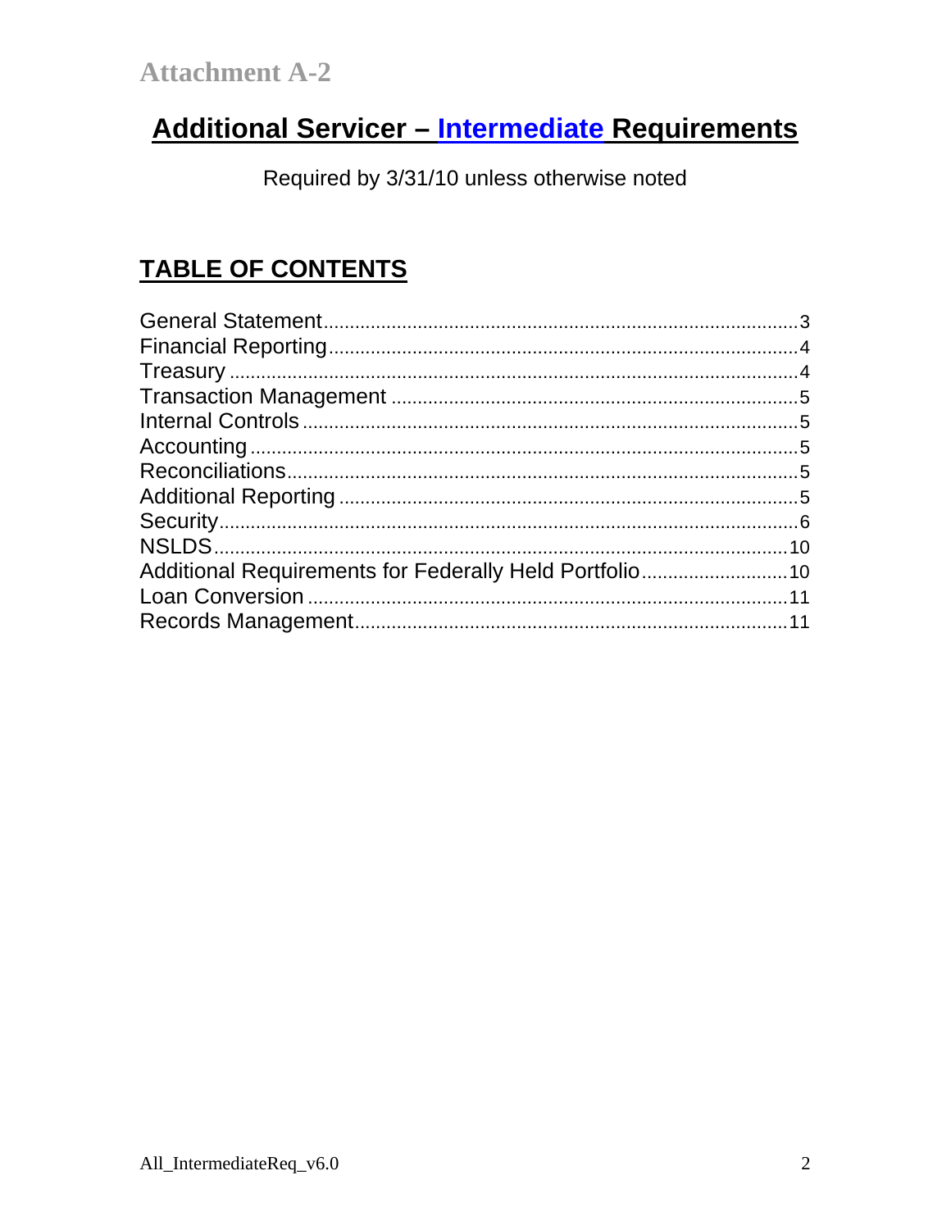# Additional Servicer - Intermediate Requirements

Required by 3/31/10 unless otherwise noted

# **TABLE OF CONTENTS**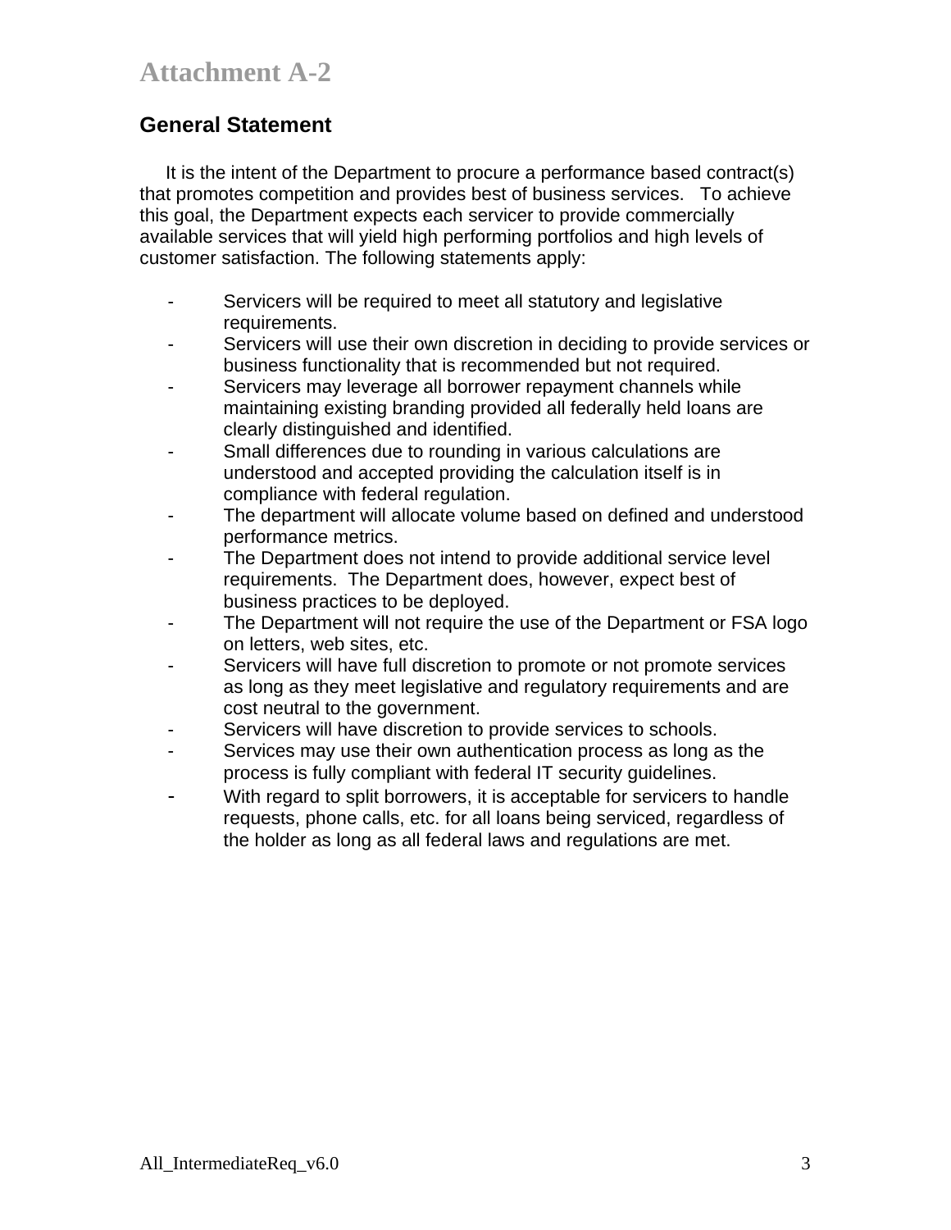## **General Statement**

 It is the intent of the Department to procure a performance based contract(s) that promotes competition and provides best of business services. To achieve this goal, the Department expects each servicer to provide commercially available services that will yield high performing portfolios and high levels of customer satisfaction. The following statements apply:

- Servicers will be required to meet all statutory and legislative requirements.
- Servicers will use their own discretion in deciding to provide services or business functionality that is recommended but not required.
- Servicers may leverage all borrower repayment channels while maintaining existing branding provided all federally held loans are clearly distinguished and identified.
- Small differences due to rounding in various calculations are understood and accepted providing the calculation itself is in compliance with federal regulation.
- The department will allocate volume based on defined and understood performance metrics.
- The Department does not intend to provide additional service level requirements. The Department does, however, expect best of business practices to be deployed.
- The Department will not require the use of the Department or FSA logo on letters, web sites, etc.
- Servicers will have full discretion to promote or not promote services as long as they meet legislative and regulatory requirements and are cost neutral to the government.
- Servicers will have discretion to provide services to schools.
- Services may use their own authentication process as long as the process is fully compliant with federal IT security guidelines.
- With regard to split borrowers, it is acceptable for servicers to handle requests, phone calls, etc. for all loans being serviced, regardless of the holder as long as all federal laws and regulations are met.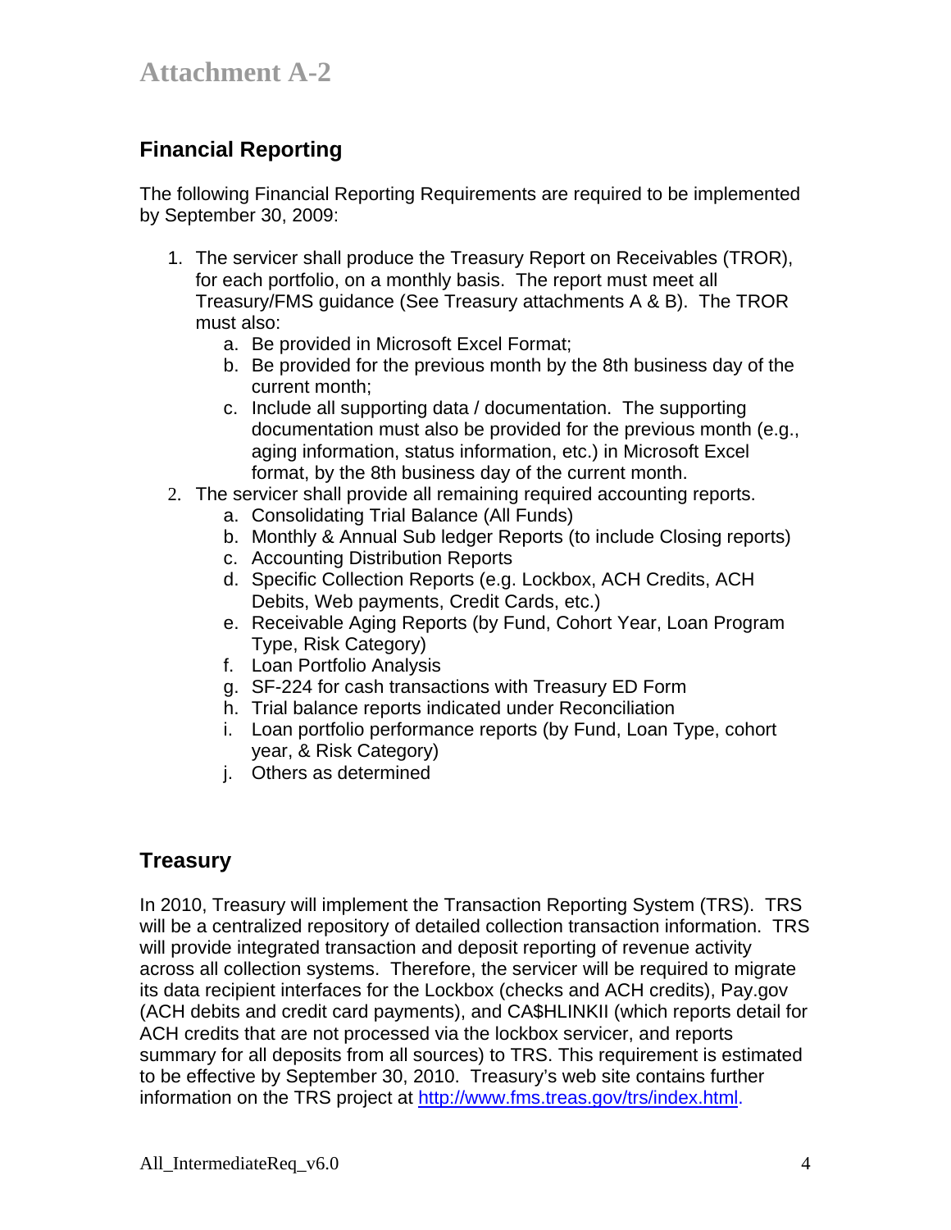## **Financial Reporting**

The following Financial Reporting Requirements are required to be implemented by September 30, 2009:

- 1. The servicer shall produce the Treasury Report on Receivables (TROR), for each portfolio, on a monthly basis. The report must meet all Treasury/FMS guidance (See Treasury attachments A & B). The TROR must also:
	- a. Be provided in Microsoft Excel Format;
	- b. Be provided for the previous month by the 8th business day of the current month;
	- c. Include all supporting data / documentation. The supporting documentation must also be provided for the previous month (e.g., aging information, status information, etc.) in Microsoft Excel format, by the 8th business day of the current month.
- 2. The servicer shall provide all remaining required accounting reports.
	- a. Consolidating Trial Balance (All Funds)
	- b. Monthly & Annual Sub ledger Reports (to include Closing reports)
	- c. Accounting Distribution Reports
	- d. Specific Collection Reports (e.g. Lockbox, ACH Credits, ACH Debits, Web payments, Credit Cards, etc.)
	- e. Receivable Aging Reports (by Fund, Cohort Year, Loan Program Type, Risk Category)
	- f. Loan Portfolio Analysis
	- g. SF-224 for cash transactions with Treasury ED Form
	- h. Trial balance reports indicated under Reconciliation
	- i. Loan portfolio performance reports (by Fund, Loan Type, cohort year, & Risk Category)
	- j. Others as determined

## **Treasury**

In 2010, Treasury will implement the Transaction Reporting System (TRS). TRS will be a centralized repository of detailed collection transaction information. TRS will provide integrated transaction and deposit reporting of revenue activity across all collection systems. Therefore, the servicer will be required to migrate its data recipient interfaces for the Lockbox (checks and ACH credits), Pay.gov (ACH debits and credit card payments), and CA\$HLINKII (which reports detail for ACH credits that are not processed via the lockbox servicer, and reports summary for all deposits from all sources) to TRS. This requirement is estimated to be effective by September 30, 2010. Treasury's web site contains further information on the TRS project at http://www.fms.treas.gov/trs/index.html.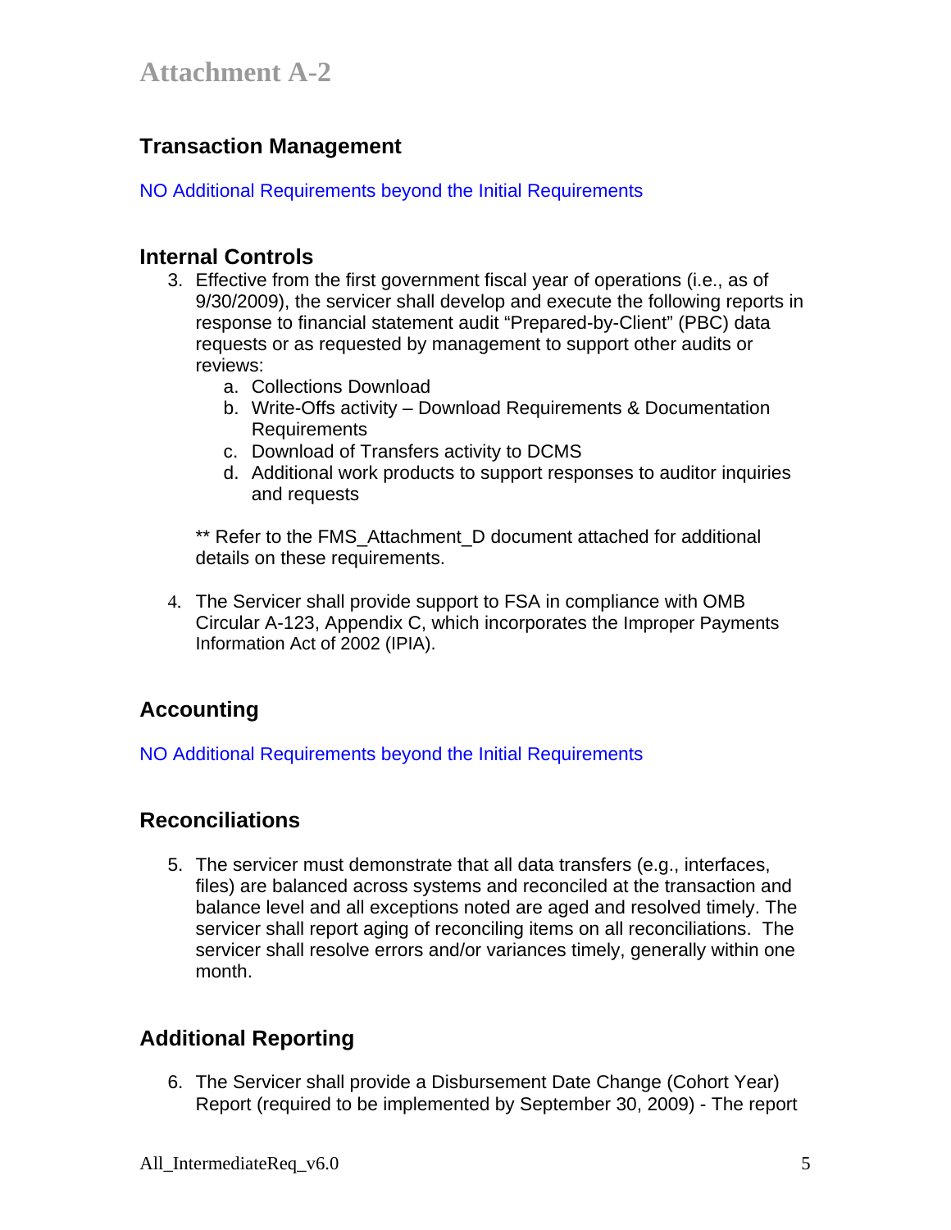## **Transaction Management**

NO Additional Requirements beyond the Initial Requirements

#### **Internal Controls**

- 3. Effective from the first government fiscal year of operations (i.e., as of 9/30/2009), the servicer shall develop and execute the following reports in response to financial statement audit "Prepared-by-Client" (PBC) data requests or as requested by management to support other audits or reviews:
	- a. Collections Download
	- b. Write-Offs activity Download Requirements & Documentation Requirements
	- c. Download of Transfers activity to DCMS
	- d. Additional work products to support responses to auditor inquiries and requests

\*\* Refer to the FMS\_Attachment\_D document attached for additional details on these requirements.

4. The Servicer shall provide support to FSA in compliance with OMB Circular A-123, Appendix C, which incorporates the Improper Payments Information Act of 2002 (IPIA).

## **Accounting**

NO Additional Requirements beyond the Initial Requirements

## **Reconciliations**

5. The servicer must demonstrate that all data transfers (e.g., interfaces, files) are balanced across systems and reconciled at the transaction and balance level and all exceptions noted are aged and resolved timely. The servicer shall report aging of reconciling items on all reconciliations. The servicer shall resolve errors and/or variances timely, generally within one month.

## **Additional Reporting**

6. The Servicer shall provide a Disbursement Date Change (Cohort Year) Report (required to be implemented by September 30, 2009) - The report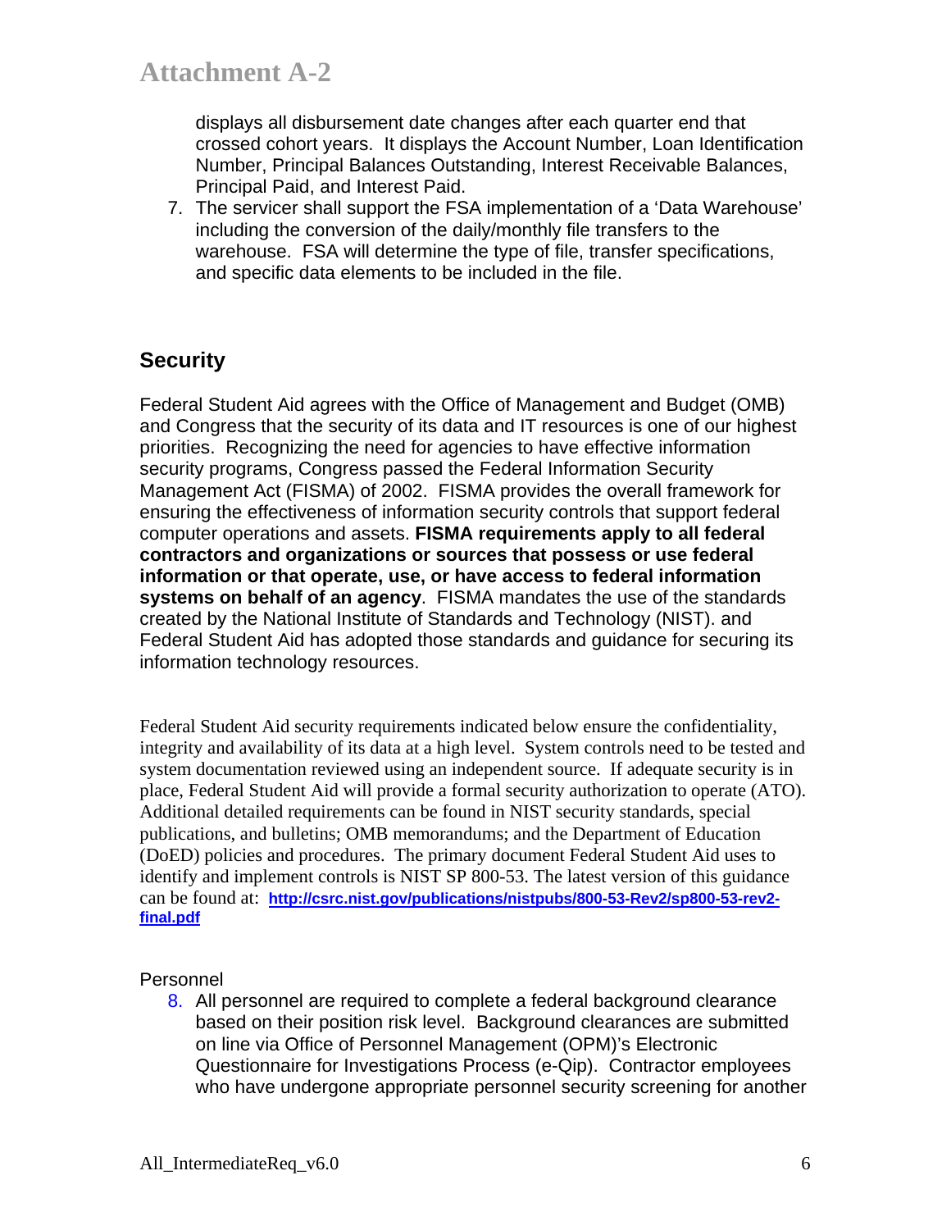displays all disbursement date changes after each quarter end that crossed cohort years. It displays the Account Number, Loan Identification Number, Principal Balances Outstanding, Interest Receivable Balances, Principal Paid, and Interest Paid.

7. The servicer shall support the FSA implementation of a 'Data Warehouse' including the conversion of the daily/monthly file transfers to the warehouse. FSA will determine the type of file, transfer specifications, and specific data elements to be included in the file.

## **Security**

Federal Student Aid agrees with the Office of Management and Budget (OMB) and Congress that the security of its data and IT resources is one of our highest priorities. Recognizing the need for agencies to have effective information security programs, Congress passed the Federal Information Security Management Act (FISMA) of 2002. FISMA provides the overall framework for ensuring the effectiveness of information security controls that support federal computer operations and assets. **FISMA requirements apply to all federal contractors and organizations or sources that possess or use federal information or that operate, use, or have access to federal information systems on behalf of an agency**. FISMA mandates the use of the standards created by the National Institute of Standards and Technology (NIST). and Federal Student Aid has adopted those standards and guidance for securing its information technology resources.

Federal Student Aid security requirements indicated below ensure the confidentiality, integrity and availability of its data at a high level. System controls need to be tested and system documentation reviewed using an independent source. If adequate security is in place, Federal Student Aid will provide a formal security authorization to operate (ATO). Additional detailed requirements can be found in NIST security standards, special publications, and bulletins; OMB memorandums; and the Department of Education (DoED) policies and procedures. The primary document Federal Student Aid uses to identify and implement controls is NIST SP 800-53. The latest version of this guidance can be found at: **http://csrc.nist.gov/publications/nistpubs/800-53-Rev2/sp800-53-rev2 final.pdf** 

Personnel

8. All personnel are required to complete a federal background clearance based on their position risk level. Background clearances are submitted on line via Office of Personnel Management (OPM)'s Electronic Questionnaire for Investigations Process (e-Qip). Contractor employees who have undergone appropriate personnel security screening for another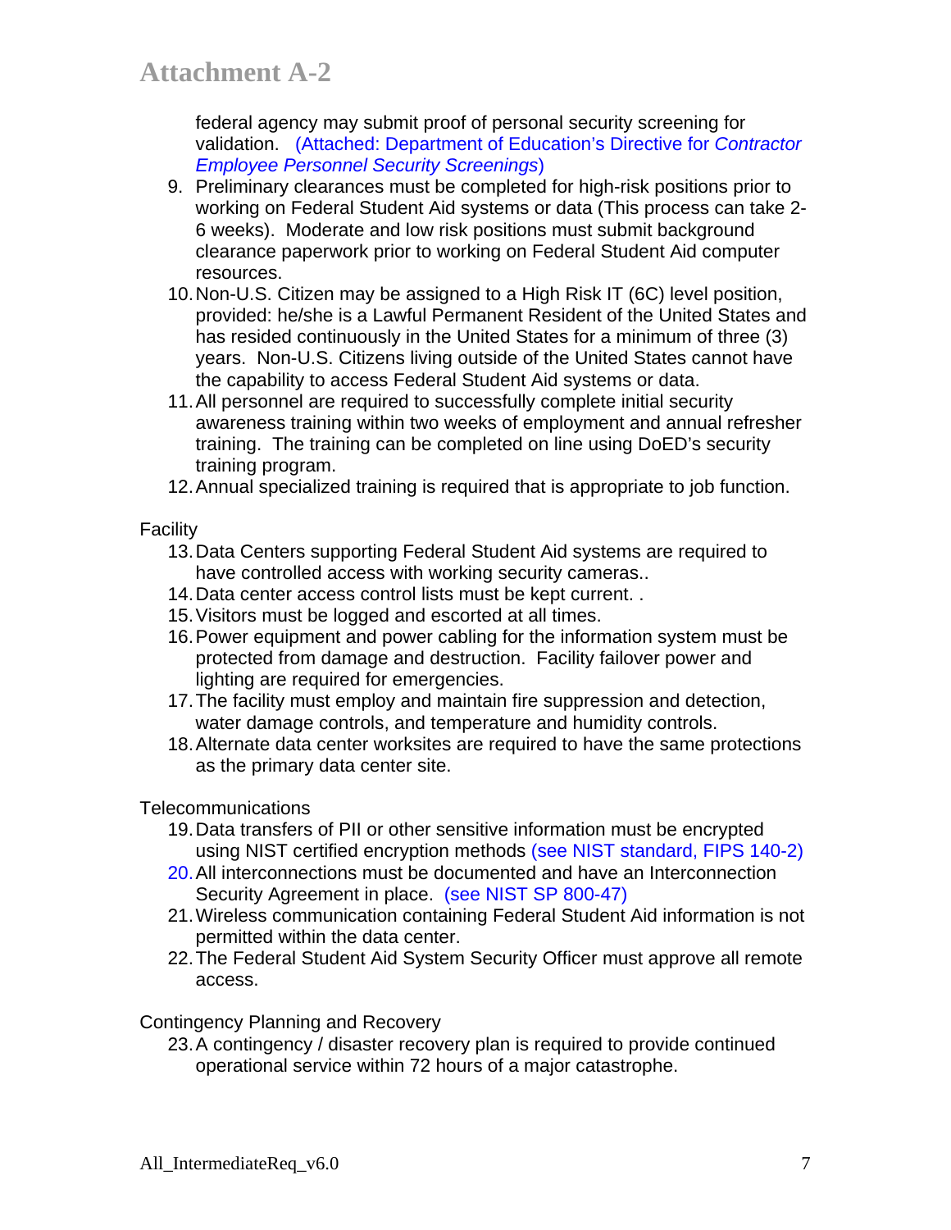federal agency may submit proof of personal security screening for validation. (Attached: Department of Education's Directive for *Contractor Employee Personnel Security Screenings*)

- 9. Preliminary clearances must be completed for high-risk positions prior to working on Federal Student Aid systems or data (This process can take 2- 6 weeks). Moderate and low risk positions must submit background clearance paperwork prior to working on Federal Student Aid computer resources.
- 10. Non-U.S. Citizen may be assigned to a High Risk IT (6C) level position, provided: he/she is a Lawful Permanent Resident of the United States and has resided continuously in the United States for a minimum of three (3) years. Non-U.S. Citizens living outside of the United States cannot have the capability to access Federal Student Aid systems or data.
- 11. All personnel are required to successfully complete initial security awareness training within two weeks of employment and annual refresher training. The training can be completed on line using DoED's security training program.
- 12. Annual specialized training is required that is appropriate to job function.

**Facility** 

- 13. Data Centers supporting Federal Student Aid systems are required to have controlled access with working security cameras..
- 14. Data center access control lists must be kept current. .
- 15. Visitors must be logged and escorted at all times.
- 16. Power equipment and power cabling for the information system must be protected from damage and destruction. Facility failover power and lighting are required for emergencies.
- 17. The facility must employ and maintain fire suppression and detection, water damage controls, and temperature and humidity controls.
- 18. Alternate data center worksites are required to have the same protections as the primary data center site.

Telecommunications

- 19. Data transfers of PII or other sensitive information must be encrypted using NIST certified encryption methods (see NIST standard, FIPS 140-2)
- 20. All interconnections must be documented and have an Interconnection Security Agreement in place. (see NIST SP 800-47)
- 21. Wireless communication containing Federal Student Aid information is not permitted within the data center.
- 22. The Federal Student Aid System Security Officer must approve all remote access.

Contingency Planning and Recovery

23. A contingency / disaster recovery plan is required to provide continued operational service within 72 hours of a major catastrophe.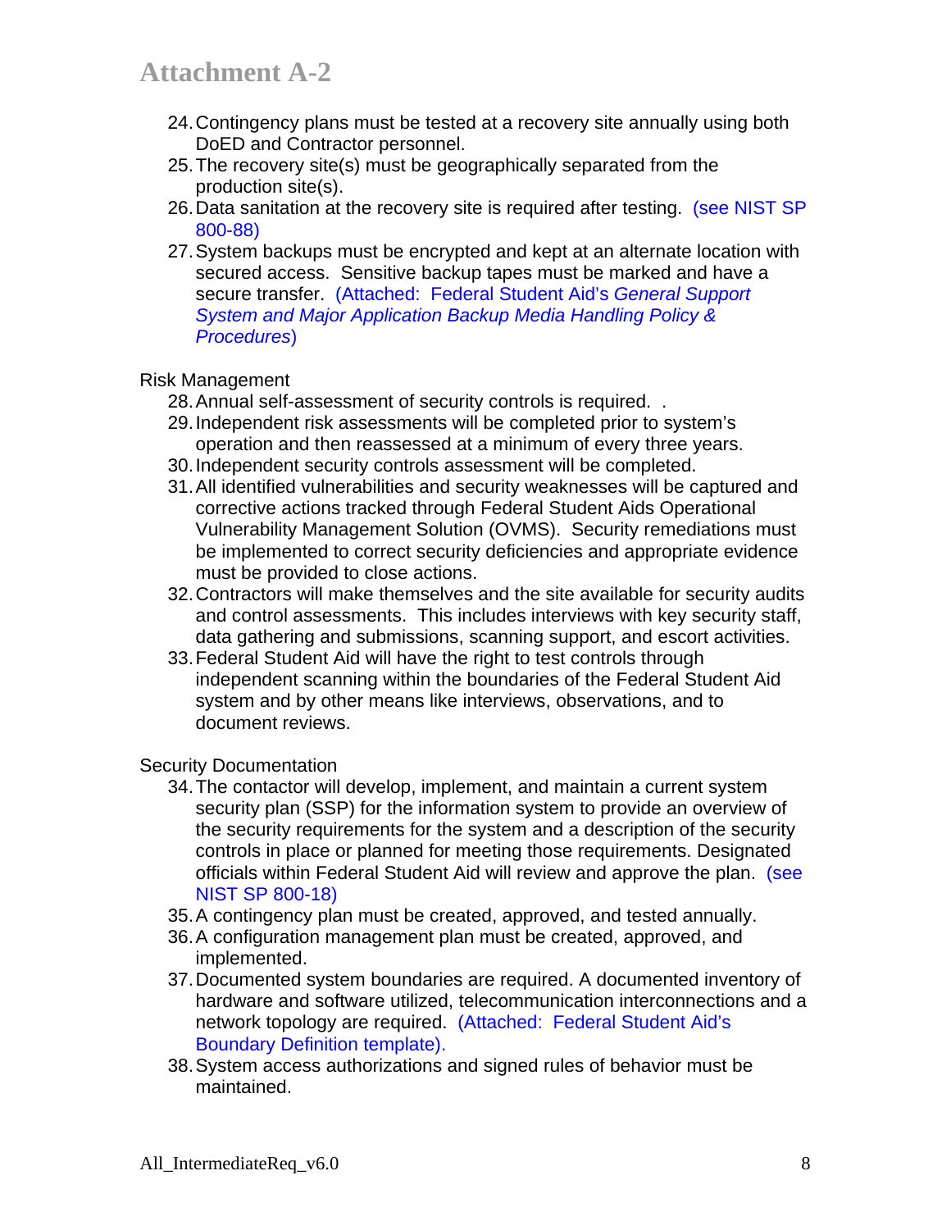- 24. Contingency plans must be tested at a recovery site annually using both DoED and Contractor personnel.
- 25. The recovery site(s) must be geographically separated from the production site(s).
- 26. Data sanitation at the recovery site is required after testing. (see NIST SP 800-88)
- 27. System backups must be encrypted and kept at an alternate location with secured access. Sensitive backup tapes must be marked and have a secure transfer. (Attached: Federal Student Aid's *General Support System and Major Application Backup Media Handling Policy & Procedures*)

#### Risk Management

- 28. Annual self-assessment of security controls is required. .
- 29. Independent risk assessments will be completed prior to system's operation and then reassessed at a minimum of every three years.
- 30. Independent security controls assessment will be completed.
- 31. All identified vulnerabilities and security weaknesses will be captured and corrective actions tracked through Federal Student Aids Operational Vulnerability Management Solution (OVMS). Security remediations must be implemented to correct security deficiencies and appropriate evidence must be provided to close actions.
- 32. Contractors will make themselves and the site available for security audits and control assessments. This includes interviews with key security staff, data gathering and submissions, scanning support, and escort activities.
- 33. Federal Student Aid will have the right to test controls through independent scanning within the boundaries of the Federal Student Aid system and by other means like interviews, observations, and to document reviews.

Security Documentation

- 34. The contactor will develop, implement, and maintain a current system security plan (SSP) for the information system to provide an overview of the security requirements for the system and a description of the security controls in place or planned for meeting those requirements. Designated officials within Federal Student Aid will review and approve the plan. (see NIST SP 800-18)
- 35. A contingency plan must be created, approved, and tested annually.
- 36. A configuration management plan must be created, approved, and implemented.
- 37. Documented system boundaries are required. A documented inventory of hardware and software utilized, telecommunication interconnections and a network topology are required. (Attached: Federal Student Aid's Boundary Definition template).
- 38. System access authorizations and signed rules of behavior must be maintained.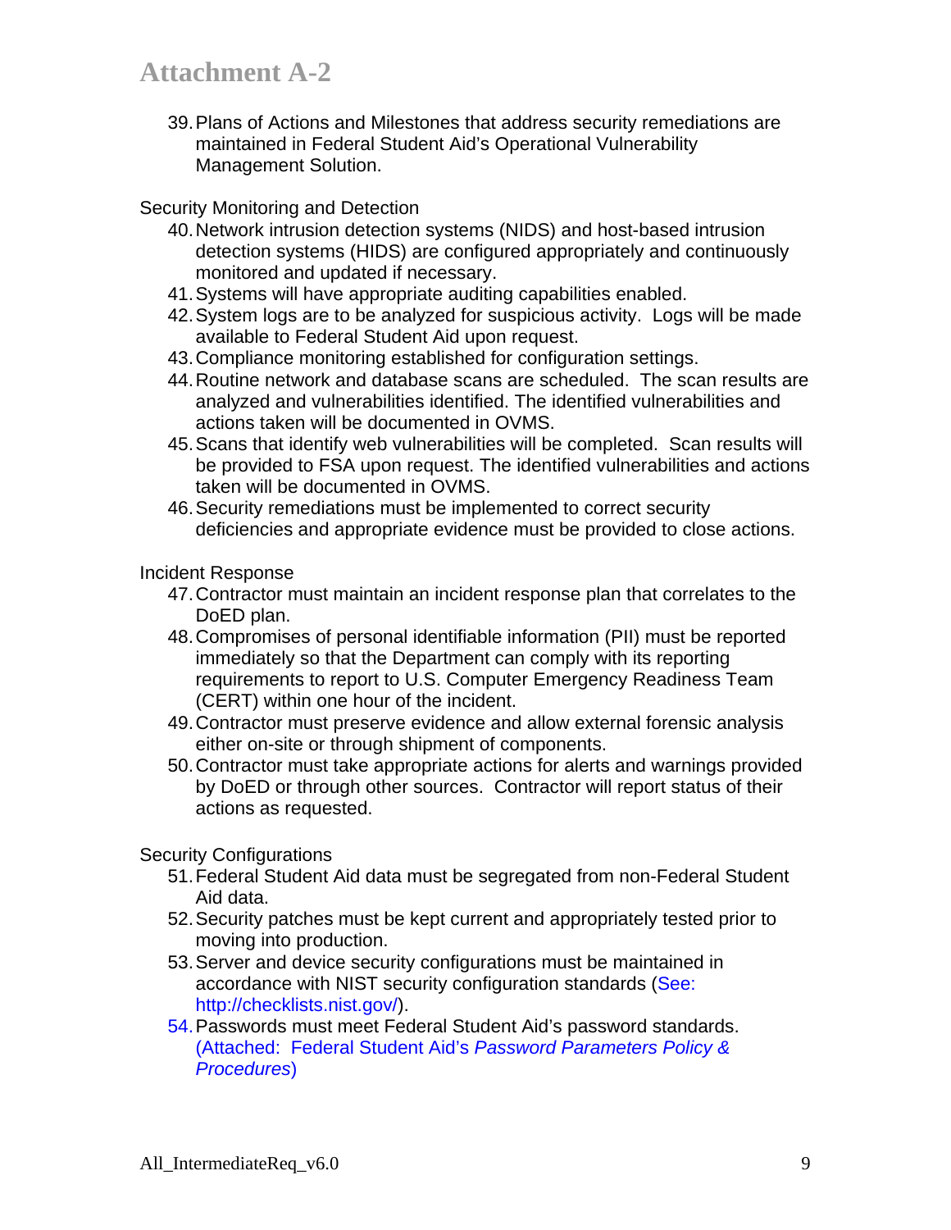39. Plans of Actions and Milestones that address security remediations are maintained in Federal Student Aid's Operational Vulnerability Management Solution.

#### Security Monitoring and Detection

- 40. Network intrusion detection systems (NIDS) and host-based intrusion detection systems (HIDS) are configured appropriately and continuously monitored and updated if necessary.
- 41. Systems will have appropriate auditing capabilities enabled.
- 42. System logs are to be analyzed for suspicious activity. Logs will be made available to Federal Student Aid upon request.
- 43. Compliance monitoring established for configuration settings.
- 44. Routine network and database scans are scheduled. The scan results are analyzed and vulnerabilities identified. The identified vulnerabilities and actions taken will be documented in OVMS.
- 45. Scans that identify web vulnerabilities will be completed. Scan results will be provided to FSA upon request. The identified vulnerabilities and actions taken will be documented in OVMS.
- 46. Security remediations must be implemented to correct security deficiencies and appropriate evidence must be provided to close actions.

#### Incident Response

- 47. Contractor must maintain an incident response plan that correlates to the DoED plan.
- 48. Compromises of personal identifiable information (PII) must be reported immediately so that the Department can comply with its reporting requirements to report to U.S. Computer Emergency Readiness Team (CERT) within one hour of the incident.
- 49. Contractor must preserve evidence and allow external forensic analysis either on-site or through shipment of components.
- 50. Contractor must take appropriate actions for alerts and warnings provided by DoED or through other sources. Contractor will report status of their actions as requested.

#### Security Configurations

- 51. Federal Student Aid data must be segregated from non-Federal Student Aid data.
- 52. Security patches must be kept current and appropriately tested prior to moving into production.
- 53. Server and device security configurations must be maintained in accordance with NIST security configuration standards (See: http://checklists.nist.gov/).
- 54. Passwords must meet Federal Student Aid's password standards. (Attached: Federal Student Aid's *Password Parameters Policy & Procedures*)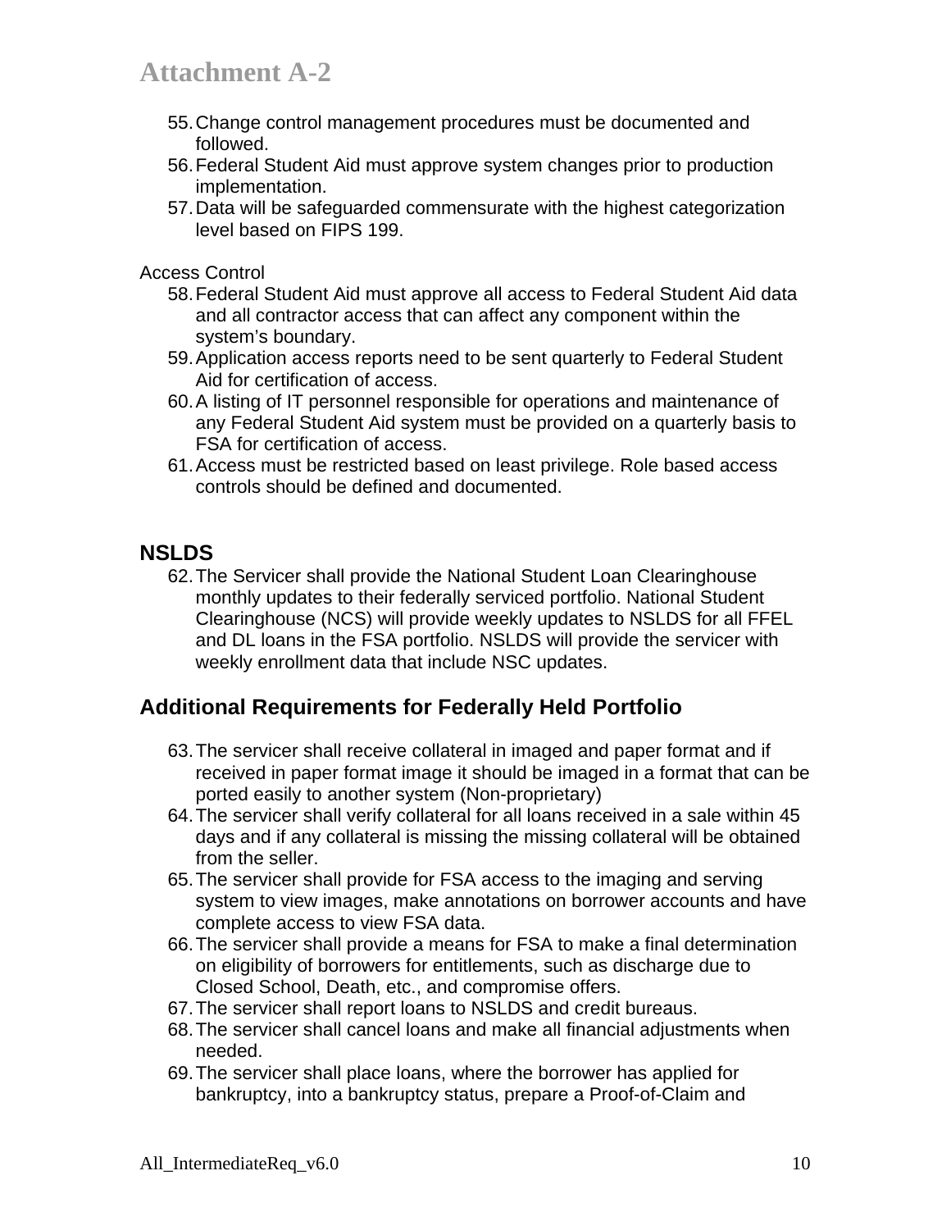- 55. Change control management procedures must be documented and followed.
- 56. Federal Student Aid must approve system changes prior to production implementation.
- 57. Data will be safeguarded commensurate with the highest categorization level based on FIPS 199.

Access Control

- 58. Federal Student Aid must approve all access to Federal Student Aid data and all contractor access that can affect any component within the system's boundary.
- 59. Application access reports need to be sent quarterly to Federal Student Aid for certification of access.
- 60. A listing of IT personnel responsible for operations and maintenance of any Federal Student Aid system must be provided on a quarterly basis to FSA for certification of access.
- 61. Access must be restricted based on least privilege. Role based access controls should be defined and documented.

## **NSLDS**

62. The Servicer shall provide the National Student Loan Clearinghouse monthly updates to their federally serviced portfolio. National Student Clearinghouse (NCS) will provide weekly updates to NSLDS for all FFEL and DL loans in the FSA portfolio. NSLDS will provide the servicer with weekly enrollment data that include NSC updates.

## **Additional Requirements for Federally Held Portfolio**

- 63. The servicer shall receive collateral in imaged and paper format and if received in paper format image it should be imaged in a format that can be ported easily to another system (Non-proprietary)
- 64. The servicer shall verify collateral for all loans received in a sale within 45 days and if any collateral is missing the missing collateral will be obtained from the seller.
- 65. The servicer shall provide for FSA access to the imaging and serving system to view images, make annotations on borrower accounts and have complete access to view FSA data.
- 66. The servicer shall provide a means for FSA to make a final determination on eligibility of borrowers for entitlements, such as discharge due to Closed School, Death, etc., and compromise offers.
- 67. The servicer shall report loans to NSLDS and credit bureaus.
- 68. The servicer shall cancel loans and make all financial adjustments when needed.
- 69. The servicer shall place loans, where the borrower has applied for bankruptcy, into a bankruptcy status, prepare a Proof-of-Claim and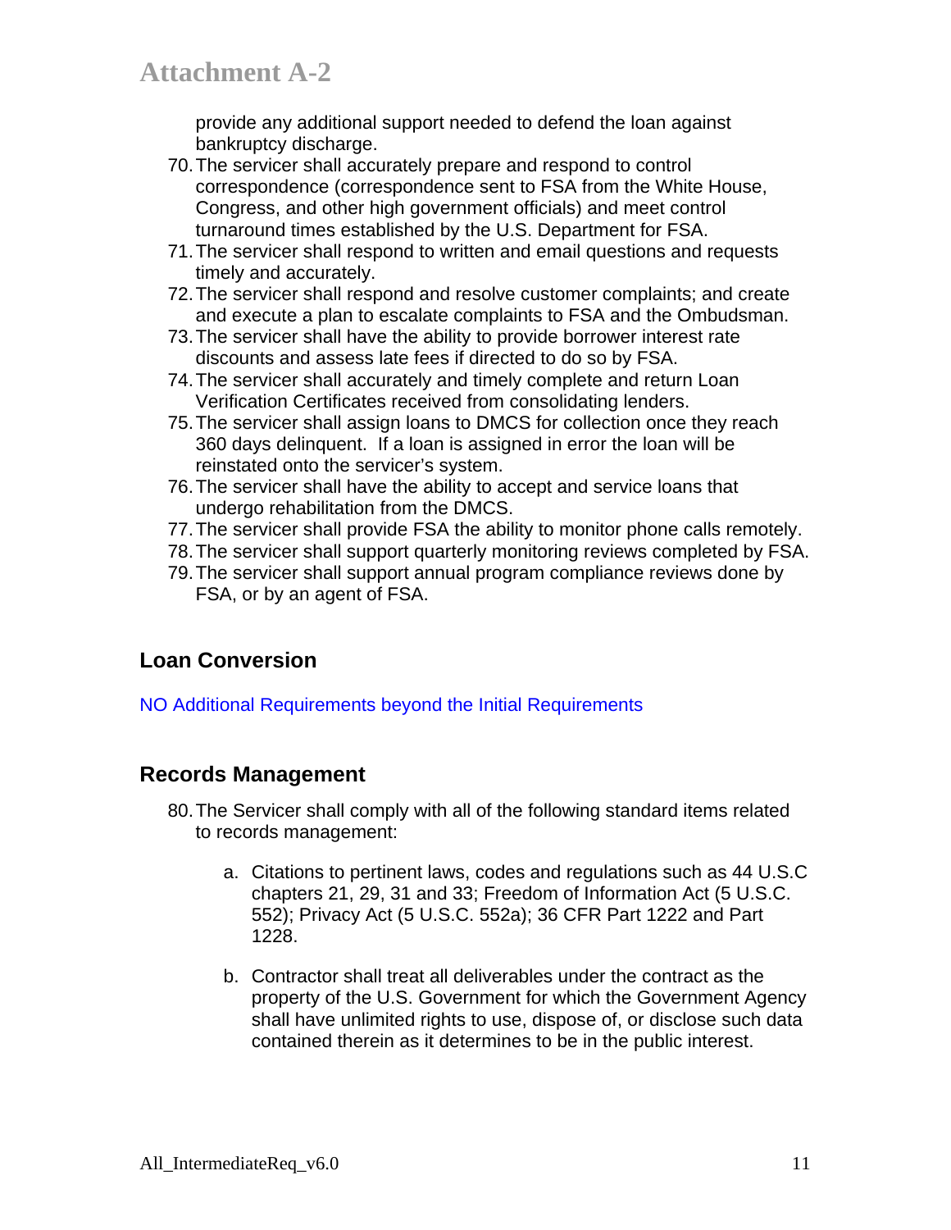provide any additional support needed to defend the loan against bankruptcy discharge.

- 70. The servicer shall accurately prepare and respond to control correspondence (correspondence sent to FSA from the White House, Congress, and other high government officials) and meet control turnaround times established by the U.S. Department for FSA.
- 71. The servicer shall respond to written and email questions and requests timely and accurately.
- 72. The servicer shall respond and resolve customer complaints; and create and execute a plan to escalate complaints to FSA and the Ombudsman.
- 73. The servicer shall have the ability to provide borrower interest rate discounts and assess late fees if directed to do so by FSA.
- 74. The servicer shall accurately and timely complete and return Loan Verification Certificates received from consolidating lenders.
- 75. The servicer shall assign loans to DMCS for collection once they reach 360 days delinquent. If a loan is assigned in error the loan will be reinstated onto the servicer's system.
- 76. The servicer shall have the ability to accept and service loans that undergo rehabilitation from the DMCS.
- 77. The servicer shall provide FSA the ability to monitor phone calls remotely.
- 78. The servicer shall support quarterly monitoring reviews completed by FSA.
- 79. The servicer shall support annual program compliance reviews done by FSA, or by an agent of FSA.

## **Loan Conversion**

NO Additional Requirements beyond the Initial Requirements

## **Records Management**

- 80. The Servicer shall comply with all of the following standard items related to records management:
	- a. Citations to pertinent laws, codes and regulations such as 44 U.S.C chapters 21, 29, 31 and 33; Freedom of Information Act (5 U.S.C. 552); Privacy Act (5 U.S.C. 552a); 36 CFR Part 1222 and Part 1228.
	- b. Contractor shall treat all deliverables under the contract as the property of the U.S. Government for which the Government Agency shall have unlimited rights to use, dispose of, or disclose such data contained therein as it determines to be in the public interest.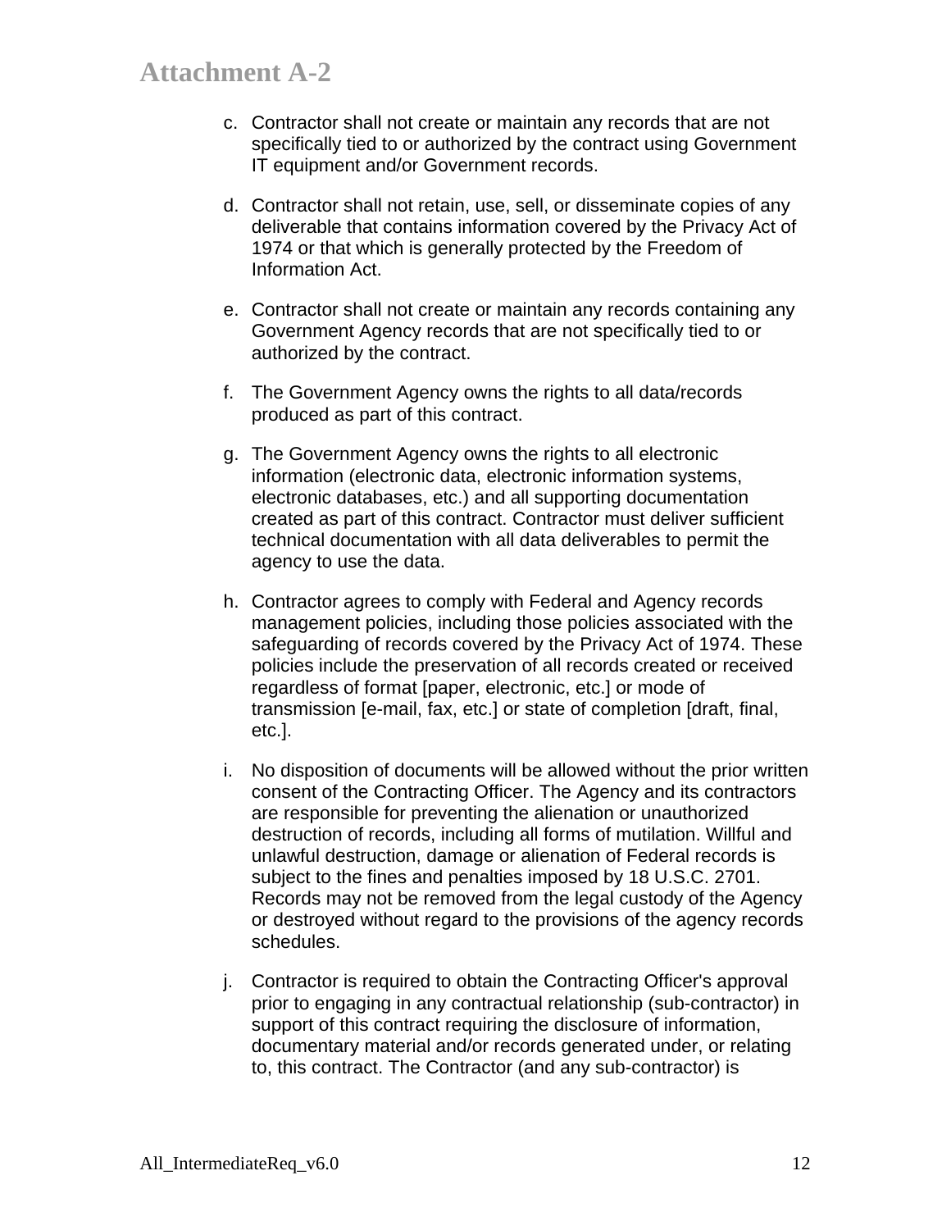- c. Contractor shall not create or maintain any records that are not specifically tied to or authorized by the contract using Government IT equipment and/or Government records.
- d. Contractor shall not retain, use, sell, or disseminate copies of any deliverable that contains information covered by the Privacy Act of 1974 or that which is generally protected by the Freedom of Information Act.
- e. Contractor shall not create or maintain any records containing any Government Agency records that are not specifically tied to or authorized by the contract.
- f. The Government Agency owns the rights to all data/records produced as part of this contract.
- g. The Government Agency owns the rights to all electronic information (electronic data, electronic information systems, electronic databases, etc.) and all supporting documentation created as part of this contract. Contractor must deliver sufficient technical documentation with all data deliverables to permit the agency to use the data.
- h. Contractor agrees to comply with Federal and Agency records management policies, including those policies associated with the safeguarding of records covered by the Privacy Act of 1974. These policies include the preservation of all records created or received regardless of format [paper, electronic, etc.] or mode of transmission [e-mail, fax, etc.] or state of completion [draft, final, etc.].
- i. No disposition of documents will be allowed without the prior written consent of the Contracting Officer. The Agency and its contractors are responsible for preventing the alienation or unauthorized destruction of records, including all forms of mutilation. Willful and unlawful destruction, damage or alienation of Federal records is subject to the fines and penalties imposed by 18 U.S.C. 2701. Records may not be removed from the legal custody of the Agency or destroyed without regard to the provisions of the agency records schedules.
- j. Contractor is required to obtain the Contracting Officer's approval prior to engaging in any contractual relationship (sub-contractor) in support of this contract requiring the disclosure of information, documentary material and/or records generated under, or relating to, this contract. The Contractor (and any sub-contractor) is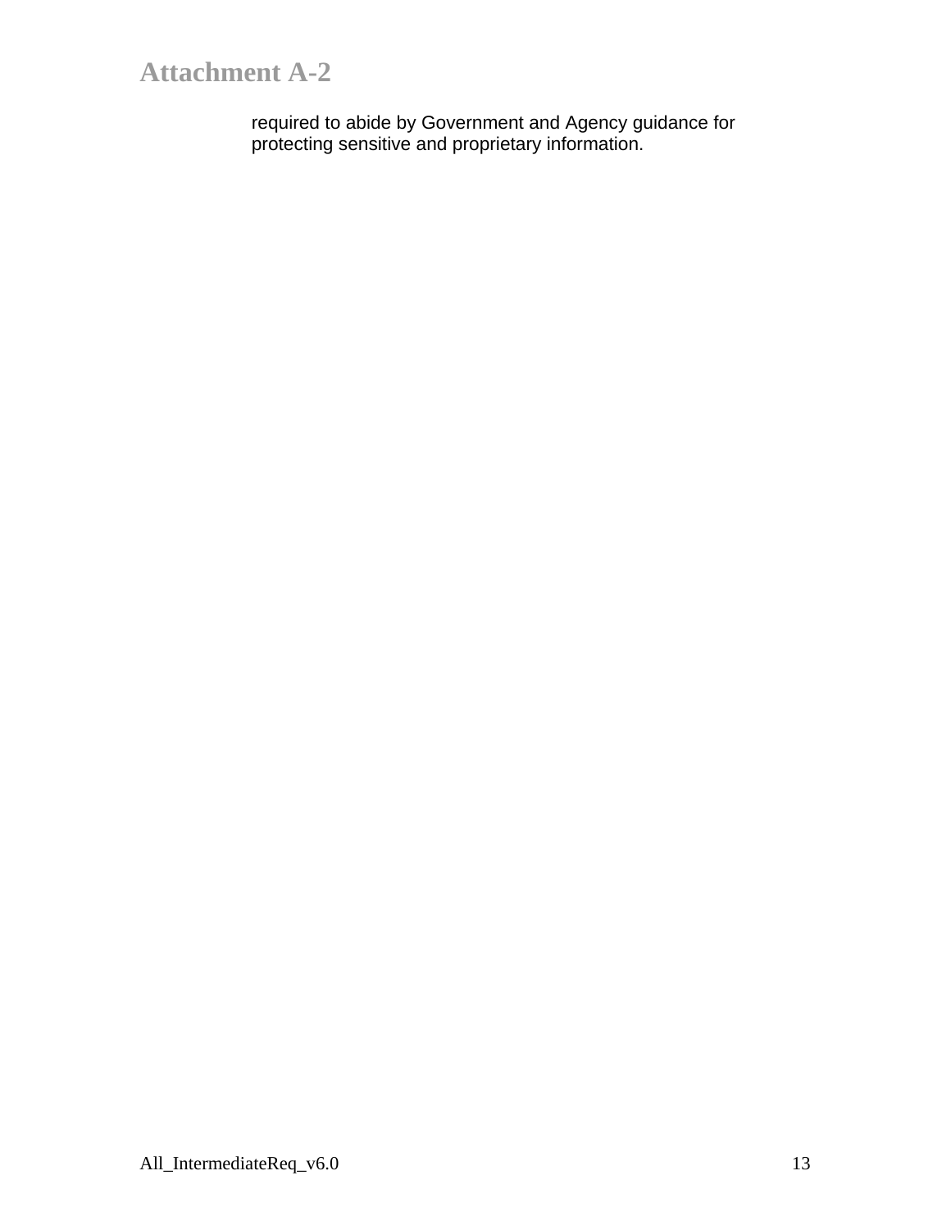required to abide by Government and Agency guidance for protecting sensitive and proprietary information.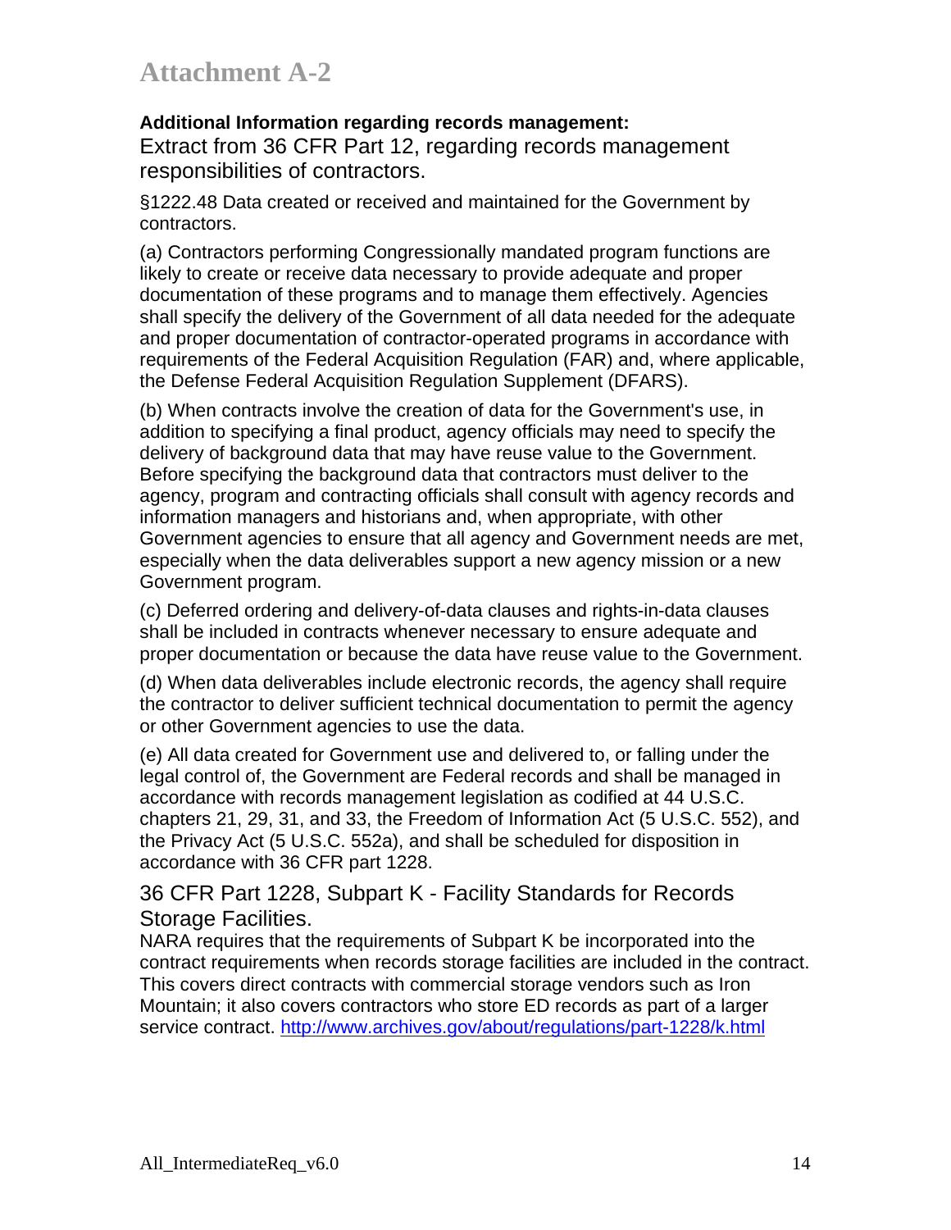#### **Additional Information regarding records management:**

Extract from 36 CFR Part 12, regarding records management responsibilities of contractors.

§1222.48 Data created or received and maintained for the Government by contractors.

(a) Contractors performing Congressionally mandated program functions are likely to create or receive data necessary to provide adequate and proper documentation of these programs and to manage them effectively. Agencies shall specify the delivery of the Government of all data needed for the adequate and proper documentation of contractor-operated programs in accordance with requirements of the Federal Acquisition Regulation (FAR) and, where applicable, the Defense Federal Acquisition Regulation Supplement (DFARS).

(b) When contracts involve the creation of data for the Government's use, in addition to specifying a final product, agency officials may need to specify the delivery of background data that may have reuse value to the Government. Before specifying the background data that contractors must deliver to the agency, program and contracting officials shall consult with agency records and information managers and historians and, when appropriate, with other Government agencies to ensure that all agency and Government needs are met, especially when the data deliverables support a new agency mission or a new Government program.

(c) Deferred ordering and delivery-of-data clauses and rights-in-data clauses shall be included in contracts whenever necessary to ensure adequate and proper documentation or because the data have reuse value to the Government.

(d) When data deliverables include electronic records, the agency shall require the contractor to deliver sufficient technical documentation to permit the agency or other Government agencies to use the data.

(e) All data created for Government use and delivered to, or falling under the legal control of, the Government are Federal records and shall be managed in accordance with records management legislation as codified at 44 U.S.C. chapters 21, 29, 31, and 33, the Freedom of Information Act (5 U.S.C. 552), and the Privacy Act (5 U.S.C. 552a), and shall be scheduled for disposition in accordance with 36 CFR part 1228.

36 CFR Part 1228, Subpart K - Facility Standards for Records Storage Facilities.

NARA requires that the requirements of Subpart K be incorporated into the contract requirements when records storage facilities are included in the contract. This covers direct contracts with commercial storage vendors such as Iron Mountain; it also covers contractors who store ED records as part of a larger service contract. http://www.archives.gov/about/regulations/part-1228/k.html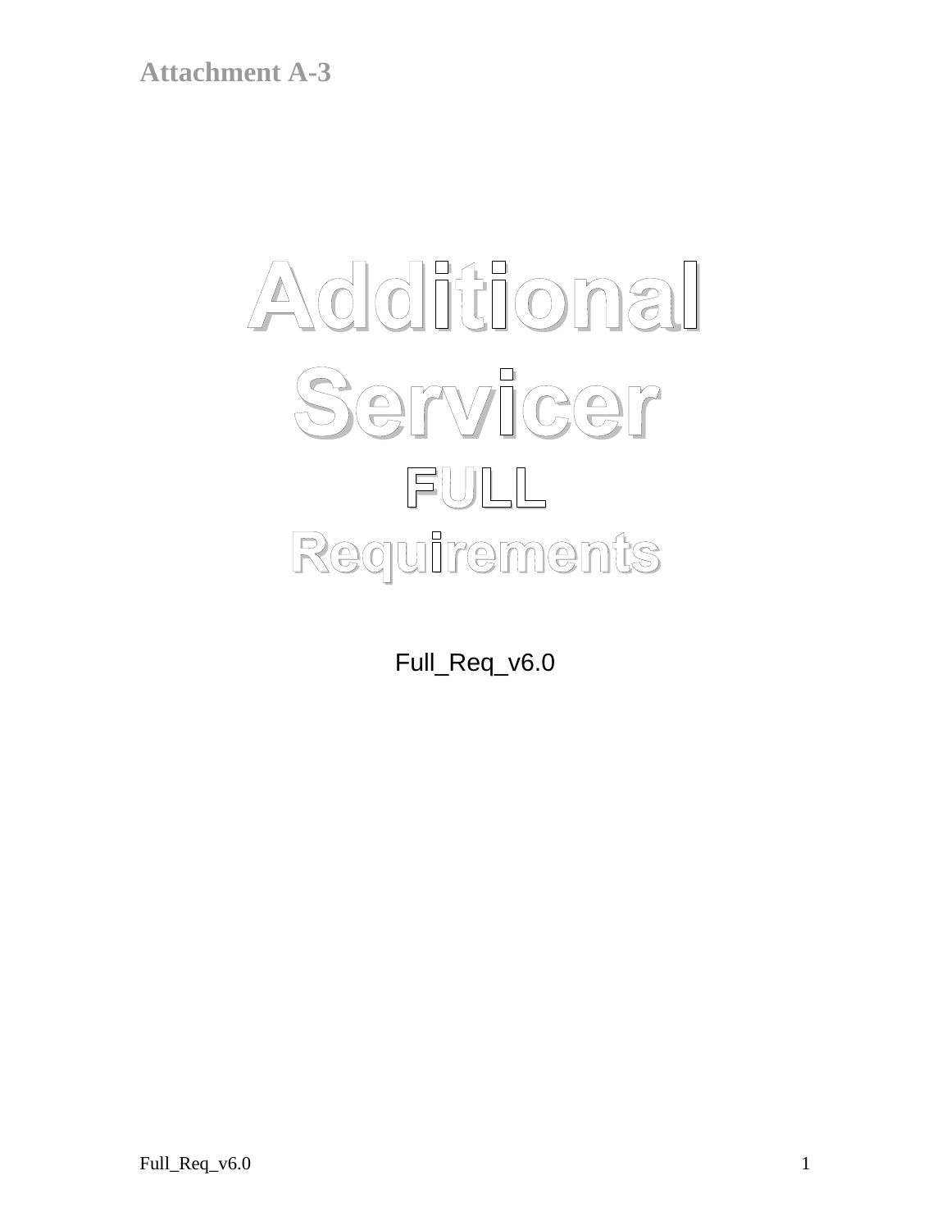# **Additional Servicer FULL Requirements**

Full\_Req\_v6.0

Full\_Req\_v6.0  $1$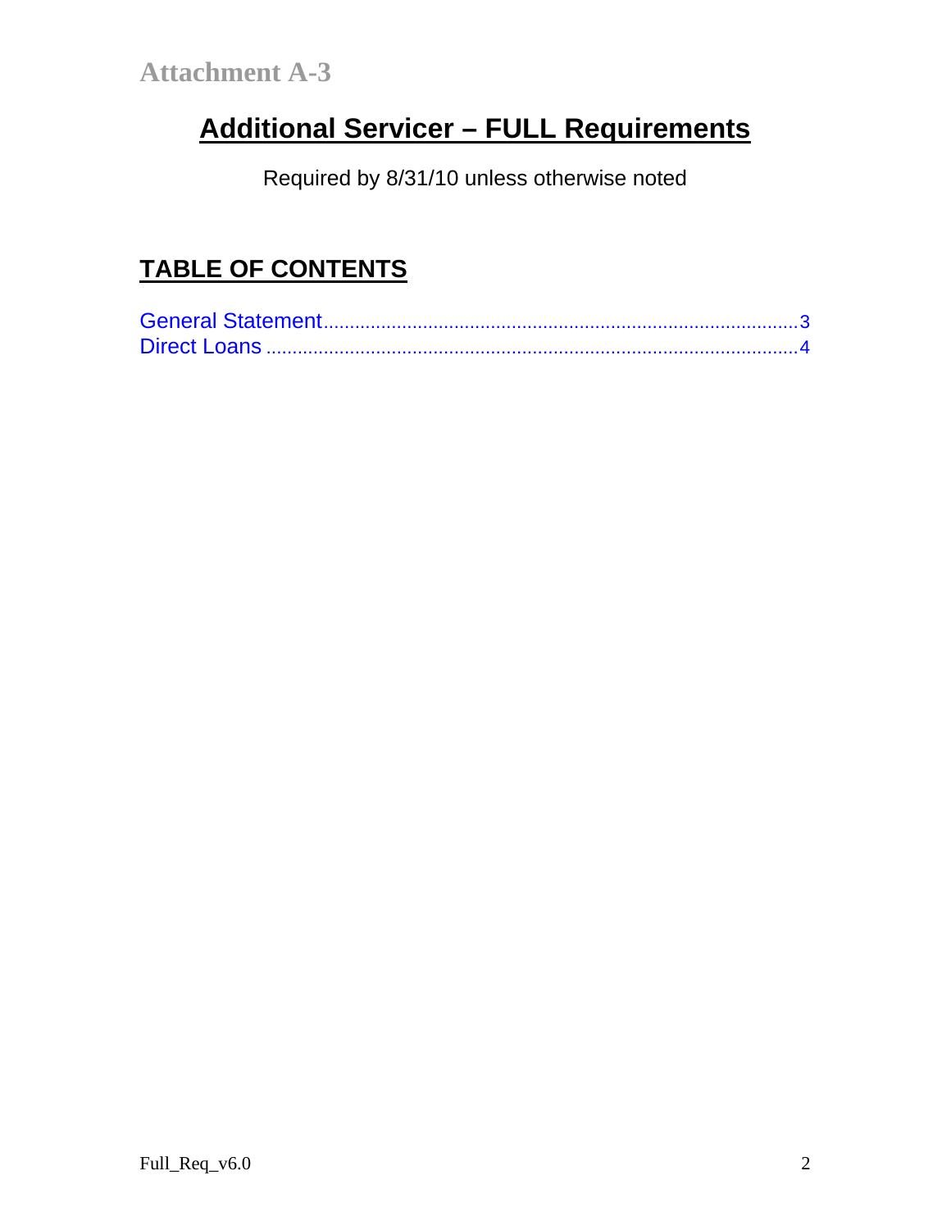# **Additional Servicer – FULL Requirements**

Required by 8/31/10 unless otherwise noted

# **TABLE OF CONTENTS**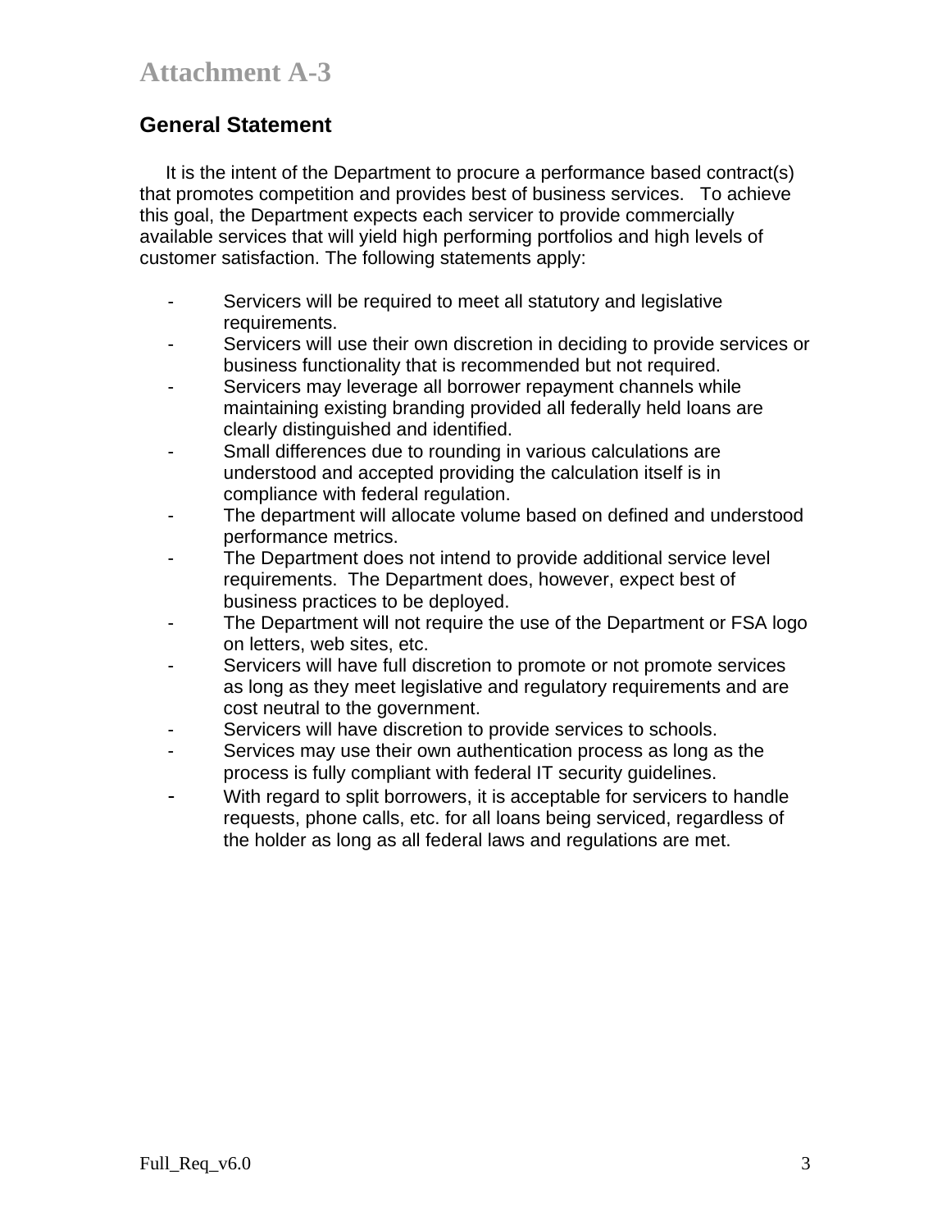### **General Statement**

 It is the intent of the Department to procure a performance based contract(s) that promotes competition and provides best of business services. To achieve this goal, the Department expects each servicer to provide commercially available services that will yield high performing portfolios and high levels of customer satisfaction. The following statements apply:

- Servicers will be required to meet all statutory and legislative requirements.
- Servicers will use their own discretion in deciding to provide services or business functionality that is recommended but not required.
- Servicers may leverage all borrower repayment channels while maintaining existing branding provided all federally held loans are clearly distinguished and identified.
- Small differences due to rounding in various calculations are understood and accepted providing the calculation itself is in compliance with federal regulation.
- The department will allocate volume based on defined and understood performance metrics.
- The Department does not intend to provide additional service level requirements. The Department does, however, expect best of business practices to be deployed.
- The Department will not require the use of the Department or FSA logo on letters, web sites, etc.
- Servicers will have full discretion to promote or not promote services as long as they meet legislative and regulatory requirements and are cost neutral to the government.
- Servicers will have discretion to provide services to schools.
- Services may use their own authentication process as long as the process is fully compliant with federal IT security guidelines.
- With regard to split borrowers, it is acceptable for servicers to handle requests, phone calls, etc. for all loans being serviced, regardless of the holder as long as all federal laws and regulations are met.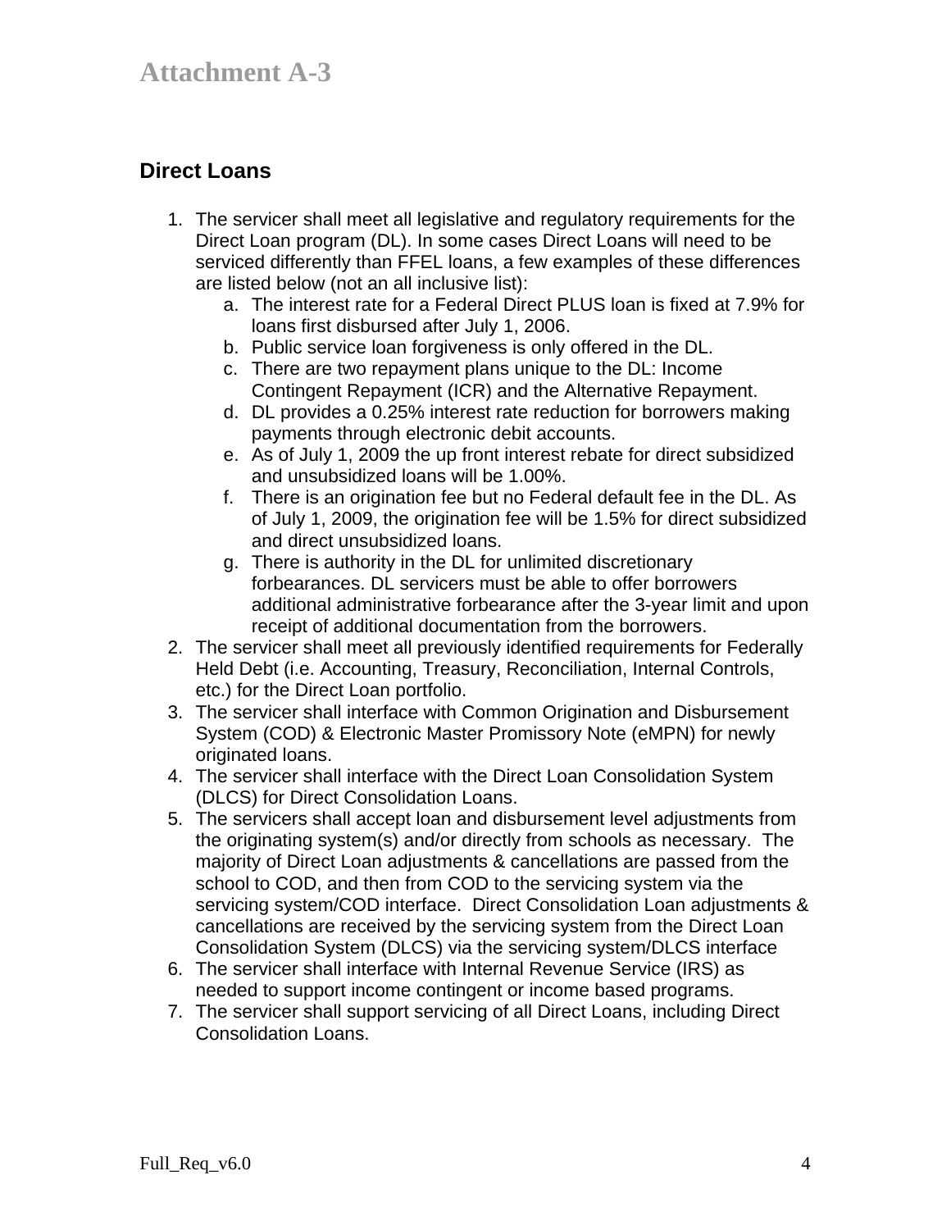## **Direct Loans**

- 1. The servicer shall meet all legislative and regulatory requirements for the Direct Loan program (DL). In some cases Direct Loans will need to be serviced differently than FFEL loans, a few examples of these differences are listed below (not an all inclusive list):
	- a. The interest rate for a Federal Direct PLUS loan is fixed at 7.9% for loans first disbursed after July 1, 2006.
	- b. Public service loan forgiveness is only offered in the DL.
	- c. There are two repayment plans unique to the DL: Income Contingent Repayment (ICR) and the Alternative Repayment.
	- d. DL provides a 0.25% interest rate reduction for borrowers making payments through electronic debit accounts.
	- e. As of July 1, 2009 the up front interest rebate for direct subsidized and unsubsidized loans will be 1.00%.
	- f. There is an origination fee but no Federal default fee in the DL. As of July 1, 2009, the origination fee will be 1.5% for direct subsidized and direct unsubsidized loans.
	- g. There is authority in the DL for unlimited discretionary forbearances. DL servicers must be able to offer borrowers additional administrative forbearance after the 3-year limit and upon receipt of additional documentation from the borrowers.
- 2. The servicer shall meet all previously identified requirements for Federally Held Debt (i.e. Accounting, Treasury, Reconciliation, Internal Controls, etc.) for the Direct Loan portfolio.
- 3. The servicer shall interface with Common Origination and Disbursement System (COD) & Electronic Master Promissory Note (eMPN) for newly originated loans.
- 4. The servicer shall interface with the Direct Loan Consolidation System (DLCS) for Direct Consolidation Loans.
- 5. The servicers shall accept loan and disbursement level adjustments from the originating system(s) and/or directly from schools as necessary. The majority of Direct Loan adjustments & cancellations are passed from the school to COD, and then from COD to the servicing system via the servicing system/COD interface. Direct Consolidation Loan adjustments & cancellations are received by the servicing system from the Direct Loan Consolidation System (DLCS) via the servicing system/DLCS interface
- 6. The servicer shall interface with Internal Revenue Service (IRS) as needed to support income contingent or income based programs.
- 7. The servicer shall support servicing of all Direct Loans, including Direct Consolidation Loans.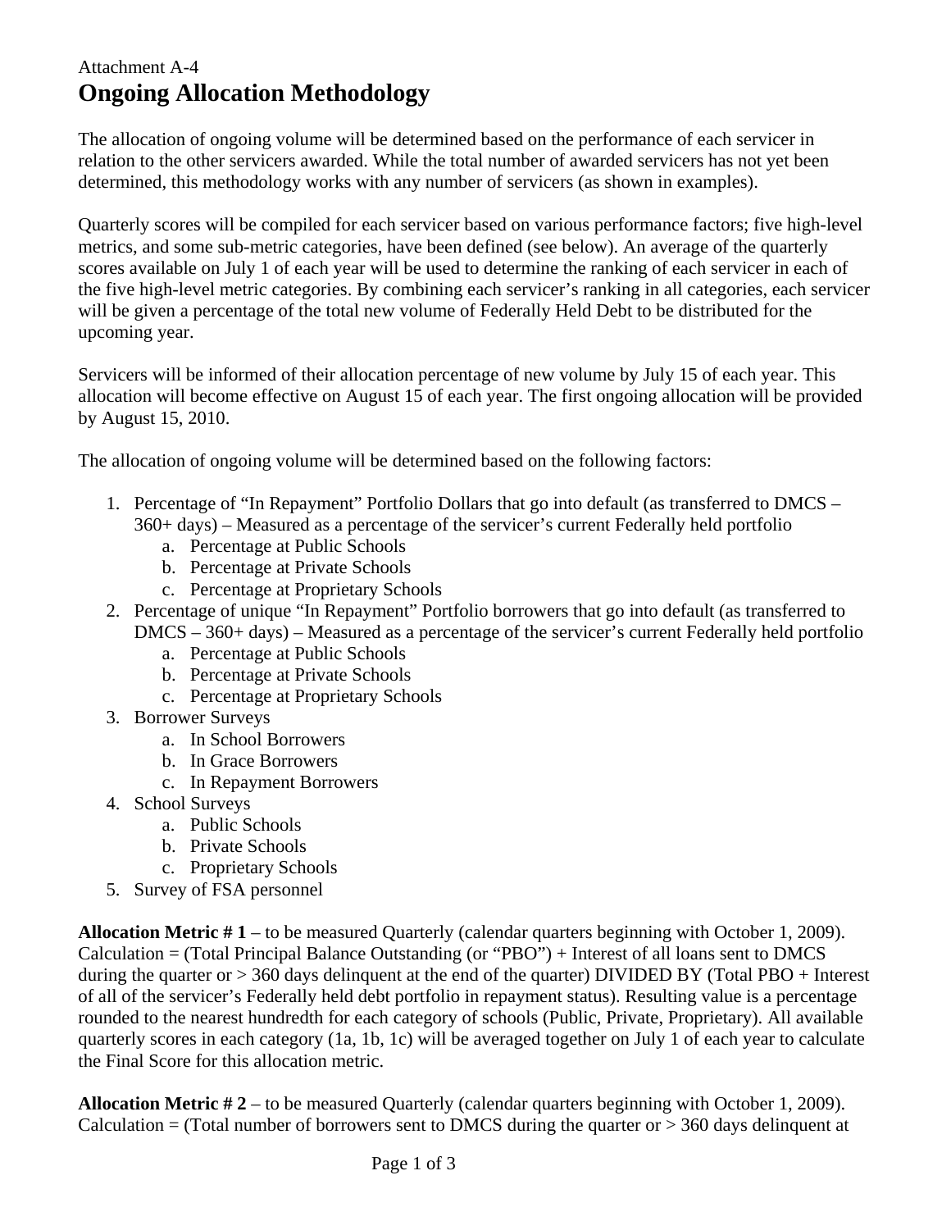## Attachment A-4 **Ongoing Allocation Methodology**

The allocation of ongoing volume will be determined based on the performance of each servicer in relation to the other servicers awarded. While the total number of awarded servicers has not yet been determined, this methodology works with any number of servicers (as shown in examples).

Quarterly scores will be compiled for each servicer based on various performance factors; five high-level metrics, and some sub-metric categories, have been defined (see below). An average of the quarterly scores available on July 1 of each year will be used to determine the ranking of each servicer in each of the five high-level metric categories. By combining each servicer's ranking in all categories, each servicer will be given a percentage of the total new volume of Federally Held Debt to be distributed for the upcoming year.

Servicers will be informed of their allocation percentage of new volume by July 15 of each year. This allocation will become effective on August 15 of each year. The first ongoing allocation will be provided by August 15, 2010.

The allocation of ongoing volume will be determined based on the following factors:

- 1. Percentage of "In Repayment" Portfolio Dollars that go into default (as transferred to DMCS 360+ days) – Measured as a percentage of the servicer's current Federally held portfolio
	- a. Percentage at Public Schools
	- b. Percentage at Private Schools
	- c. Percentage at Proprietary Schools
- 2. Percentage of unique "In Repayment" Portfolio borrowers that go into default (as transferred to
- DMCS 360+ days) Measured as a percentage of the servicer's current Federally held portfolio
	- a. Percentage at Public Schools
	- b. Percentage at Private Schools
	- c. Percentage at Proprietary Schools
- 3. Borrower Surveys
	- a. In School Borrowers
	- b. In Grace Borrowers
	- c. In Repayment Borrowers
- 4. School Surveys
	- a. Public Schools
	- b. Private Schools
	- c. Proprietary Schools
- 5. Survey of FSA personnel

**Allocation Metric # 1** – to be measured Quarterly (calendar quarters beginning with October 1, 2009). Calculation = (Total Principal Balance Outstanding (or "PBO") + Interest of all loans sent to DMCS during the quarter or  $> 360$  days delinquent at the end of the quarter) DIVIDED BY (Total PBO + Interest of all of the servicer's Federally held debt portfolio in repayment status). Resulting value is a percentage rounded to the nearest hundredth for each category of schools (Public, Private, Proprietary). All available quarterly scores in each category (1a, 1b, 1c) will be averaged together on July 1 of each year to calculate the Final Score for this allocation metric.

**Allocation Metric # 2** – to be measured Quarterly (calendar quarters beginning with October 1, 2009). Calculation = (Total number of borrowers sent to DMCS during the quarter or  $> 360$  days delinquent at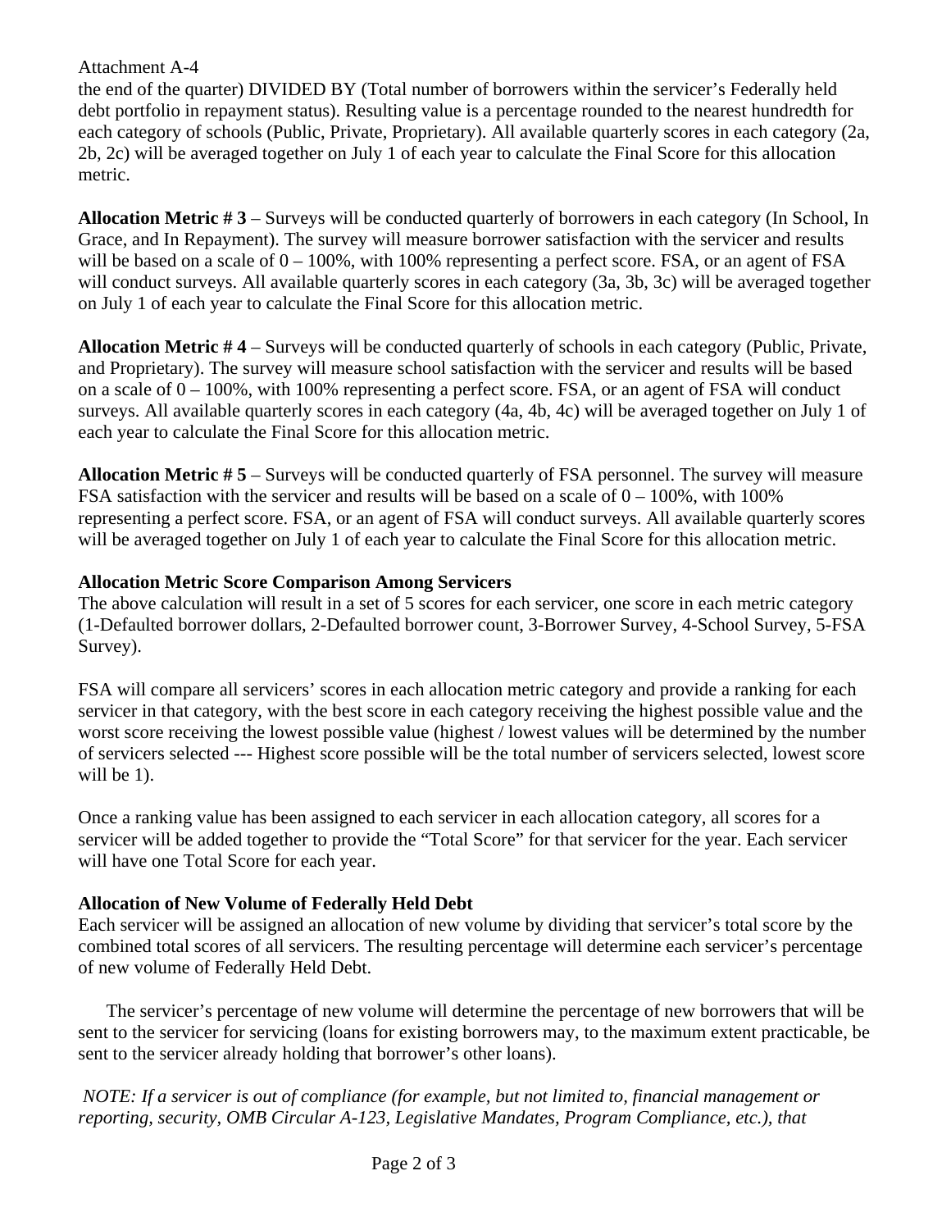the end of the quarter) DIVIDED BY (Total number of borrowers within the servicer's Federally held debt portfolio in repayment status). Resulting value is a percentage rounded to the nearest hundredth for each category of schools (Public, Private, Proprietary). All available quarterly scores in each category (2a, 2b, 2c) will be averaged together on July 1 of each year to calculate the Final Score for this allocation metric.

**Allocation Metric # 3** – Surveys will be conducted quarterly of borrowers in each category (In School, In Grace, and In Repayment). The survey will measure borrower satisfaction with the servicer and results will be based on a scale of  $0 - 100\%$ , with 100% representing a perfect score. FSA, or an agent of FSA will conduct surveys. All available quarterly scores in each category (3a, 3b, 3c) will be averaged together on July 1 of each year to calculate the Final Score for this allocation metric.

**Allocation Metric # 4** – Surveys will be conducted quarterly of schools in each category (Public, Private, and Proprietary). The survey will measure school satisfaction with the servicer and results will be based on a scale of 0 – 100%, with 100% representing a perfect score. FSA, or an agent of FSA will conduct surveys. All available quarterly scores in each category (4a, 4b, 4c) will be averaged together on July 1 of each year to calculate the Final Score for this allocation metric.

**Allocation Metric # 5** – Surveys will be conducted quarterly of FSA personnel. The survey will measure FSA satisfaction with the servicer and results will be based on a scale of  $0 - 100\%$ , with 100% representing a perfect score. FSA, or an agent of FSA will conduct surveys. All available quarterly scores will be averaged together on July 1 of each year to calculate the Final Score for this allocation metric.

#### **Allocation Metric Score Comparison Among Servicers**

The above calculation will result in a set of 5 scores for each servicer, one score in each metric category (1-Defaulted borrower dollars, 2-Defaulted borrower count, 3-Borrower Survey, 4-School Survey, 5-FSA Survey).

FSA will compare all servicers' scores in each allocation metric category and provide a ranking for each servicer in that category, with the best score in each category receiving the highest possible value and the worst score receiving the lowest possible value (highest / lowest values will be determined by the number of servicers selected --- Highest score possible will be the total number of servicers selected, lowest score will be 1).

Once a ranking value has been assigned to each servicer in each allocation category, all scores for a servicer will be added together to provide the "Total Score" for that servicer for the year. Each servicer will have one Total Score for each year.

#### **Allocation of New Volume of Federally Held Debt**

Each servicer will be assigned an allocation of new volume by dividing that servicer's total score by the combined total scores of all servicers. The resulting percentage will determine each servicer's percentage of new volume of Federally Held Debt.

The servicer's percentage of new volume will determine the percentage of new borrowers that will be sent to the servicer for servicing (loans for existing borrowers may, to the maximum extent practicable, be sent to the servicer already holding that borrower's other loans).

 *NOTE: If a servicer is out of compliance (for example, but not limited to, financial management or reporting, security, OMB Circular A-123, Legislative Mandates, Program Compliance, etc.), that*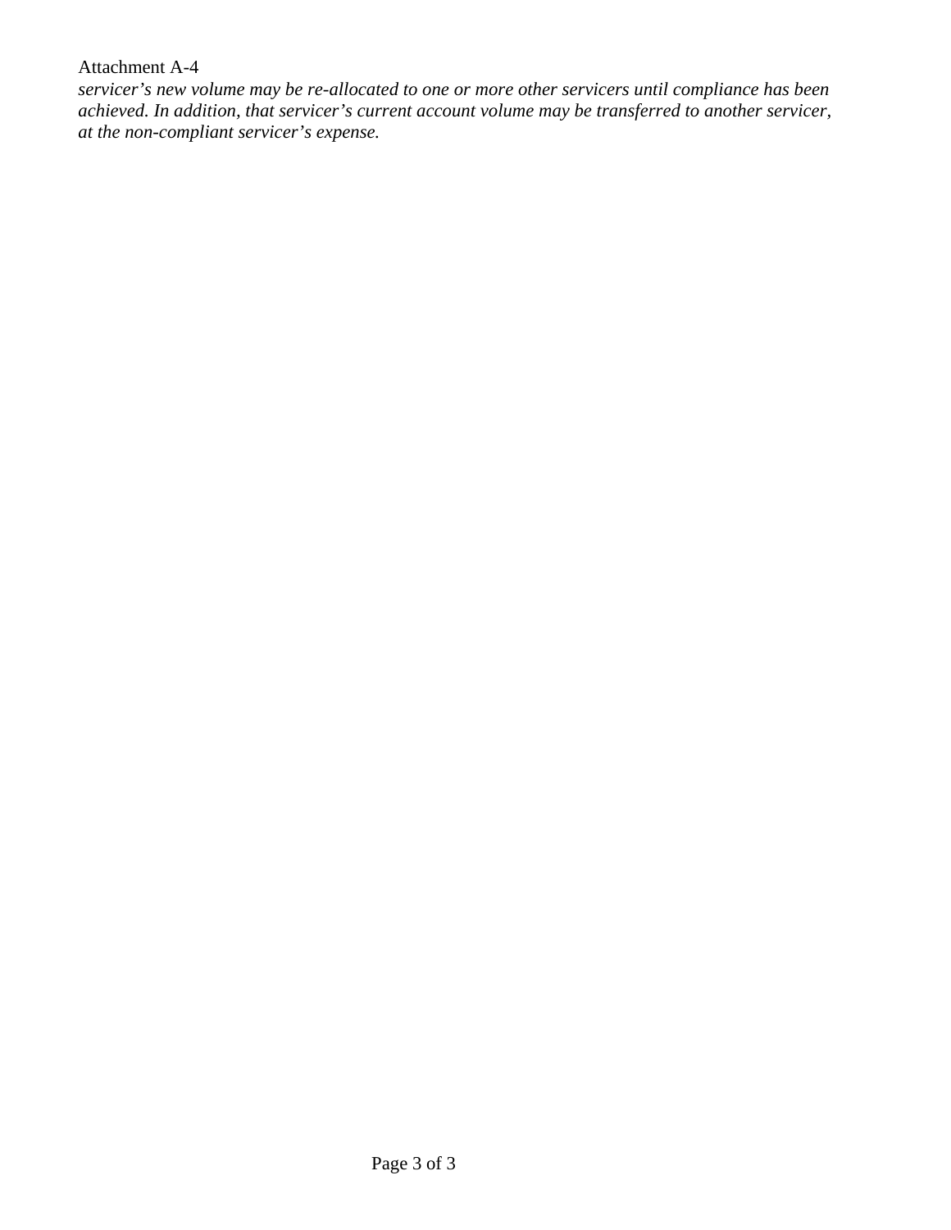*servicer's new volume may be re-allocated to one or more other servicers until compliance has been achieved. In addition, that servicer's current account volume may be transferred to another servicer, at the non-compliant servicer's expense.*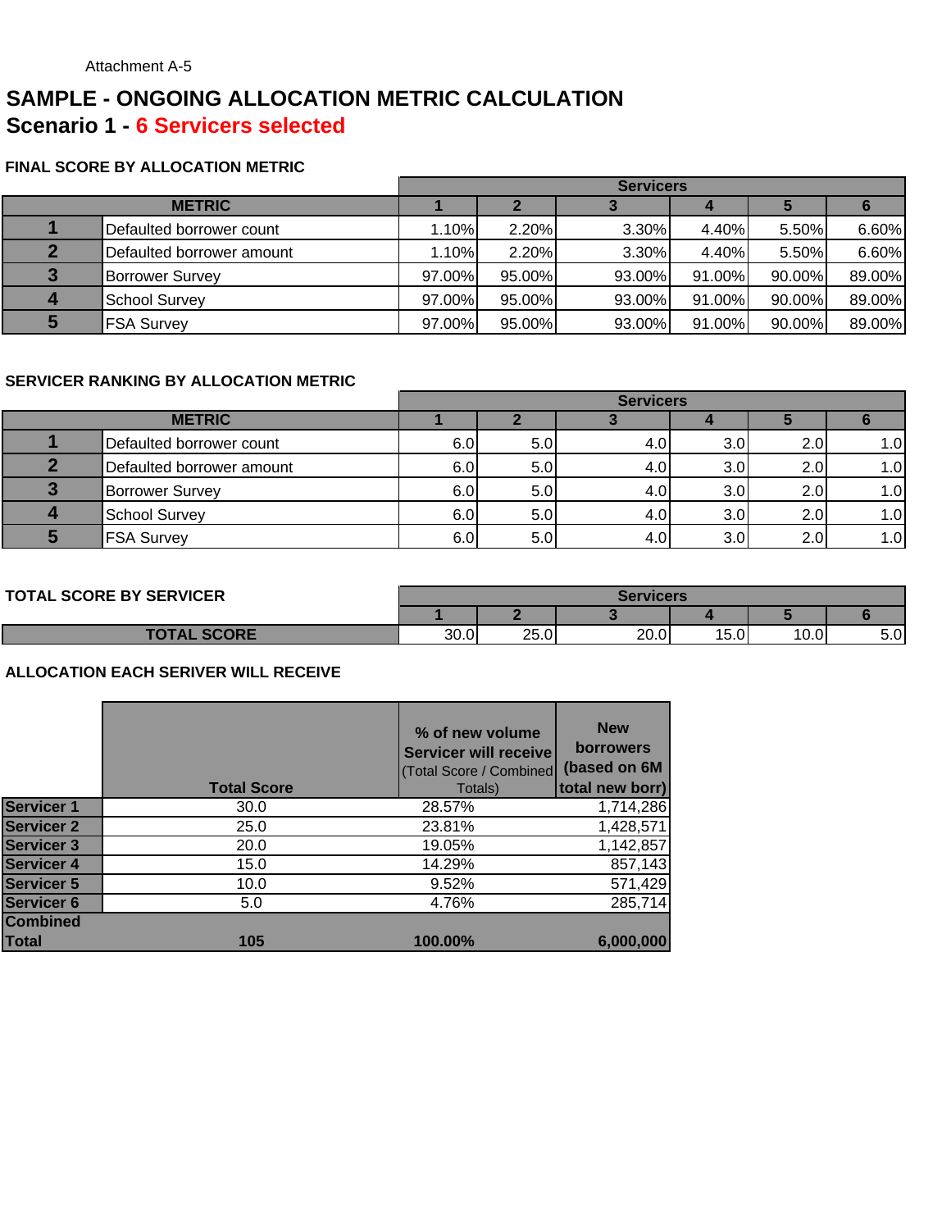# **SAMPLE - ONGOING ALLOCATION METRIC CALCULATION Scenario 1 - 6 Servicers selected**

#### **FINAL SCORE BY ALLOCATION METRIC**

|               |                           | <b>Servicers</b> |        |          |        |        |        |
|---------------|---------------------------|------------------|--------|----------|--------|--------|--------|
| <b>METRIC</b> |                           |                  |        |          |        |        |        |
|               | Defaulted borrower count  | 1.10%            | 2.20%  | 3.30%    | 4.40%  | 5.50%  | 6.60%  |
|               | Defaulted borrower amount | 1.10%            | 2.20%  | $3.30\%$ | 4.40%  | 5.50%  | 6.60%  |
|               | <b>Borrower Survey</b>    | 97.00%           | 95.00% | 93.00%   | 91.00% | 90.00% | 89.00% |
|               | <b>School Survey</b>      | 97.00%           | 95.00% | 93.00%   | 91.00% | 90.00% | 89.00% |
|               | <b>FSA Survey</b>         | 97.00%           | 95.00% | 93.00%   | 91.00% | 90.00% | 89.00% |

#### **SERVICER RANKING BY ALLOCATION METRIC**

|               |                           | <b>Servicers</b> |     |     |                  |                  |      |
|---------------|---------------------------|------------------|-----|-----|------------------|------------------|------|
| <b>METRIC</b> |                           |                  |     |     |                  |                  |      |
|               | Defaulted borrower count  | 6.0              | 5.0 | 4.0 | 3.0              | 2.0              | 1.OI |
|               | Defaulted borrower amount | 6.0              | 5.0 | 4.0 | 3.0              | 2.0 <sub>l</sub> | 1.0  |
|               | <b>Borrower Survey</b>    | 6.0              | 5.0 | 4.0 | 3.0 <sub>l</sub> | 2.0              | 1.0  |
|               | <b>School Survey</b>      | 6.0              | 5.0 | 4.0 | 3.0              | 2.0              | 1.0  |
|               | <b>FSA Survey</b>         | 6.0              | 5.0 | 4.0 | 3.0              | 2.0              | 1.0  |

#### **TOTAL SCORE BY SERVICER**

| <b>TAL SCORE BY SERVICER</b> | Servicers |            |      |      |       |     |
|------------------------------|-----------|------------|------|------|-------|-----|
|                              |           |            |      |      |       |     |
| <b>SCORE</b><br><b>TOTAL</b> | 30.0      | つに<br>25.0 | 20.0 | 15.0 | 10.0l | 5.0 |

|                   | <b>Total Score</b> | % of new volume<br>Servicer will receive<br>(Total Score / Combined<br>Totals) | <b>New</b><br><b>borrowers</b><br>(based on 6M<br>total new borr) |
|-------------------|--------------------|--------------------------------------------------------------------------------|-------------------------------------------------------------------|
| <b>Servicer 1</b> | 30.0               | 28.57%                                                                         | 1,714,286                                                         |
| <b>Servicer 2</b> | 25.0               | 23.81%                                                                         | 1,428,571                                                         |
| <b>Servicer 3</b> | 20.0               | 19.05%                                                                         | 1,142,857                                                         |
| <b>Servicer 4</b> | 15.0               | 14.29%                                                                         | 857,143                                                           |
| <b>Servicer 5</b> | 10.0               | 9.52%                                                                          | 571,429                                                           |
| <b>Servicer 6</b> | 5.0                | 4.76%                                                                          | 285,714                                                           |
| <b>Combined</b>   |                    |                                                                                |                                                                   |
| Total             | 105                | 100.00%                                                                        | 6,000,000                                                         |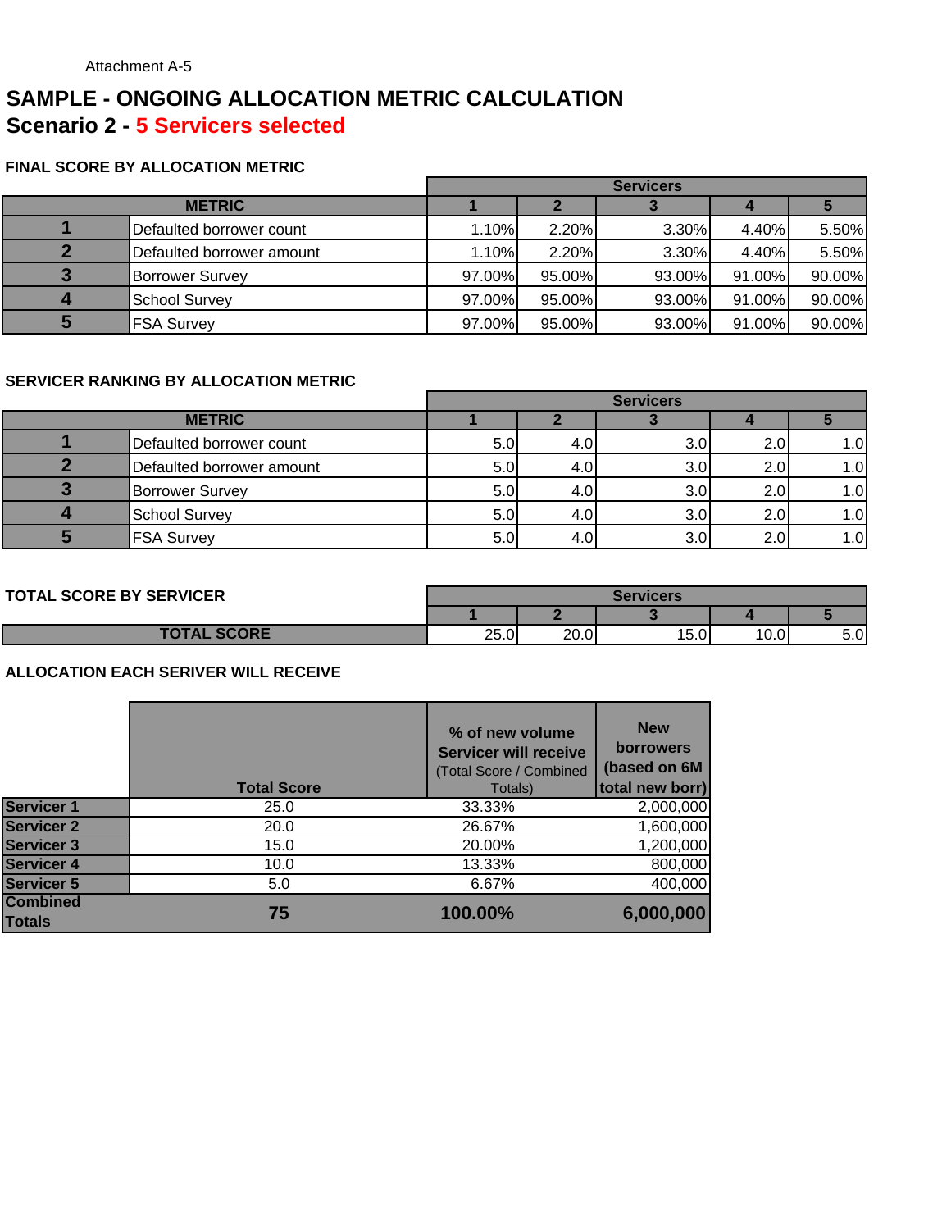# **SAMPLE - ONGOING ALLOCATION METRIC CALCULATION Scenario 2 - 5 Servicers selected**

#### **FINAL SCORE BY ALLOCATION METRIC**

|  |                           | <b>Servicers</b> |        |          |        |        |
|--|---------------------------|------------------|--------|----------|--------|--------|
|  |                           |                  |        |          |        |        |
|  | Defaulted borrower count  | 1.10%            | 2.20%  | 3.30%    | 4.40%  | 5.50%  |
|  | Defaulted borrower amount | 1.10%            | 2.20%  | $3.30\%$ | 4.40%  | 5.50%  |
|  | <b>Borrower Survey</b>    | 97.00%           | 95.00% | 93.00%   | 91.00% | 90.00% |
|  | <b>School Survey</b>      | 97.00%           | 95.00% | 93.00%   | 91.00% | 90.00% |
|  | <b>FSA Survey</b>         | 97.00%           | 95.00% | 93.00%   | 91.00% | 90.00% |

#### **SERVICER RANKING BY ALLOCATION METRIC**

|               |                           | <b>Servicers</b> |     |     |     |      |
|---------------|---------------------------|------------------|-----|-----|-----|------|
| <b>METRIC</b> |                           |                  |     |     |     |      |
|               | Defaulted borrower count  | 5.0              | 4.0 | 3.0 | 2.0 | 1.OI |
|               | Defaulted borrower amount | 5.0              | 4.0 | 3.0 | 2.0 | 1.01 |
|               | <b>Borrower Survey</b>    | 5.0              | 4.0 | 3.0 | 2.0 | 1.0  |
|               | School Survey             | 5.0              | 4.0 | 3.0 | 2.0 | 1.0  |
|               | <b>FSA Survey</b>         | 5.0              | 4.0 | 3.0 | 2.0 | 1.0  |

#### **TOTAL SCORE BY SERVICER**

| <b>TOTAL SCORE BY SERVICER</b> | Servicers |      |      |      |      |
|--------------------------------|-----------|------|------|------|------|
|                                |           |      |      |      |      |
| <b>TOTAL SCORE</b>             | 25.0      | 20.0 | 15.0 | 10.0 | 5.OI |

|                                  | <b>Total Score</b> | % of new volume<br><b>Servicer will receive</b><br>(Total Score / Combined<br>Totals) | <b>New</b><br><b>borrowers</b><br>(based on 6M<br>total new borr) |
|----------------------------------|--------------------|---------------------------------------------------------------------------------------|-------------------------------------------------------------------|
| <b>Servicer 1</b>                | 25.0               | 33.33%                                                                                | 2,000,000                                                         |
| <b>Servicer 2</b>                | 20.0               | 26.67%                                                                                | 1,600,000                                                         |
| <b>Servicer 3</b>                | 15.0               | 20.00%                                                                                | 1,200,000                                                         |
| <b>Servicer 4</b>                | 10.0               | 13.33%                                                                                | 800,000                                                           |
| <b>Servicer 5</b>                | 5.0                | 6.67%                                                                                 | 400,000                                                           |
| <b>Combined</b><br><b>Totals</b> | 75                 | 100.00%                                                                               | 6,000,000                                                         |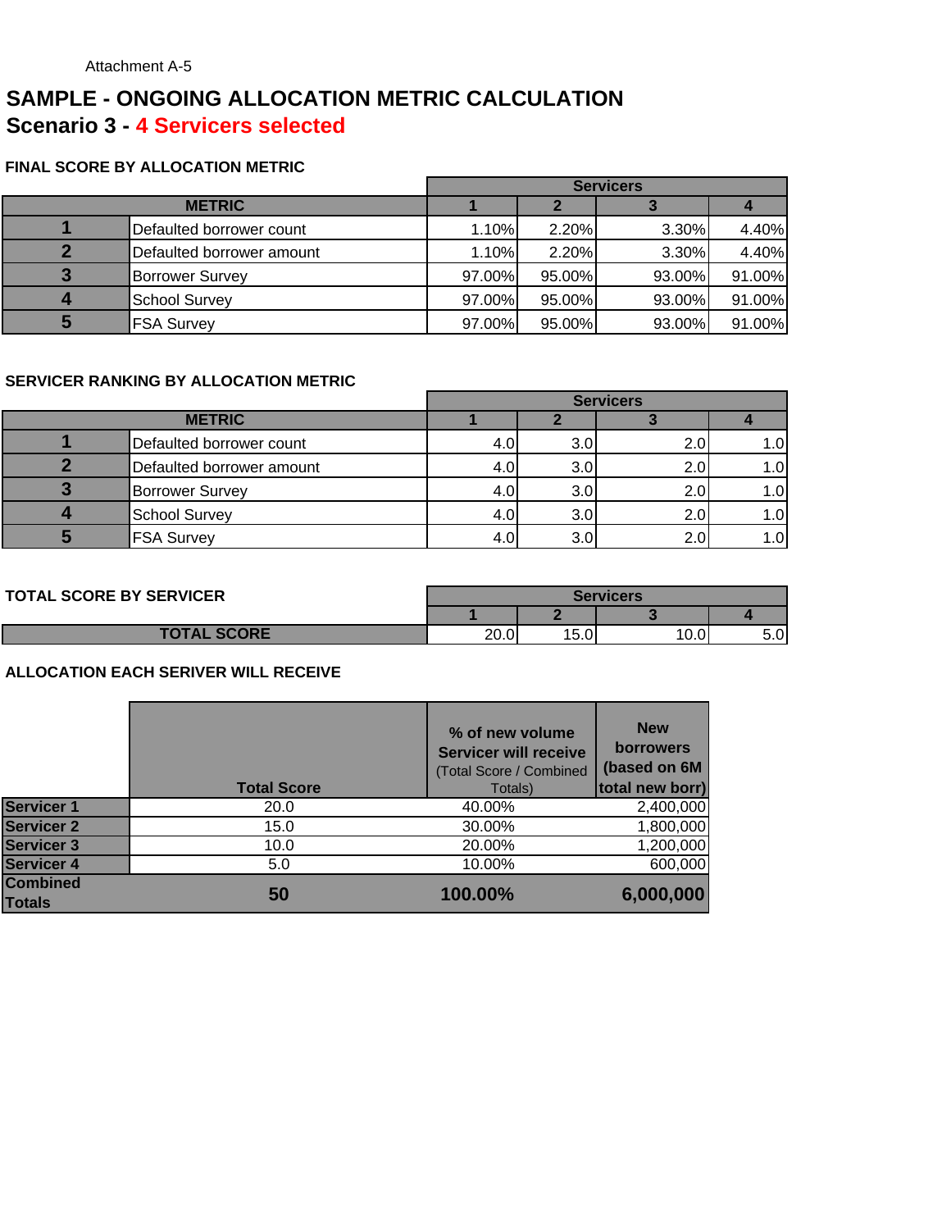# **SAMPLE - ONGOING ALLOCATION METRIC CALCULATION Scenario 3 - 4 Servicers selected**

#### **FINAL SCORE BY ALLOCATION METRIC**

|                           | <b>Servicers</b> |        |        |        |  |
|---------------------------|------------------|--------|--------|--------|--|
| <b>METRIC</b>             |                  |        |        |        |  |
| Defaulted borrower count  | 1.10%            | 2.20%  | 3.30%  | 4.40%  |  |
| Defaulted borrower amount | 1.10%            | 2.20%  | 3.30%  | 4.40%  |  |
| <b>Borrower Survey</b>    | 97.00%           | 95.00% | 93.00% | 91.00% |  |
| <b>School Survey</b>      | 97.00%           | 95.00% | 93.00% | 91.00% |  |
| <b>FSA Survey</b>         | 97.00%           | 95.00% | 93.00% | 91.00% |  |

#### **SERVICER RANKING BY ALLOCATION METRIC**

|                           | <b>Servicers</b> |     |                  |                    |  |
|---------------------------|------------------|-----|------------------|--------------------|--|
| <b>METRIC</b>             |                  |     |                  |                    |  |
| Defaulted borrower count  | 4.OI             | 3.0 | 2.0 <sub>l</sub> | .0                 |  |
| Defaulted borrower amount | 4.0              | 3.0 | 2.0              | $\overline{0}$ .   |  |
| <b>Borrower Survey</b>    | 4.0              | 3.0 | 2.0              | $\overline{0}$ . ا |  |
| <b>School Survey</b>      | 4.0 <sub>l</sub> | 3.0 | 2.0              | .0                 |  |
| <b>FSA Survey</b>         | 4.0              |     | 2.0              | .OI                |  |

| <b>TOTAL SCORE BY SERVICER</b> |      |      | Servicers |     |
|--------------------------------|------|------|-----------|-----|
|                                |      |      |           |     |
| <b>TOTAL SCORE</b>             | 20.0 | 15.0 | 10.0      | ວ.ບ |

|                                  | <b>Total Score</b> | % of new volume<br><b>Servicer will receive</b><br>(Total Score / Combined<br>Totals) | <b>New</b><br><b>borrowers</b><br>(based on 6M<br>total new borr) |
|----------------------------------|--------------------|---------------------------------------------------------------------------------------|-------------------------------------------------------------------|
| <b>Servicer 1</b>                | 20.0               | 40.00%                                                                                | 2,400,000                                                         |
| <b>Servicer 2</b>                | 15.0               | 30.00%                                                                                | 1,800,000                                                         |
| <b>Servicer 3</b>                | 10.0               | 20.00%                                                                                | 1,200,000                                                         |
| <b>Servicer 4</b>                | 5.0                | 10.00%                                                                                | 600,000                                                           |
| <b>Combined</b><br><b>Totals</b> | 50                 | 100.00%                                                                               | 6,000,000                                                         |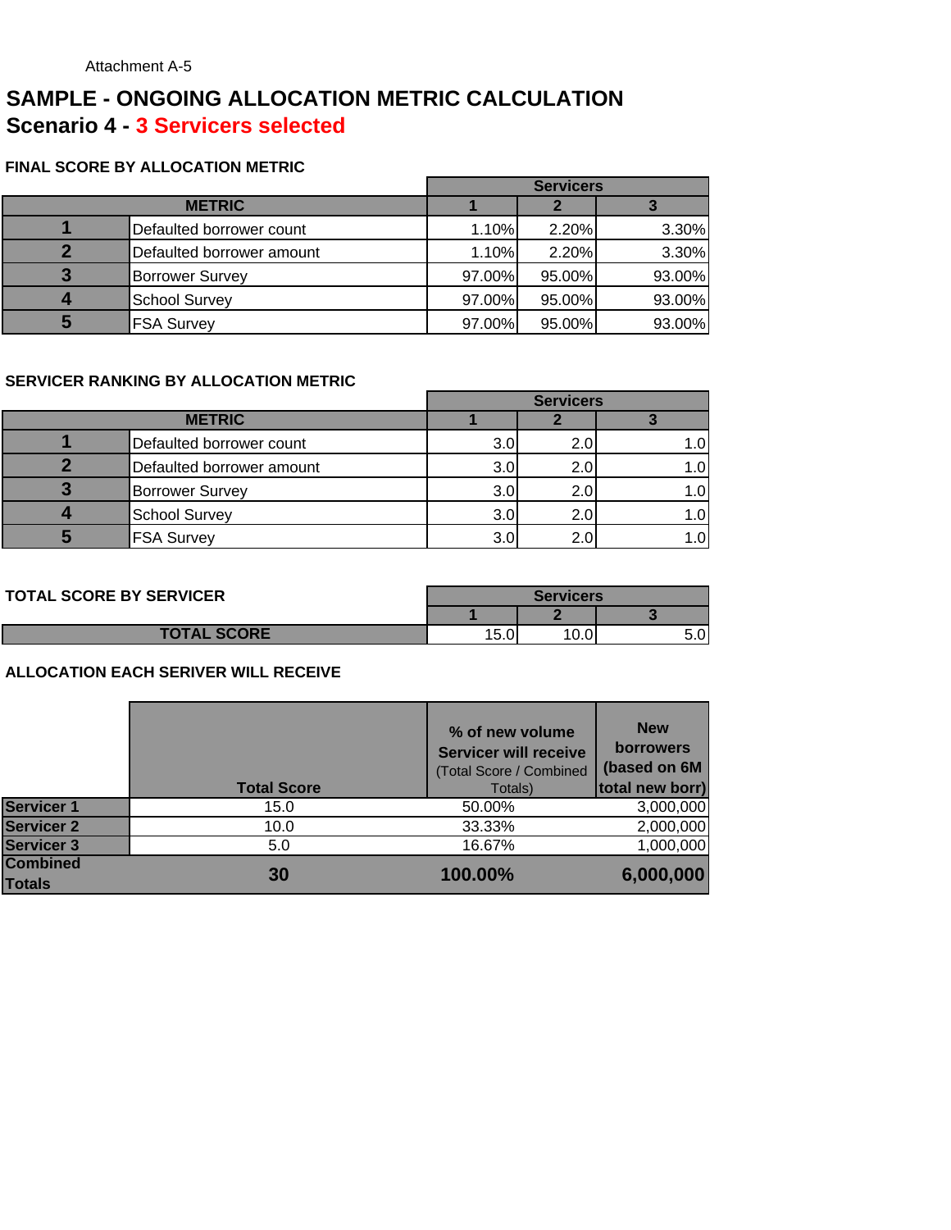# **SAMPLE - ONGOING ALLOCATION METRIC CALCULATION Scenario 4 - 3 Servicers selected**

#### **FINAL SCORE BY ALLOCATION METRIC**

|   |                           |        | <b>Servicers</b> |        |
|---|---------------------------|--------|------------------|--------|
|   | <b>METRIC</b>             |        |                  |        |
|   | Defaulted borrower count  | 1.10%  | 2.20%            | 3.30%  |
|   | Defaulted borrower amount | 1.10%  | 2.20%            | 3.30%  |
| 3 | <b>Borrower Survey</b>    | 97.00% | 95.00%           | 93.00% |
|   | <b>School Survey</b>      | 97.00% | 95.00%           | 93.00% |
| 5 | <b>FSA Survey</b>         | 97.00% | 95.00%           | 93.00% |

#### **SERVICER RANKING BY ALLOCATION METRIC**

|  |                           |     | <b>Servicers</b> |  |
|--|---------------------------|-----|------------------|--|
|  | <b>METRIC</b>             |     |                  |  |
|  | Defaulted borrower count  | 3.0 |                  |  |
|  | Defaulted borrower amount | 3.0 |                  |  |
|  | <b>Borrower Survey</b>    | 3.0 |                  |  |
|  | <b>School Survey</b>      | 3.0 |                  |  |
|  | <b>FSA Survey</b>         | 3.0 |                  |  |

| <b>TOTAL SCORE BY SERVICER</b> | Servicers      |  |  |
|--------------------------------|----------------|--|--|
|                                |                |  |  |
| <b>TOTAL SCORE</b>             | 15.0<br>$\sim$ |  |  |

|                                  | <b>Total Score</b> | % of new volume<br><b>Servicer will receive</b><br>(Total Score / Combined<br>Totals) | <b>New</b><br><b>borrowers</b><br>(based on 6M<br>total new borr) |
|----------------------------------|--------------------|---------------------------------------------------------------------------------------|-------------------------------------------------------------------|
| <b>Servicer 1</b>                | 15.0               | 50.00%                                                                                | 3,000,000                                                         |
| <b>Servicer 2</b>                | 10.0               | 33.33%                                                                                | 2,000,000                                                         |
| <b>Servicer 3</b>                | 5.0                | 16.67%                                                                                | 1,000,000                                                         |
| <b>Combined</b><br><b>Totals</b> | 30                 | 100.00%                                                                               | 6,000,000                                                         |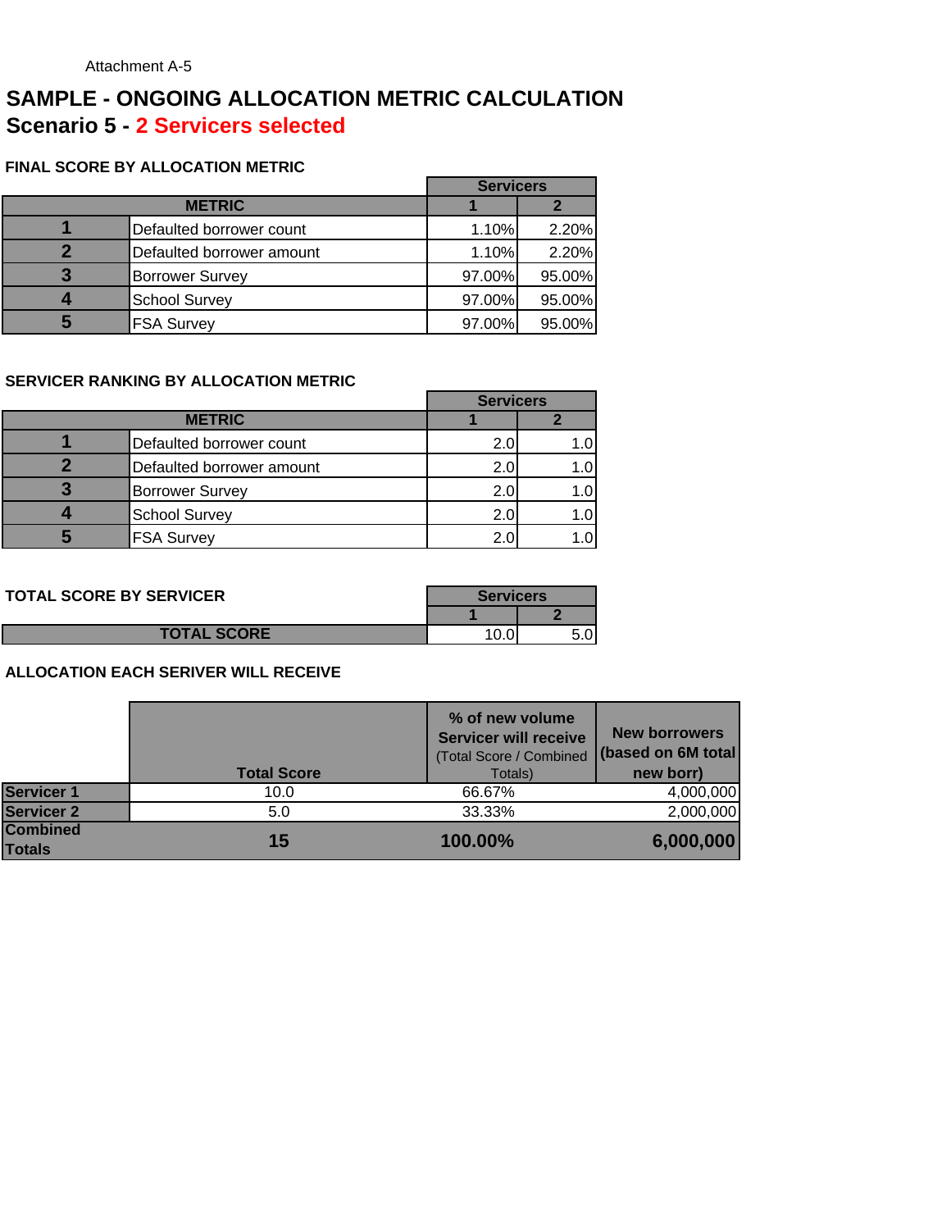## **SAMPLE - ONGOING ALLOCATION METRIC CALCULATION Scenario 5 - 2 Servicers selected**

#### **FINAL SCORE BY ALLOCATION METRIC**

|                           | <b>Servicers</b> |        |
|---------------------------|------------------|--------|
| <b>METRIC</b>             |                  |        |
| Defaulted borrower count  | 1.10%            | 2.20%  |
| Defaulted borrower amount | 1.10%            | 2.20%  |
| <b>Borrower Survey</b>    | 97.00%           | 95.00% |
| <b>School Survey</b>      | 97.00%           | 95.00% |
| <b>FSA Survey</b>         | 97.00%           | 95.00% |

#### **SERVICER RANKING BY ALLOCATION METRIC**

|                           | <b>Servicers</b> |      |
|---------------------------|------------------|------|
| <b>METRIC</b>             |                  |      |
| Defaulted borrower count  | 2.0              |      |
| Defaulted borrower amount | 2.0              | 1.0' |
| <b>Borrower Survey</b>    | 2.0              |      |
| <b>School Survey</b>      | 2.0              |      |
| <b>FSA Survey</b>         |                  |      |

| <b>TOTAL SCORE BY SERVICER</b> | <b>Servicers</b> |  |
|--------------------------------|------------------|--|
|                                |                  |  |
| <b>TOTAL SCORE</b>             | v.v              |  |

|                                  | <b>Total Score</b> | % of new volume<br><b>Servicer will receive</b><br>(Total Score / Combined<br>Totals) | <b>New borrowers</b><br>(based on 6M total)<br>new borr) |
|----------------------------------|--------------------|---------------------------------------------------------------------------------------|----------------------------------------------------------|
| <b>Servicer 1</b>                | 10.0               | 66.67%                                                                                | 4,000,000                                                |
| <b>Servicer 2</b>                | 5.0                | 33.33%                                                                                | 2,000,000                                                |
| <b>Combined</b><br><b>Totals</b> | 15                 | 100.00%                                                                               | 6,000,000                                                |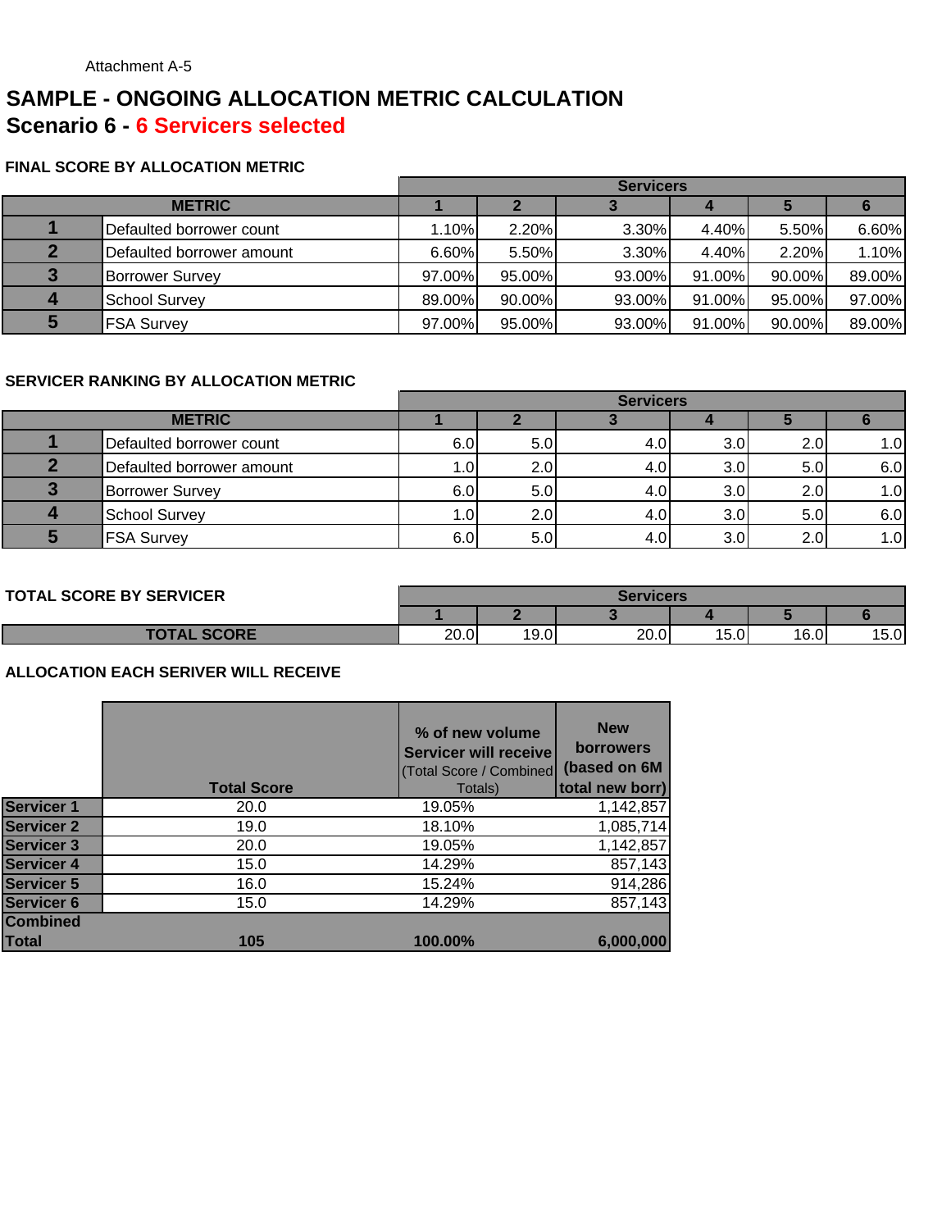# **SAMPLE - ONGOING ALLOCATION METRIC CALCULATION Scenario 6 - 6 Servicers selected**

#### **FINAL SCORE BY ALLOCATION METRIC**

|               |                           | <b>Servicers</b> |        |          |        |        |        |
|---------------|---------------------------|------------------|--------|----------|--------|--------|--------|
| <b>METRIC</b> |                           |                  |        |          |        |        |        |
|               | Defaulted borrower count  | 1.10%            | 2.20%  | $3.30\%$ | 4.40%  | 5.50%  | 6.60%  |
|               | Defaulted borrower amount | 6.60%            | 5.50%  | $3.30\%$ | 4.40%  | 2.20%  | 1.10%  |
|               | <b>Borrower Survey</b>    | 97.00%           | 95.00% | 93.00%   | 91.00% | 90.00% | 89.00% |
|               | <b>School Survey</b>      | 89.00%           | 90.00% | 93.00%   | 91.00% | 95.00% | 97.00% |
|               | <b>FSA Survey</b>         | 97.00%           | 95.00% | 93.00%   | 91.00% | 90.00% | 89.00% |

#### **SERVICER RANKING BY ALLOCATION METRIC**

|               |                           |      |                  | <b>Servicers</b> |                  |     |      |
|---------------|---------------------------|------|------------------|------------------|------------------|-----|------|
| <b>METRIC</b> |                           |      |                  |                  |                  |     |      |
|               | Defaulted borrower count  | 6.0  | 5.0              | 4.0              | 3.0              | 2.0 | 1.OI |
|               | Defaulted borrower amount | 1.01 | 2.0 <sub>l</sub> | 4.0              | 3.0              | 5.0 | 6.0  |
|               | <b>Borrower Survey</b>    | 6.0  | 5.0              | 4.0              | 3.0 <sub>l</sub> | 2.0 | 1.0  |
|               | <b>School Survey</b>      | 1.0  | 2.0              | 4.0              | 3.0              | 5.0 | 6.0  |
|               | <b>FSA Survey</b>         | 6.0  | 5.0              | 4.0              | 3.0              | 2.0 | 1.0  |

#### **TOTAL SCORE BY SERVICER**

| <b>TAL SCORE BY SERVICER</b> | Servicers |      |      |      |      |      |
|------------------------------|-----------|------|------|------|------|------|
|                              |           |      |      |      |      |      |
| <b>TOTAL SCORE</b>           | 20.0      | 19.0 | 20.0 | 15.0 | 16.0 | 15.0 |

|                   | <b>Total Score</b> | % of new volume<br>Servicer will receive<br>(Total Score / Combined<br>Totals) | <b>New</b><br><b>borrowers</b><br>(based on 6M<br>total new borr) |
|-------------------|--------------------|--------------------------------------------------------------------------------|-------------------------------------------------------------------|
| <b>Servicer 1</b> | 20.0               | 19.05%                                                                         | 1,142,857                                                         |
| <b>Servicer 2</b> | 19.0               | 18.10%                                                                         | 1,085,714                                                         |
| <b>Servicer 3</b> | 20.0               | 19.05%                                                                         | 1,142,857                                                         |
| <b>Servicer 4</b> | 15.0               | 14.29%                                                                         | 857,143                                                           |
| <b>Servicer 5</b> | 16.0               | 15.24%                                                                         | 914,286                                                           |
| <b>Servicer 6</b> | 15.0               | 14.29%                                                                         | 857,143                                                           |
| <b>Combined</b>   |                    |                                                                                |                                                                   |
| Total             | 105                | 100.00%                                                                        | 6,000,000                                                         |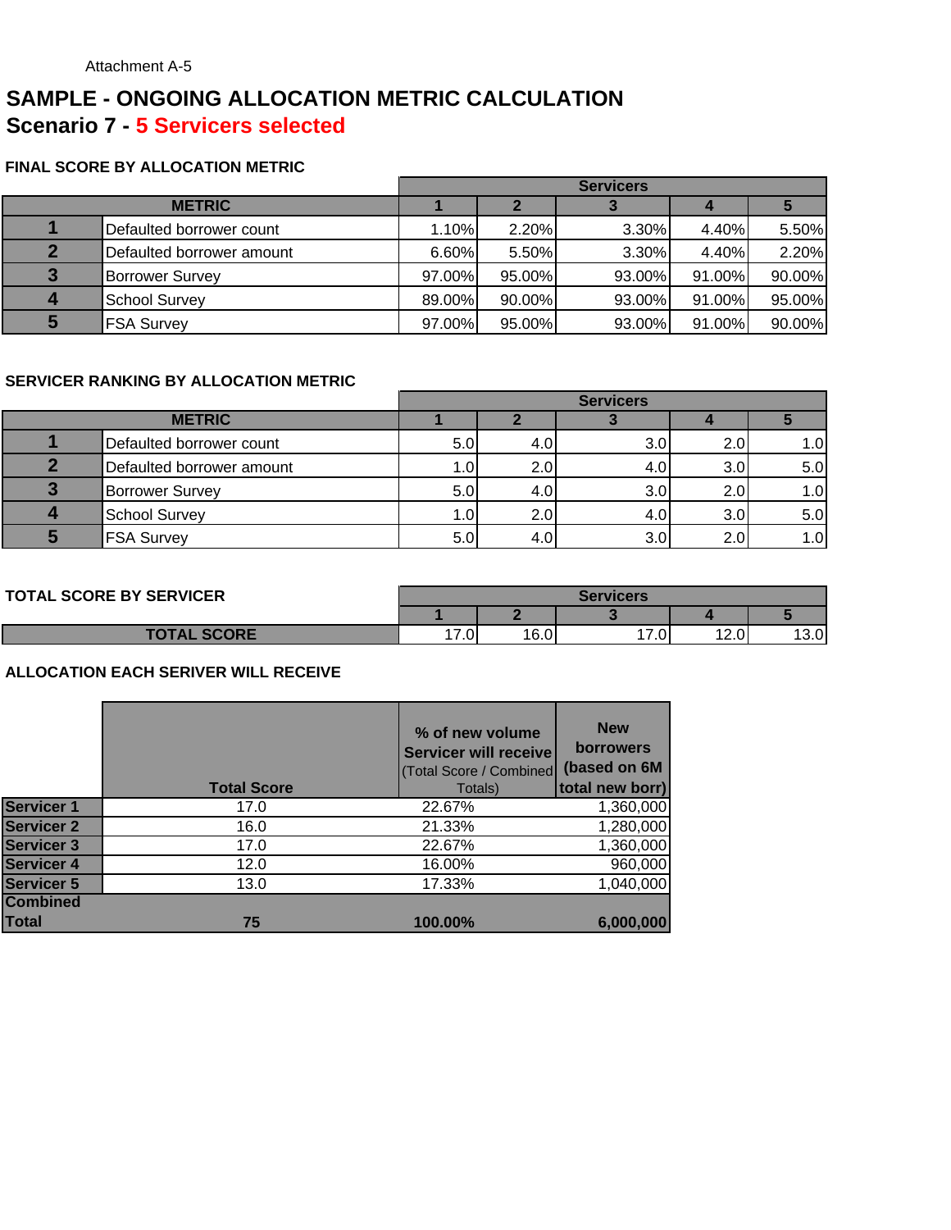# **SAMPLE - ONGOING ALLOCATION METRIC CALCULATION Scenario 7 - 5 Servicers selected**

#### **FINAL SCORE BY ALLOCATION METRIC**

|               |                           | <b>Servicers</b> |        |        |        |        |
|---------------|---------------------------|------------------|--------|--------|--------|--------|
| <b>METRIC</b> |                           |                  |        |        |        |        |
|               | Defaulted borrower count  | 1.10%            | 2.20%  | 3.30%  | 4.40%  | 5.50%  |
| $\mathbf{2}$  | Defaulted borrower amount | 6.60%            | 5.50%  | 3.30%  | 4.40%  | 2.20%  |
| 3             | <b>Borrower Survey</b>    | 97.00%           | 95.00% | 93.00% | 91.00% | 90.00% |
| 4             | <b>School Survey</b>      | 89.00%           | 90.00% | 93.00% | 91.00% | 95.00% |
| 5             | <b>FSA Survey</b>         | 97.00%           | 95.00% | 93.00% | 91.00% | 90.00% |

#### **SERVICER RANKING BY ALLOCATION METRIC**

|               |                           |     |     | <b>Servicers</b> |     |                  |
|---------------|---------------------------|-----|-----|------------------|-----|------------------|
| <b>METRIC</b> |                           |     |     |                  |     |                  |
|               | Defaulted borrower count  | 5.0 | 4.0 | 3.0              | 2.0 | $\overline{1.0}$ |
|               | Defaulted borrower amount | 1.0 | 2.0 | 4.0              | 3.0 | 5.0              |
| כי            | <b>Borrower Survey</b>    | 5.0 | 4.0 | 3.0              | 2.0 | 1.0              |
|               | <b>School Survey</b>      | 1.0 | 2.0 | 4.0              | 3.0 | 5.0              |
|               | <b>FSA Survey</b>         | 5.0 | 4.0 | 3.0              | 2.0 | 1.0              |

#### **TOTAL SCORE BY SERVICER**

| <b>TAL SCORE BY SERVICER</b> | <b>Servicers</b> |      |      |                     |      |  |
|------------------------------|------------------|------|------|---------------------|------|--|
|                              |                  |      |      |                     |      |  |
| <b>TOTAL SCORE</b>           | $-1$<br>7.0      | 16.0 | 17.0 | 12 $\cap$ '<br>∣∠.∪ | 13.0 |  |

|                   | <b>Total Score</b> | % of new volume<br><b>Servicer will receive</b><br>(Total Score / Combined<br>Totals) | <b>New</b><br><b>borrowers</b><br>(based on 6M<br>total new borr) |
|-------------------|--------------------|---------------------------------------------------------------------------------------|-------------------------------------------------------------------|
| <b>Servicer 1</b> | 17.0               | 22.67%                                                                                | 1,360,000                                                         |
| Servicer 2        | 16.0               | 21.33%                                                                                | 1,280,000                                                         |
| <b>Servicer 3</b> | 17.0               | 22.67%                                                                                | 1,360,000                                                         |
| <b>Servicer 4</b> | 12.0               | 16.00%                                                                                | 960,000                                                           |
| <b>Servicer 5</b> | 13.0               | 17.33%                                                                                | 1,040,000                                                         |
| <b>Combined</b>   |                    |                                                                                       |                                                                   |
| Total             | 75                 | 100.00%                                                                               | 6,000,000                                                         |
|                   |                    |                                                                                       |                                                                   |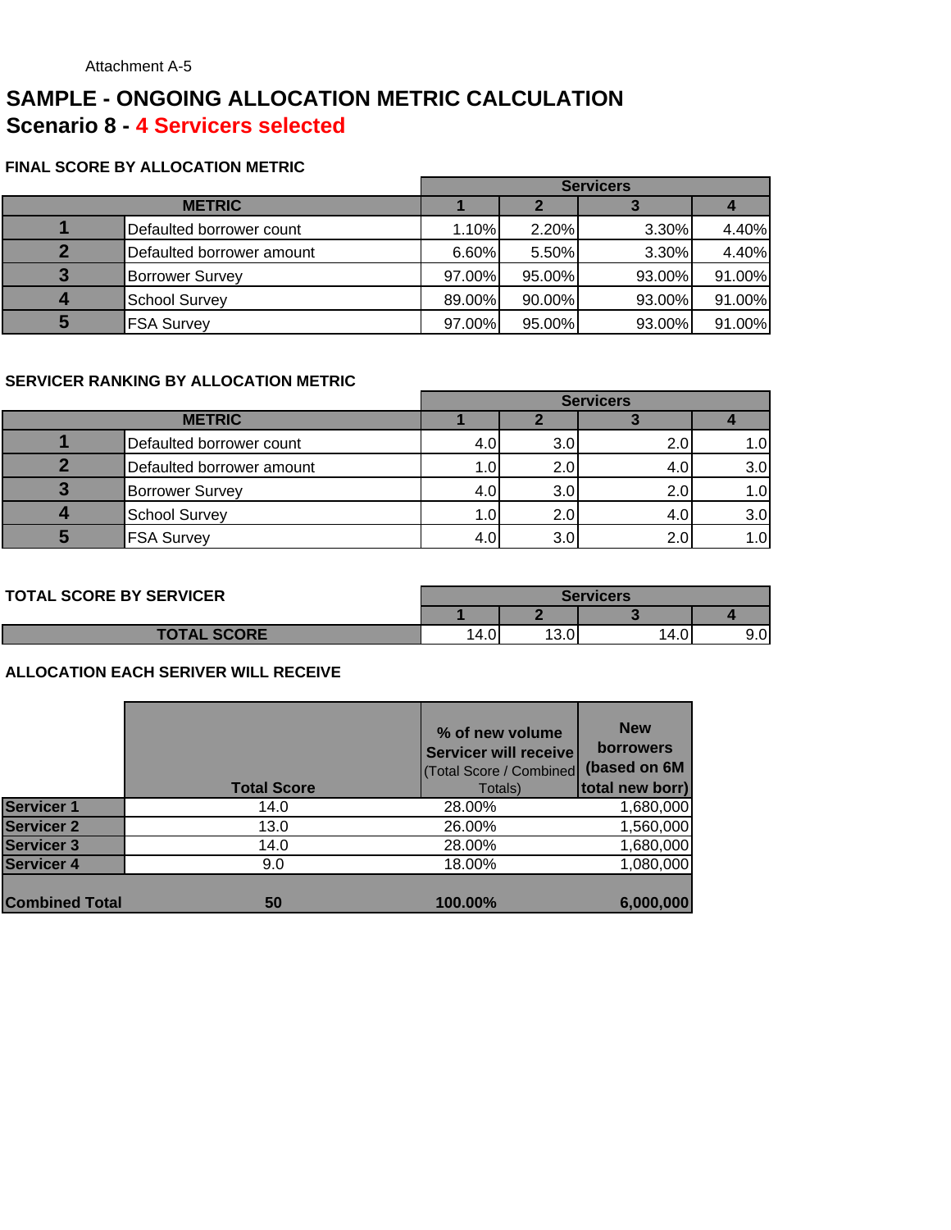# **SAMPLE - ONGOING ALLOCATION METRIC CALCULATION Scenario 8 - 4 Servicers selected**

#### **FINAL SCORE BY ALLOCATION METRIC**

|               |                           | <b>Servicers</b> |        |        |        |
|---------------|---------------------------|------------------|--------|--------|--------|
| <b>METRIC</b> |                           |                  |        |        |        |
|               | Defaulted borrower count  | 1.10%            | 2.20%  | 3.30%  | 4.40%  |
|               | Defaulted borrower amount | 6.60%            | 5.50%  | 3.30%  | 4.40%  |
|               | <b>Borrower Survey</b>    | 97.00%           | 95.00% | 93.00% | 91.00% |
|               | <b>School Survey</b>      | 89.00%           | 90.00% | 93.00% | 91.00% |
|               | <b>FSA Survey</b>         | 97.00%           | 95.00% | 93.00% | 91.00% |

#### **SERVICER RANKING BY ALLOCATION METRIC**

|                           | <b>Servicers</b> |     |     |      |
|---------------------------|------------------|-----|-----|------|
| <b>METRIC</b>             |                  |     |     |      |
| Defaulted borrower count  | 4.0              | 3.0 | 2.0 | 1.OI |
| Defaulted borrower amount | 1.0              | 2.0 | 4.0 | 3.0  |
| <b>Borrower Survey</b>    | 4.0              | 3.0 | 2.0 | 1.0  |
| <b>School Survey</b>      | 1.0              | 2.0 | 4.0 | 3.0  |
| <b>FSA Survey</b>         |                  | 3.0 | 2.0 | 1.0  |

| <b>TOTAL SCORE BY SERVICER</b> |      | Servicers  |       |     |  |  |
|--------------------------------|------|------------|-------|-----|--|--|
|                                |      |            |       |     |  |  |
| <b>TOTAL SCORE</b>             | 14.0 | 100<br>v.v | 14.01 | 9.0 |  |  |

|                       | <b>Total Score</b> | % of new volume<br>Servicer will receive<br>(Total Score / Combined<br>Totals) | <b>New</b><br><b>borrowers</b><br>(based on 6M<br>total new borr) |
|-----------------------|--------------------|--------------------------------------------------------------------------------|-------------------------------------------------------------------|
| <b>Servicer 1</b>     | 14.0               | 28.00%                                                                         | 1,680,000                                                         |
| <b>Servicer 2</b>     | 13.0               | 26.00%                                                                         | 1,560,000                                                         |
| <b>Servicer 3</b>     | 14.0               | 28.00%                                                                         | 1,680,000                                                         |
| <b>Servicer 4</b>     | 9.0                | 18.00%                                                                         | 1,080,000                                                         |
|                       |                    |                                                                                |                                                                   |
| <b>Combined Total</b> | 50                 | 100.00%                                                                        | 6,000,000                                                         |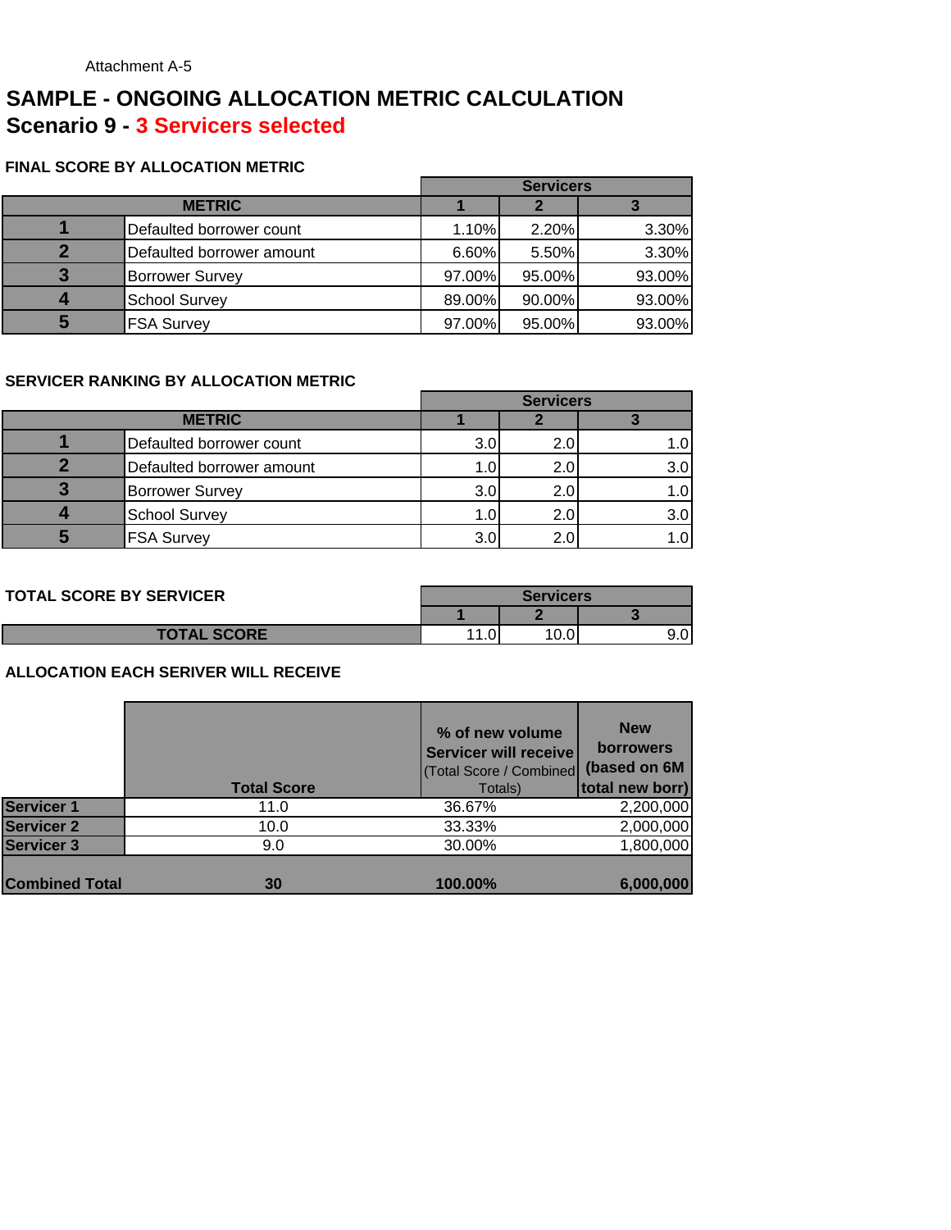## **SAMPLE - ONGOING ALLOCATION METRIC CALCULATION Scenario 9 - 3 Servicers selected**

#### **FINAL SCORE BY ALLOCATION METRIC**

|               |                           | <b>Servicers</b> |        |        |
|---------------|---------------------------|------------------|--------|--------|
| <b>METRIC</b> |                           |                  |        |        |
|               | Defaulted borrower count  | 1.10%            | 2.20%  | 3.30%  |
| О             | Defaulted borrower amount | 6.60%            | 5.50%  | 3.30%  |
| 3             | <b>Borrower Survey</b>    | 97.00%           | 95.00% | 93.00% |
|               | <b>School Survey</b>      | 89.00%           | 90.00% | 93.00% |
| 5             | <b>FSA Survey</b>         | 97.00%           | 95.00% | 93.00% |

#### **SERVICER RANKING BY ALLOCATION METRIC**

|               |                           | <b>Servicers</b> |                 |     |
|---------------|---------------------------|------------------|-----------------|-----|
| <b>METRIC</b> |                           |                  |                 |     |
|               | Defaulted borrower count  | 3.0              | 2.0             |     |
|               | Defaulted borrower amount | 1.0              | 2.0             | 3.0 |
|               | <b>Borrower Survey</b>    | 3.0              | 2. <sub>C</sub> |     |
|               | <b>School Survey</b>      | 1.0              | 2.0             | 3.0 |
|               | <b>FSA Survey</b>         | 3.0              | 2.0             |     |

| <b>TOTAL SCORE BY SERVICER</b> | <b>Servicers</b> |     |  |
|--------------------------------|------------------|-----|--|
|                                |                  |     |  |
| <b>TOTAL SCORE</b>             |                  | v.v |  |

|                       | <b>Total Score</b> | % of new volume<br>Servicer will receive<br>(Total Score / Combined<br>Totals) | <b>New</b><br><b>borrowers</b><br>(based on 6M<br>total new borr) |
|-----------------------|--------------------|--------------------------------------------------------------------------------|-------------------------------------------------------------------|
| <b>Servicer 1</b>     | 11.0               | 36.67%                                                                         | 2,200,000                                                         |
| <b>Servicer 2</b>     | 10.0               | 33.33%                                                                         | 2,000,000                                                         |
| <b>Servicer 3</b>     | 9.0                | 30.00%                                                                         | 1,800,000                                                         |
|                       |                    |                                                                                |                                                                   |
| <b>Combined Total</b> | 30                 | 100.00%                                                                        | 6,000,000                                                         |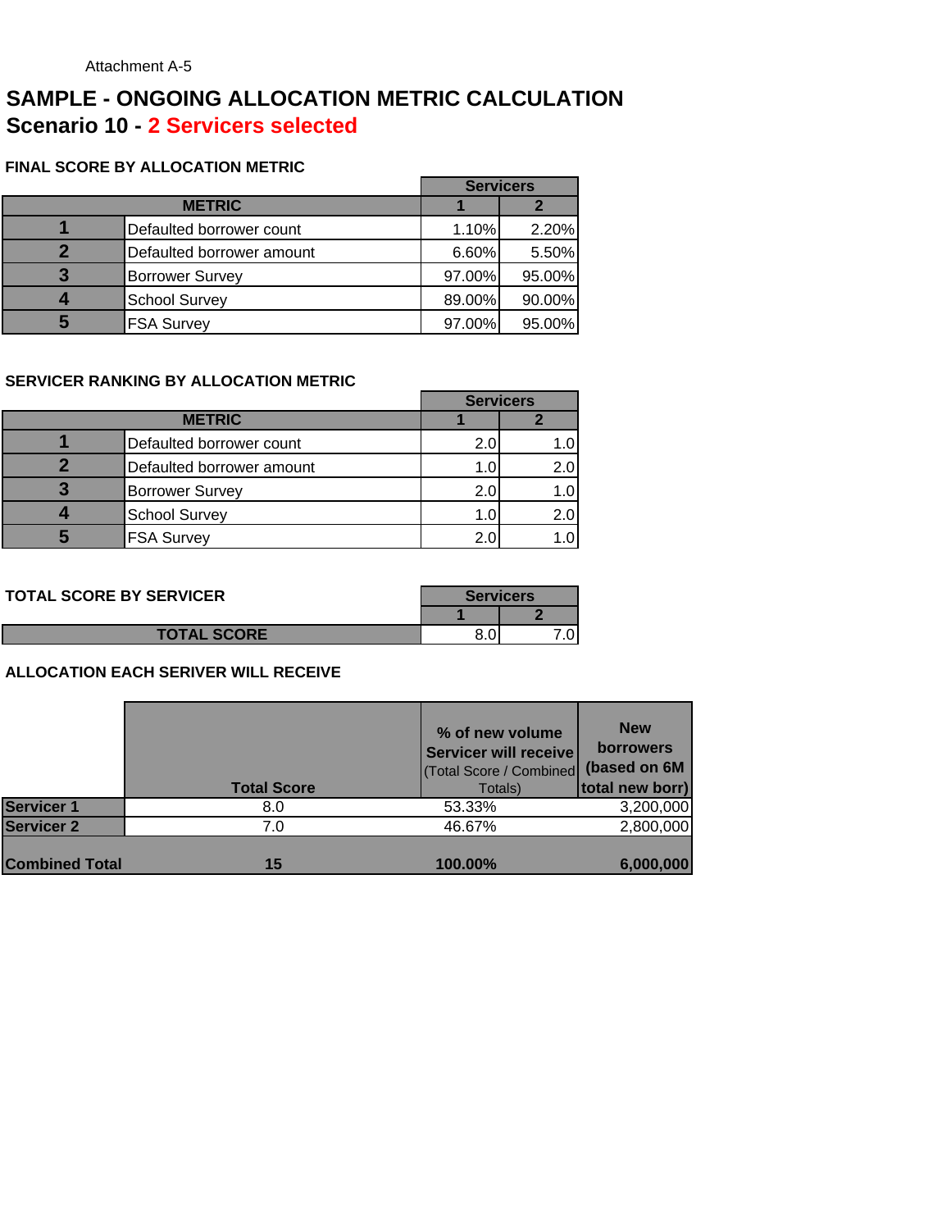## **SAMPLE - ONGOING ALLOCATION METRIC CALCULATION Scenario 10 - 2 Servicers selected**

#### **FINAL SCORE BY ALLOCATION METRIC**

|               |                           | <b>Servicers</b> |        |
|---------------|---------------------------|------------------|--------|
| <b>METRIC</b> |                           |                  |        |
|               | Defaulted borrower count  | 1.10%            | 2.20%  |
|               | Defaulted borrower amount | 6.60%            | 5.50%  |
|               | <b>Borrower Survey</b>    | 97.00%           | 95.00% |
|               | <b>School Survey</b>      | 89.00%           | 90.00% |
|               | <b>FSA Survey</b>         | 97.00%           | 95.00% |

#### **SERVICER RANKING BY ALLOCATION METRIC**

|               |                           | <b>Servicers</b> |     |
|---------------|---------------------------|------------------|-----|
| <b>METRIC</b> |                           |                  |     |
|               | Defaulted borrower count  | 2.0              |     |
|               | Defaulted borrower amount | 1.0              | 2.0 |
|               | <b>Borrower Survey</b>    | 2.0              | 1.0 |
|               | <b>School Survey</b>      | 1.0              | 2.0 |
|               | <b>FSA Survey</b>         | 2.0              |     |

| <b>TOTAL SCORE BY SERVICER</b> | <b>Servicers</b> |  |
|--------------------------------|------------------|--|
|                                |                  |  |
| <b>TOTAL SCORE</b>             |                  |  |

|                       | <b>Total Score</b> | % of new volume<br>Servicer will receive<br>(Total Score / Combined (based on 6M)<br>Totals) | <b>New</b><br><b>borrowers</b><br>total new borr) |
|-----------------------|--------------------|----------------------------------------------------------------------------------------------|---------------------------------------------------|
| <b>Servicer 1</b>     | 8.0                | 53.33%                                                                                       | 3,200,000                                         |
| <b>Servicer 2</b>     | 7.0                | 46.67%                                                                                       | 2,800,000                                         |
| <b>Combined Total</b> | 15                 | 100.00%                                                                                      | 6,000,000                                         |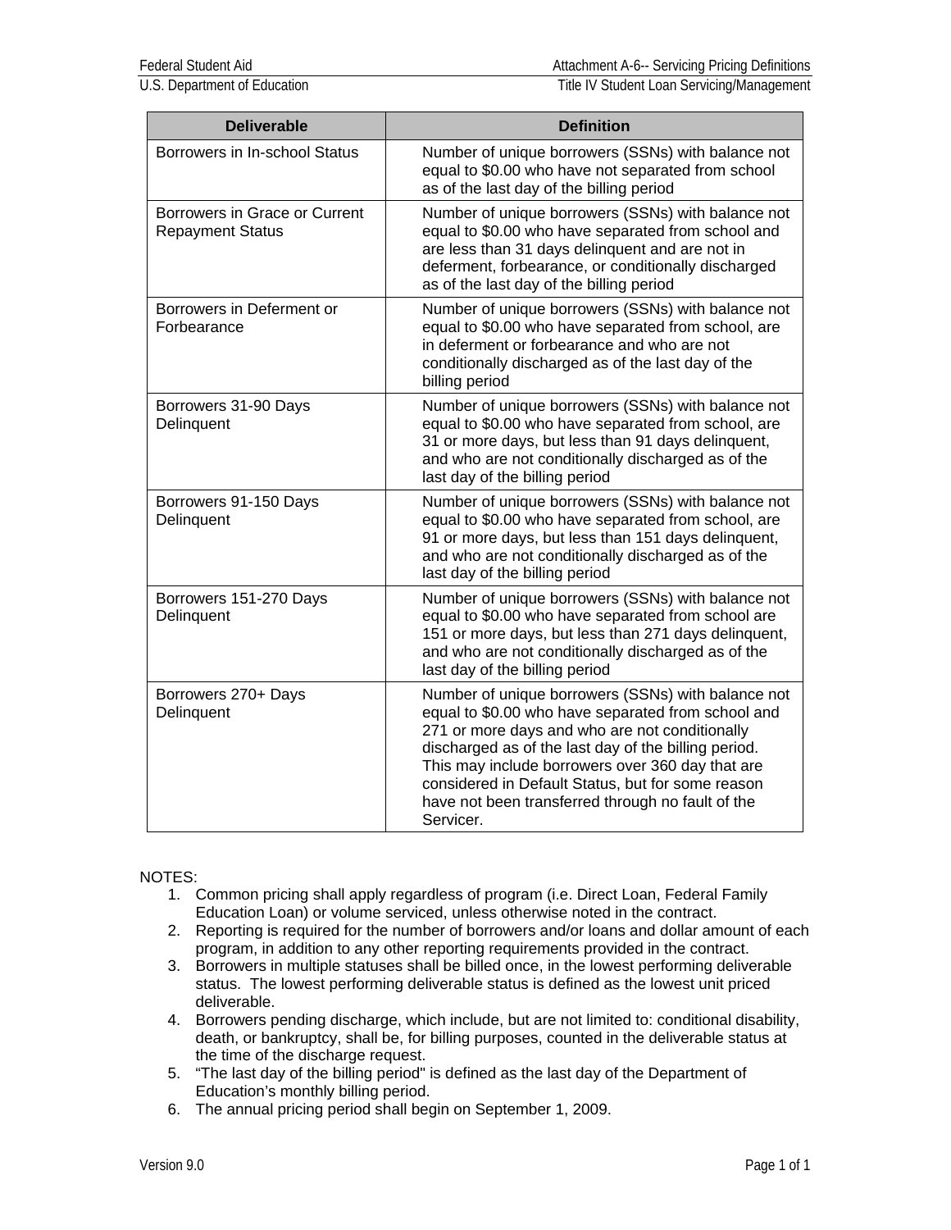U.S. Department of Education Title IV Student Loan Servicing/Management

| <b>Deliverable</b>                                       | <b>Definition</b>                                                                                                                                                                                                                                                                                                                                                                             |
|----------------------------------------------------------|-----------------------------------------------------------------------------------------------------------------------------------------------------------------------------------------------------------------------------------------------------------------------------------------------------------------------------------------------------------------------------------------------|
| Borrowers in In-school Status                            | Number of unique borrowers (SSNs) with balance not<br>equal to \$0.00 who have not separated from school<br>as of the last day of the billing period                                                                                                                                                                                                                                          |
| Borrowers in Grace or Current<br><b>Repayment Status</b> | Number of unique borrowers (SSNs) with balance not<br>equal to \$0.00 who have separated from school and<br>are less than 31 days delinquent and are not in<br>deferment, forbearance, or conditionally discharged<br>as of the last day of the billing period                                                                                                                                |
| Borrowers in Deferment or<br>Forbearance                 | Number of unique borrowers (SSNs) with balance not<br>equal to \$0.00 who have separated from school, are<br>in deferment or forbearance and who are not<br>conditionally discharged as of the last day of the<br>billing period                                                                                                                                                              |
| Borrowers 31-90 Days<br>Delinquent                       | Number of unique borrowers (SSNs) with balance not<br>equal to \$0.00 who have separated from school, are<br>31 or more days, but less than 91 days delinquent,<br>and who are not conditionally discharged as of the<br>last day of the billing period                                                                                                                                       |
| Borrowers 91-150 Days<br>Delinquent                      | Number of unique borrowers (SSNs) with balance not<br>equal to \$0.00 who have separated from school, are<br>91 or more days, but less than 151 days delinquent,<br>and who are not conditionally discharged as of the<br>last day of the billing period                                                                                                                                      |
| Borrowers 151-270 Days<br>Delinquent                     | Number of unique borrowers (SSNs) with balance not<br>equal to \$0.00 who have separated from school are<br>151 or more days, but less than 271 days delinquent,<br>and who are not conditionally discharged as of the<br>last day of the billing period                                                                                                                                      |
| Borrowers 270+ Days<br>Delinquent                        | Number of unique borrowers (SSNs) with balance not<br>equal to \$0.00 who have separated from school and<br>271 or more days and who are not conditionally<br>discharged as of the last day of the billing period.<br>This may include borrowers over 360 day that are<br>considered in Default Status, but for some reason<br>have not been transferred through no fault of the<br>Servicer. |

## NOTES:

- 1. Common pricing shall apply regardless of program (i.e. Direct Loan, Federal Family Education Loan) or volume serviced, unless otherwise noted in the contract.
- 2. Reporting is required for the number of borrowers and/or loans and dollar amount of each program, in addition to any other reporting requirements provided in the contract.
- 3. Borrowers in multiple statuses shall be billed once, in the lowest performing deliverable status. The lowest performing deliverable status is defined as the lowest unit priced deliverable.
- 4. Borrowers pending discharge, which include, but are not limited to: conditional disability, death, or bankruptcy, shall be, for billing purposes, counted in the deliverable status at the time of the discharge request.
- 5. "The last day of the billing period" is defined as the last day of the Department of Education's monthly billing period.
- 6. The annual pricing period shall begin on September 1, 2009.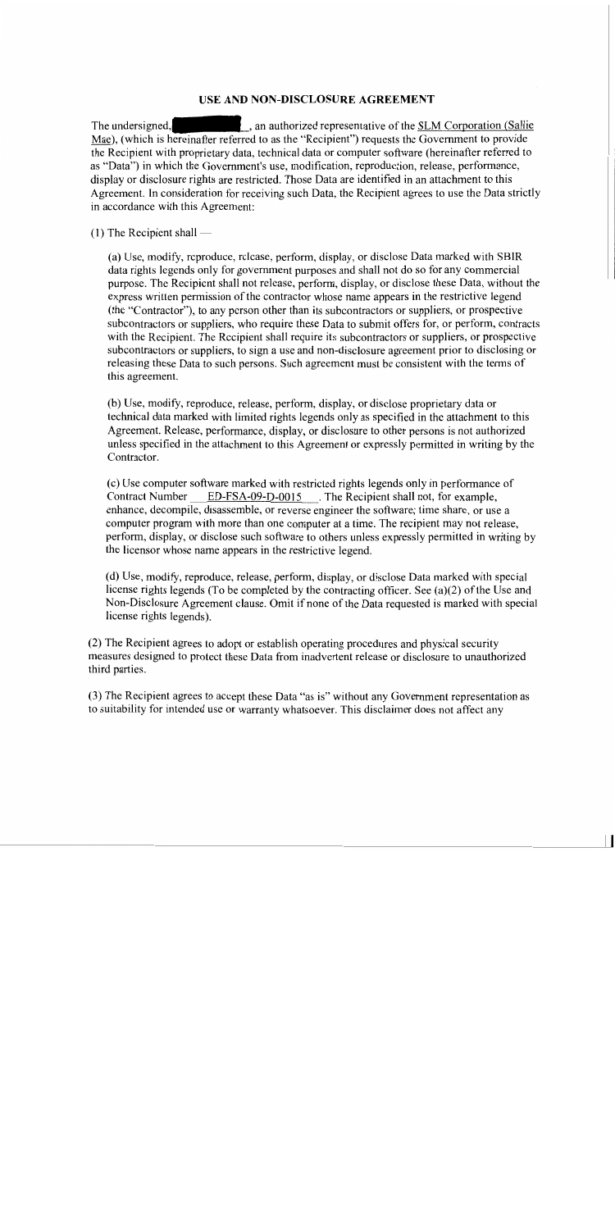## USE AND NON-DISCLOSURE AGREEMENT

an authorized representative of the SLM Corporation (Sallie The undersigned, Mae), (which is hereinafter referred to as the "Recipient") requests the Government to provide the Recipient with proprietary data, technical data or computer software (hereinafter referred to as "Data") in which the Government's use, modification, reproduction, release, performance, display or disclosure rights are restricted. Those Data are identified in an attachment to this Agreement. In consideration for receiving such Data, the Recipient agrees to use the Data strictly in accordance with this Agreement:

## $(1)$  The Recipient shall —

(a) Use, modify, reproduce, release, perform, display, or disclose Data marked with SBIR data rights legends only for government purposes and shall not do so for any commercial purpose. The Recipient shall not release, perform, display, or disclose these Data, without the express written permission of the contractor whose name appears in the restrictive legend (the "Contractor"), to any person other than its subcontractors or suppliers, or prospective subcontractors or suppliers, who require these Data to submit offers for, or perform, contracts with the Recipient. The Recipient shall require its subcontractors or suppliers, or prospective subcontractors or suppliers, to sign a use and non-disclosure agreement prior to disclosing or releasing these Data to such persons. Such agreement must be consistent with the terms of this agreement.

(b) Use, modify, reproduce, release, perform, display, or disclose proprietary data or technical data marked with limited rights legends only as specified in the attachment to this Agreement. Release, performance, display, or disclosure to other persons is not authorized unless specified in the attachment to this Agreement or expressly permitted in writing by the Contractor.

(c) Use computer software marked with restricted rights legends only in performance of **Contract Number** ED-FSA-09-D-0015 . The Recipient shall not, for example, enhance, decompile, disassemble, or reverse engineer the software; time share, or use a computer program with more than one computer at a time. The recipient may not release, perform, display, or disclose such software to others unless expressly permitted in writing by the licensor whose name appears in the restrictive legend.

(d) Use, modify, reproduce, release, perform, display, or disclose Data marked with special license rights legends (To be completed by the contracting officer. See (a)(2) of the Use and Non-Disclosure Agreement clause. Omit if none of the Data requested is marked with special license rights legends).

(2) The Recipient agrees to adopt or establish operating procedures and physical security measures designed to protect these Data from inadvertent release or disclosure to unauthorized third parties.

(3) The Recipient agrees to accept these Data "as is" without any Government representation as to suitability for intended use or warranty whatsoever. This disclaimer does not affect any